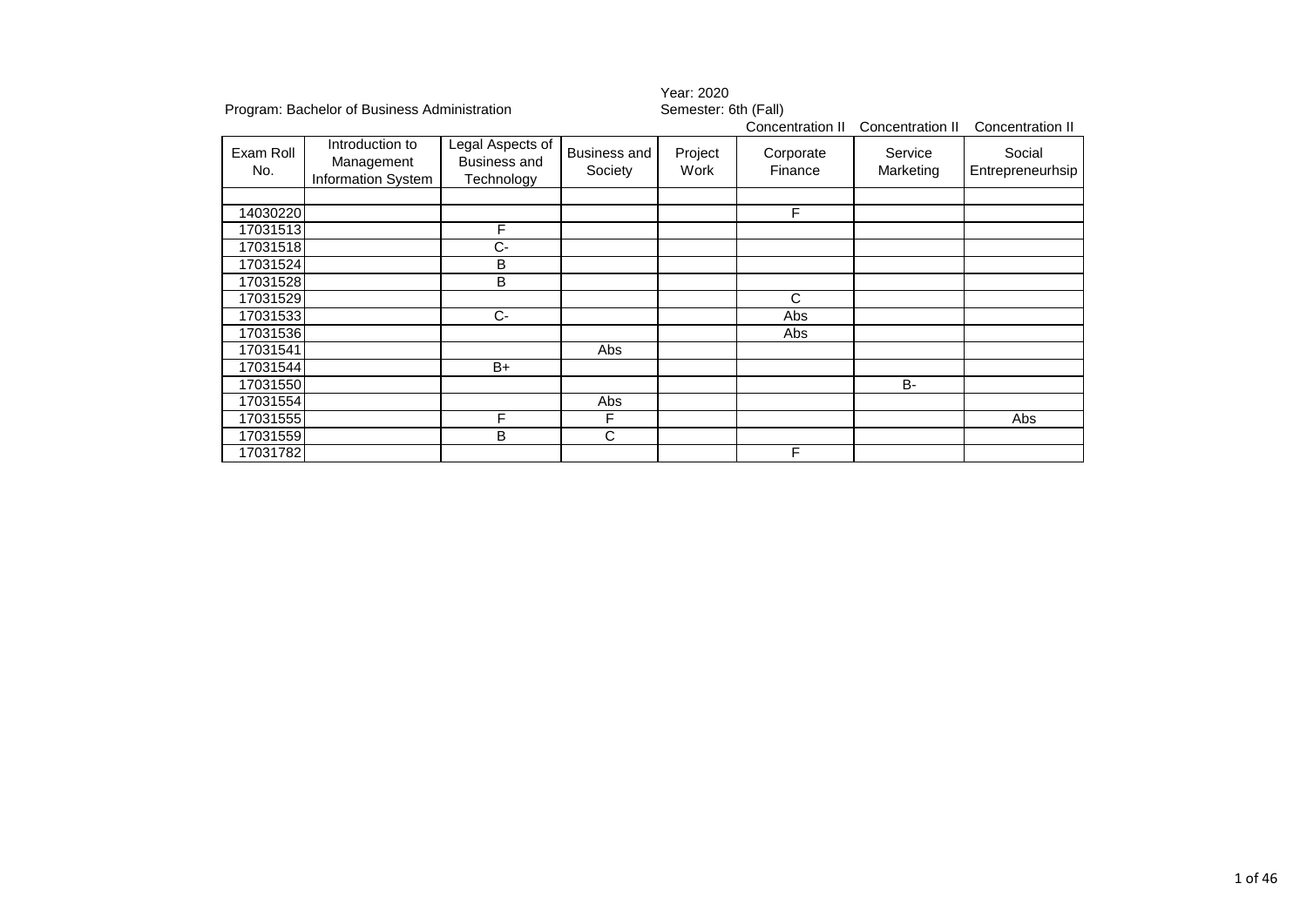|                  |                                                     |                                                       |                                | Year: 2020           |                      |                      |                            |  |  |
|------------------|-----------------------------------------------------|-------------------------------------------------------|--------------------------------|----------------------|----------------------|----------------------|----------------------------|--|--|
|                  | Program: Bachelor of Business Administration        |                                                       |                                | Semester: 6th (Fall) |                      |                      |                            |  |  |
|                  |                                                     |                                                       |                                |                      | Concentration II     | Concentration II     | Concentration II           |  |  |
| Exam Roll<br>No. | Introduction to<br>Management<br>Information System | Legal Aspects of<br><b>Business and</b><br>Technology | <b>Business and</b><br>Society | Project<br>Work      | Corporate<br>Finance | Service<br>Marketing | Social<br>Entrepreneurhsip |  |  |
| 14030220         |                                                     |                                                       |                                |                      | F                    |                      |                            |  |  |
| 17031513         |                                                     | F                                                     |                                |                      |                      |                      |                            |  |  |
|                  |                                                     | C-                                                    |                                |                      |                      |                      |                            |  |  |
| 17031518         |                                                     |                                                       |                                |                      |                      |                      |                            |  |  |
| 17031524         |                                                     | B                                                     |                                |                      |                      |                      |                            |  |  |
| 17031528         |                                                     | B                                                     |                                |                      |                      |                      |                            |  |  |
| 17031529         |                                                     |                                                       |                                |                      | C                    |                      |                            |  |  |
| 17031533         |                                                     | $C-$                                                  |                                |                      | Abs                  |                      |                            |  |  |
| 17031536         |                                                     |                                                       |                                |                      | Abs                  |                      |                            |  |  |
| 17031541         |                                                     |                                                       | Abs                            |                      |                      |                      |                            |  |  |
| 17031544         |                                                     | B+                                                    |                                |                      |                      |                      |                            |  |  |
| 17031550         |                                                     |                                                       |                                |                      |                      | <b>B-</b>            |                            |  |  |
| 17031554         |                                                     |                                                       | Abs                            |                      |                      |                      |                            |  |  |
| 17031555         |                                                     | F                                                     | F                              |                      |                      |                      | Abs                        |  |  |
| 17031559         |                                                     | B                                                     | C                              |                      |                      |                      |                            |  |  |
| 17031782         |                                                     |                                                       |                                |                      | F                    |                      |                            |  |  |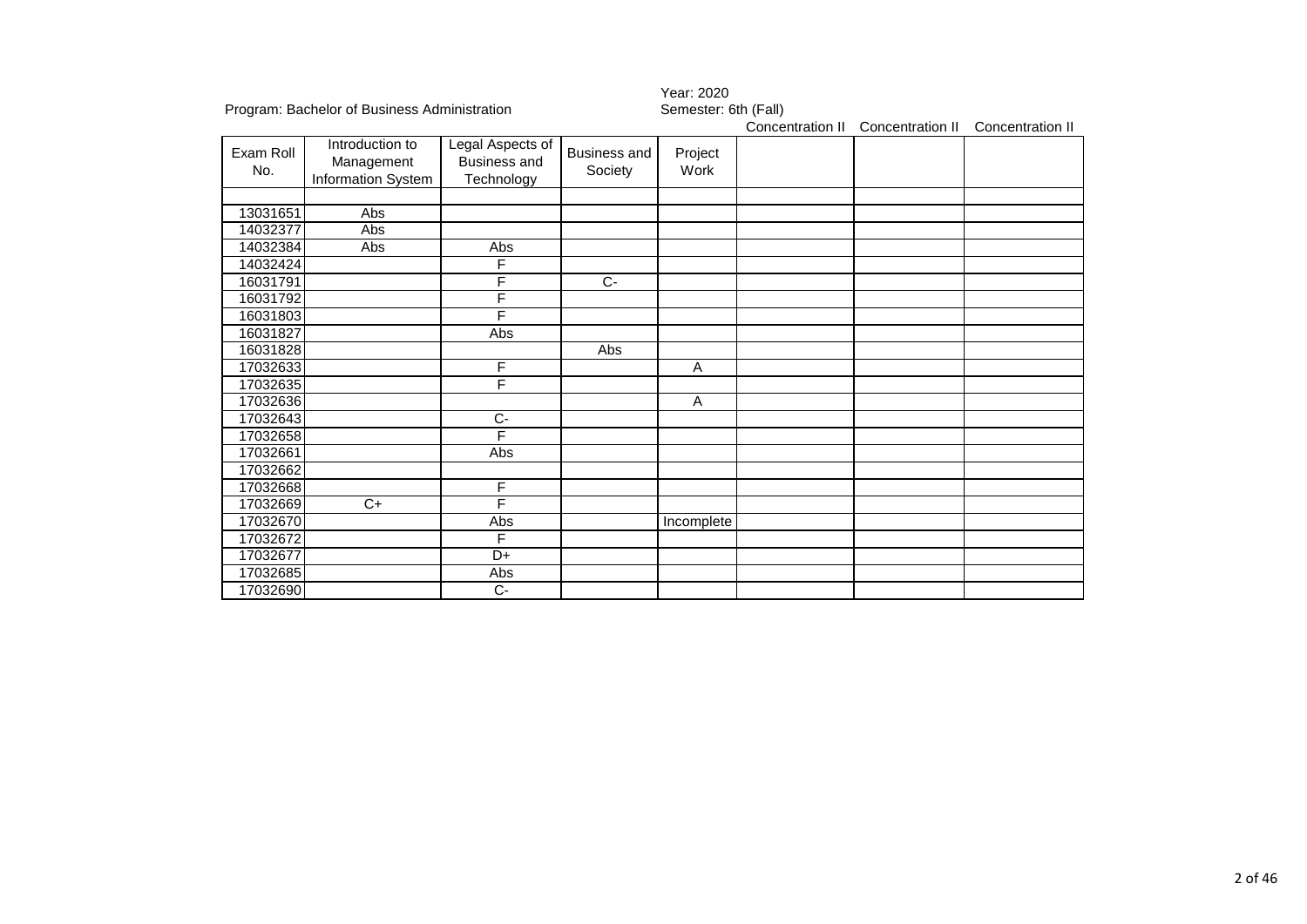| Program: Bachelor of Business Administration |                                                     |                                                              |                                | Semester: 6th (Fall) |                  |                  |  |  |
|----------------------------------------------|-----------------------------------------------------|--------------------------------------------------------------|--------------------------------|----------------------|------------------|------------------|--|--|
|                                              |                                                     |                                                              |                                | Concentration II     | Concentration II | Concentration II |  |  |
| Exam Roll<br>No.                             | Introduction to<br>Management<br>Information System | Legal Aspects of<br><b>Business and</b><br><b>Technology</b> | <b>Business and</b><br>Society | Project<br>Work      |                  |                  |  |  |
| 13031651                                     | Abs                                                 |                                                              |                                |                      |                  |                  |  |  |
| 14032377                                     | Abs                                                 |                                                              |                                |                      |                  |                  |  |  |
| 14032384                                     | Abs                                                 | Abs                                                          |                                |                      |                  |                  |  |  |
| 14032424                                     |                                                     | F                                                            |                                |                      |                  |                  |  |  |
| 16031791                                     |                                                     | F                                                            | $\overline{C}$                 |                      |                  |                  |  |  |
| 16031792                                     |                                                     | F                                                            |                                |                      |                  |                  |  |  |
| 16031803                                     |                                                     | F                                                            |                                |                      |                  |                  |  |  |
| 16031827                                     |                                                     | Abs                                                          |                                |                      |                  |                  |  |  |
| 16031828                                     |                                                     |                                                              | Abs                            |                      |                  |                  |  |  |
| 17032633                                     |                                                     | $\overline{F}$                                               |                                | A                    |                  |                  |  |  |
| 17032635                                     |                                                     | F                                                            |                                |                      |                  |                  |  |  |
| 17032636                                     |                                                     |                                                              |                                | A                    |                  |                  |  |  |
| 17032643                                     |                                                     | С-                                                           |                                |                      |                  |                  |  |  |
| 17032658                                     |                                                     | F                                                            |                                |                      |                  |                  |  |  |
| 17032661                                     |                                                     | Abs                                                          |                                |                      |                  |                  |  |  |
| 17032662                                     |                                                     |                                                              |                                |                      |                  |                  |  |  |
| 17032668                                     |                                                     | F                                                            |                                |                      |                  |                  |  |  |
| 17032669                                     | $\overline{C+}$                                     | F                                                            |                                |                      |                  |                  |  |  |
| 17032670                                     |                                                     | Abs                                                          |                                | Incomplete           |                  |                  |  |  |
| 17032672                                     |                                                     | F                                                            |                                |                      |                  |                  |  |  |
| 17032677                                     |                                                     | D+                                                           |                                |                      |                  |                  |  |  |
| 17032685                                     |                                                     | Abs                                                          |                                |                      |                  |                  |  |  |
| 17032690                                     |                                                     | $\overline{C}$                                               |                                |                      |                  |                  |  |  |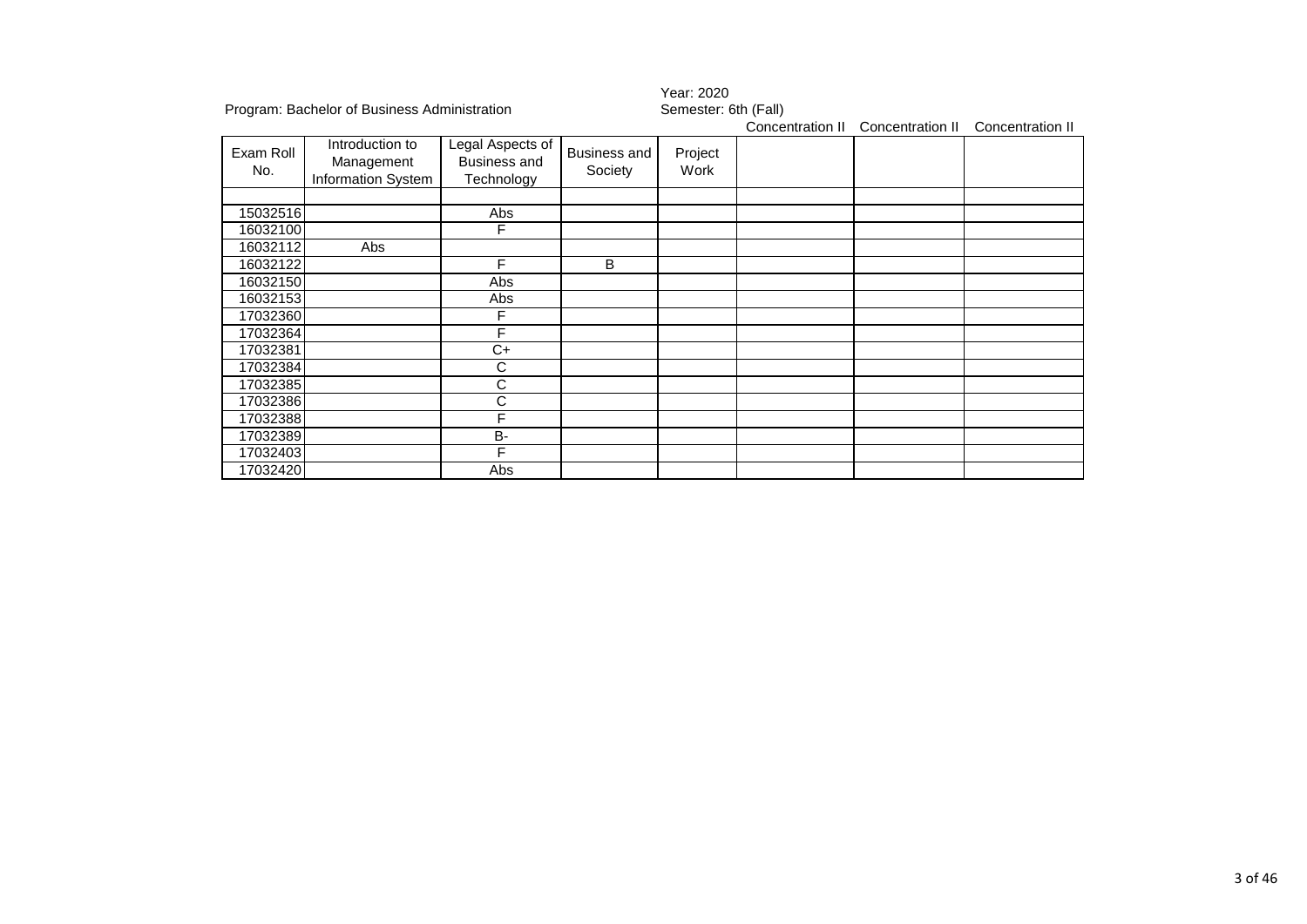|                  |                                                     |                                                       |                                | Year: 2020           |                  |                  |                  |  |
|------------------|-----------------------------------------------------|-------------------------------------------------------|--------------------------------|----------------------|------------------|------------------|------------------|--|
|                  | Program: Bachelor of Business Administration        |                                                       |                                | Semester: 6th (Fall) |                  |                  |                  |  |
|                  |                                                     |                                                       |                                |                      | Concentration II | Concentration II | Concentration II |  |
| Exam Roll<br>No. | Introduction to<br>Management<br>Information System | Legal Aspects of<br><b>Business and</b><br>Technology | <b>Business and</b><br>Society | Project<br>Work      |                  |                  |                  |  |
| 15032516         |                                                     | Abs                                                   |                                |                      |                  |                  |                  |  |
| 16032100         |                                                     | F                                                     |                                |                      |                  |                  |                  |  |
| 16032112         | Abs                                                 |                                                       |                                |                      |                  |                  |                  |  |
| 16032122         |                                                     | F                                                     | B                              |                      |                  |                  |                  |  |
| 16032150         |                                                     | Abs                                                   |                                |                      |                  |                  |                  |  |
| 16032153         |                                                     | Abs                                                   |                                |                      |                  |                  |                  |  |
| 17032360         |                                                     | F                                                     |                                |                      |                  |                  |                  |  |
| 17032364         |                                                     | F                                                     |                                |                      |                  |                  |                  |  |
| 17032381         |                                                     | C+                                                    |                                |                      |                  |                  |                  |  |
| 17032384         |                                                     | С                                                     |                                |                      |                  |                  |                  |  |
| 17032385         |                                                     | C                                                     |                                |                      |                  |                  |                  |  |
| 17032386         |                                                     | С                                                     |                                |                      |                  |                  |                  |  |
| 17032388         |                                                     | F                                                     |                                |                      |                  |                  |                  |  |
| 17032389         |                                                     | B-                                                    |                                |                      |                  |                  |                  |  |
| 17032403         |                                                     | F                                                     |                                |                      |                  |                  |                  |  |
| 17032420         |                                                     | Abs                                                   |                                |                      |                  |                  |                  |  |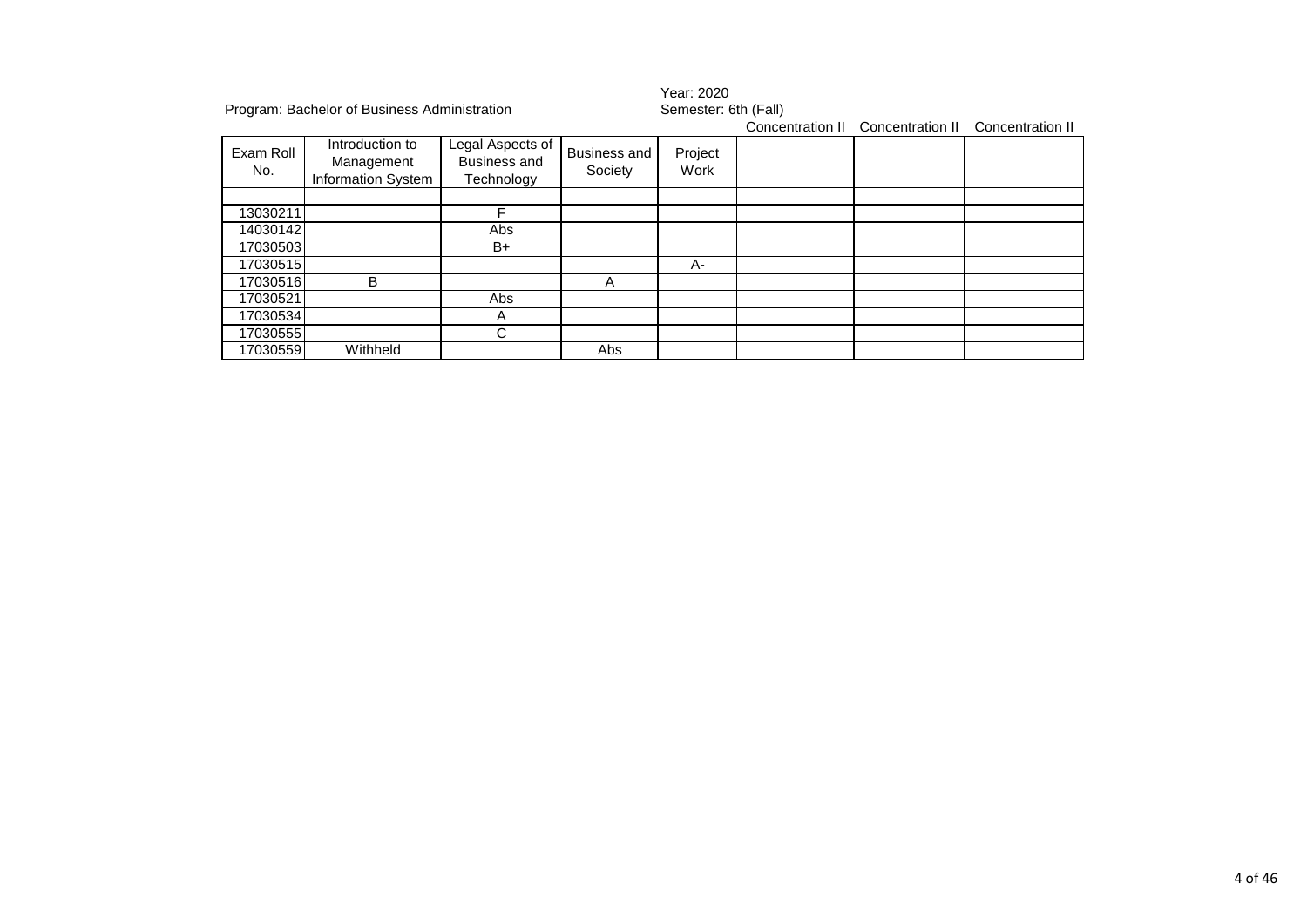|                  | Program: Bachelor of Business Administration               |                                                       |                                | Year: 2020<br>Semester: 6th (Fall)<br>Concentration II Concentration II<br>Concentration II |  |  |  |  |
|------------------|------------------------------------------------------------|-------------------------------------------------------|--------------------------------|---------------------------------------------------------------------------------------------|--|--|--|--|
| Exam Roll<br>No. | Introduction to<br>Management<br><b>Information System</b> | Legal Aspects of<br><b>Business and</b><br>Technology | <b>Business and</b><br>Society | Project<br>Work                                                                             |  |  |  |  |
|                  |                                                            |                                                       |                                |                                                                                             |  |  |  |  |
| 13030211         |                                                            | F                                                     |                                |                                                                                             |  |  |  |  |
| 14030142         |                                                            | Abs                                                   |                                |                                                                                             |  |  |  |  |
| 17030503         |                                                            | B+                                                    |                                |                                                                                             |  |  |  |  |
| 17030515         |                                                            |                                                       |                                | A-                                                                                          |  |  |  |  |
| 17030516         | B                                                          |                                                       | A                              |                                                                                             |  |  |  |  |
| 17030521         |                                                            | Abs                                                   |                                |                                                                                             |  |  |  |  |
| 17030534         |                                                            | A                                                     |                                |                                                                                             |  |  |  |  |
| 17030555         |                                                            | C                                                     |                                |                                                                                             |  |  |  |  |
| 17030559         | Withheld                                                   |                                                       | Abs                            |                                                                                             |  |  |  |  |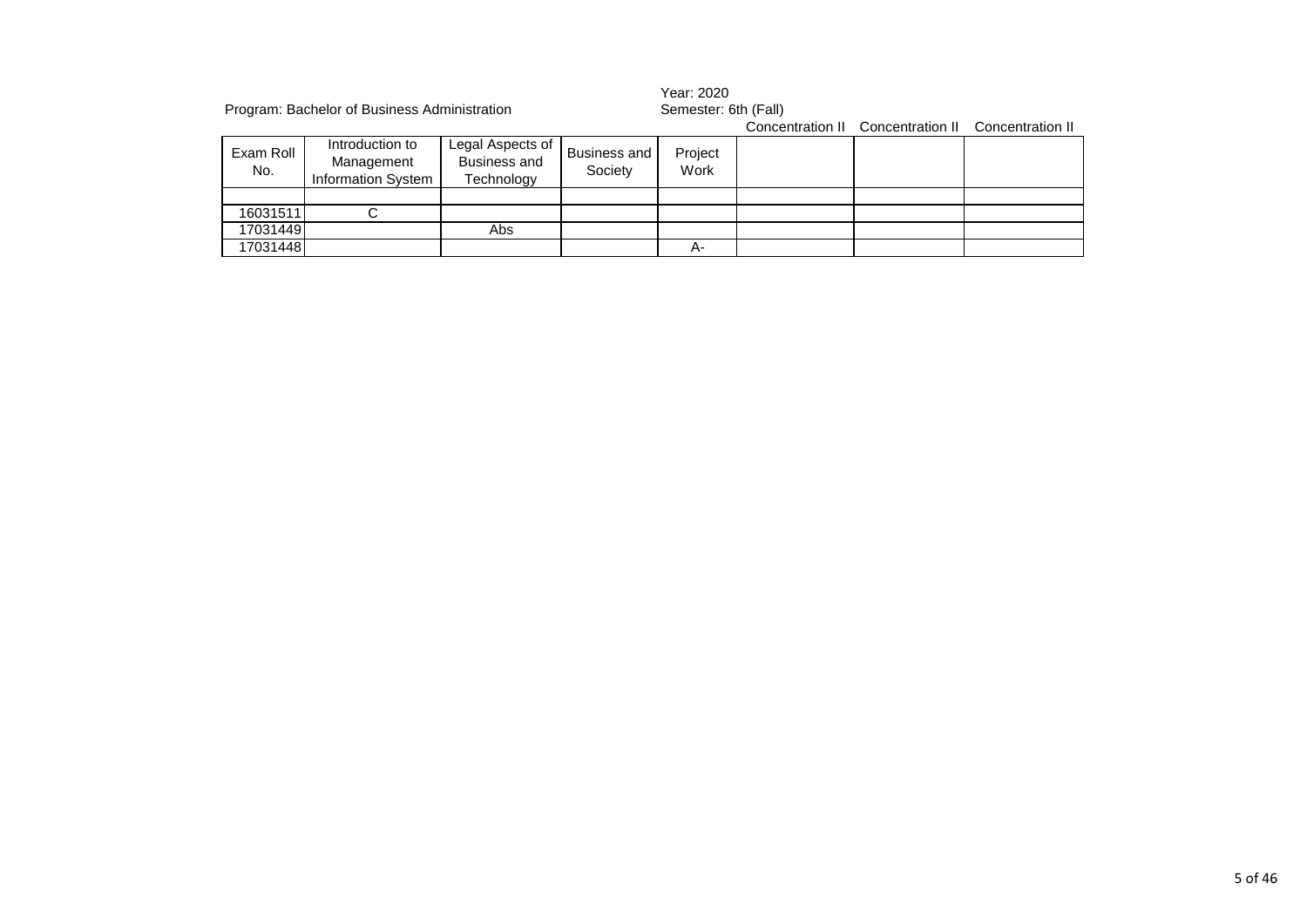|                  | Program: Bachelor of Business Administration        |                                                       |                                | Year: 2020<br>Semester: 6th (Fall) |  |                                                    |  |  |
|------------------|-----------------------------------------------------|-------------------------------------------------------|--------------------------------|------------------------------------|--|----------------------------------------------------|--|--|
|                  |                                                     |                                                       |                                |                                    |  | Concentration II Concentration II Concentration II |  |  |
| Exam Roll<br>No. | Introduction to<br>Management<br>Information System | Legal Aspects of<br><b>Business and</b><br>Technology | <b>Business and</b><br>Society | Project<br>Work                    |  |                                                    |  |  |
|                  |                                                     |                                                       |                                |                                    |  |                                                    |  |  |
| 16031511         |                                                     |                                                       |                                |                                    |  |                                                    |  |  |
| 17031449         |                                                     | Abs                                                   |                                |                                    |  |                                                    |  |  |
| 17031448         |                                                     |                                                       |                                | А-                                 |  |                                                    |  |  |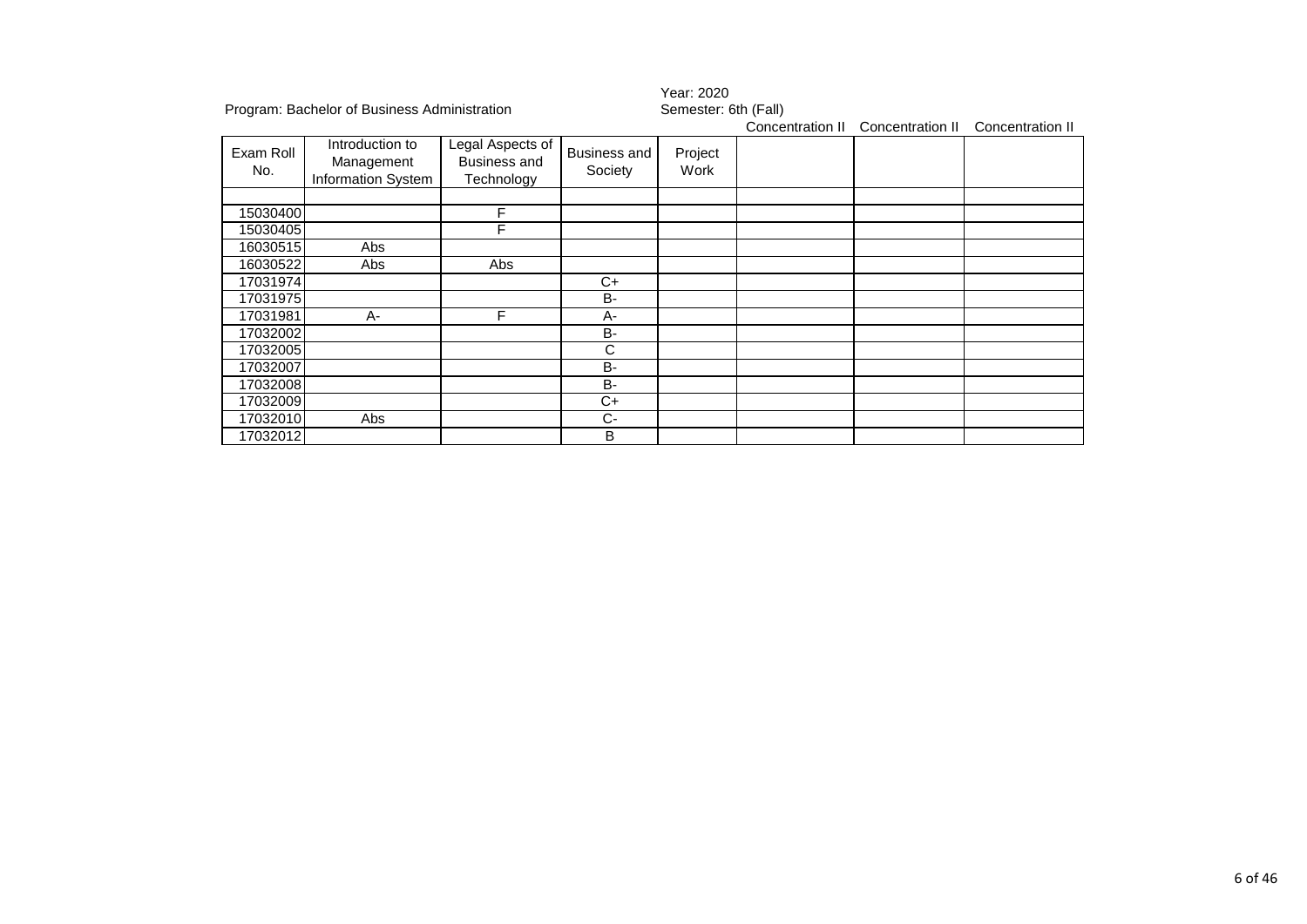|                  | Program: Bachelor of Business Administration        |                                                       |                                | Year: 2020<br>Semester: 6th (Fall) |                  |                  |                  |  |
|------------------|-----------------------------------------------------|-------------------------------------------------------|--------------------------------|------------------------------------|------------------|------------------|------------------|--|
|                  |                                                     |                                                       |                                |                                    | Concentration II | Concentration II | Concentration II |  |
| Exam Roll<br>No. | Introduction to<br>Management<br>Information System | Legal Aspects of<br><b>Business and</b><br>Technology | <b>Business and</b><br>Society | Project<br>Work                    |                  |                  |                  |  |
|                  |                                                     |                                                       |                                |                                    |                  |                  |                  |  |
| 15030400         |                                                     | F                                                     |                                |                                    |                  |                  |                  |  |
| 15030405         |                                                     | F                                                     |                                |                                    |                  |                  |                  |  |
| 16030515         | Abs                                                 |                                                       |                                |                                    |                  |                  |                  |  |
| 16030522         | Abs                                                 | Abs                                                   |                                |                                    |                  |                  |                  |  |
| 17031974         |                                                     |                                                       | $C+$                           |                                    |                  |                  |                  |  |
| 17031975         |                                                     |                                                       | <b>B-</b>                      |                                    |                  |                  |                  |  |
| 17031981         | A-                                                  | F                                                     | $A -$                          |                                    |                  |                  |                  |  |
| 17032002         |                                                     |                                                       | <b>B-</b>                      |                                    |                  |                  |                  |  |
| 17032005         |                                                     |                                                       | C                              |                                    |                  |                  |                  |  |
| 17032007         |                                                     |                                                       | <b>B-</b>                      |                                    |                  |                  |                  |  |
| 17032008         |                                                     |                                                       | <b>B-</b>                      |                                    |                  |                  |                  |  |
| 17032009         |                                                     |                                                       | C+                             |                                    |                  |                  |                  |  |
| 17032010         | Abs                                                 |                                                       | $C-$                           |                                    |                  |                  |                  |  |
| 17032012         |                                                     |                                                       | B                              |                                    |                  |                  |                  |  |

## 6 of 46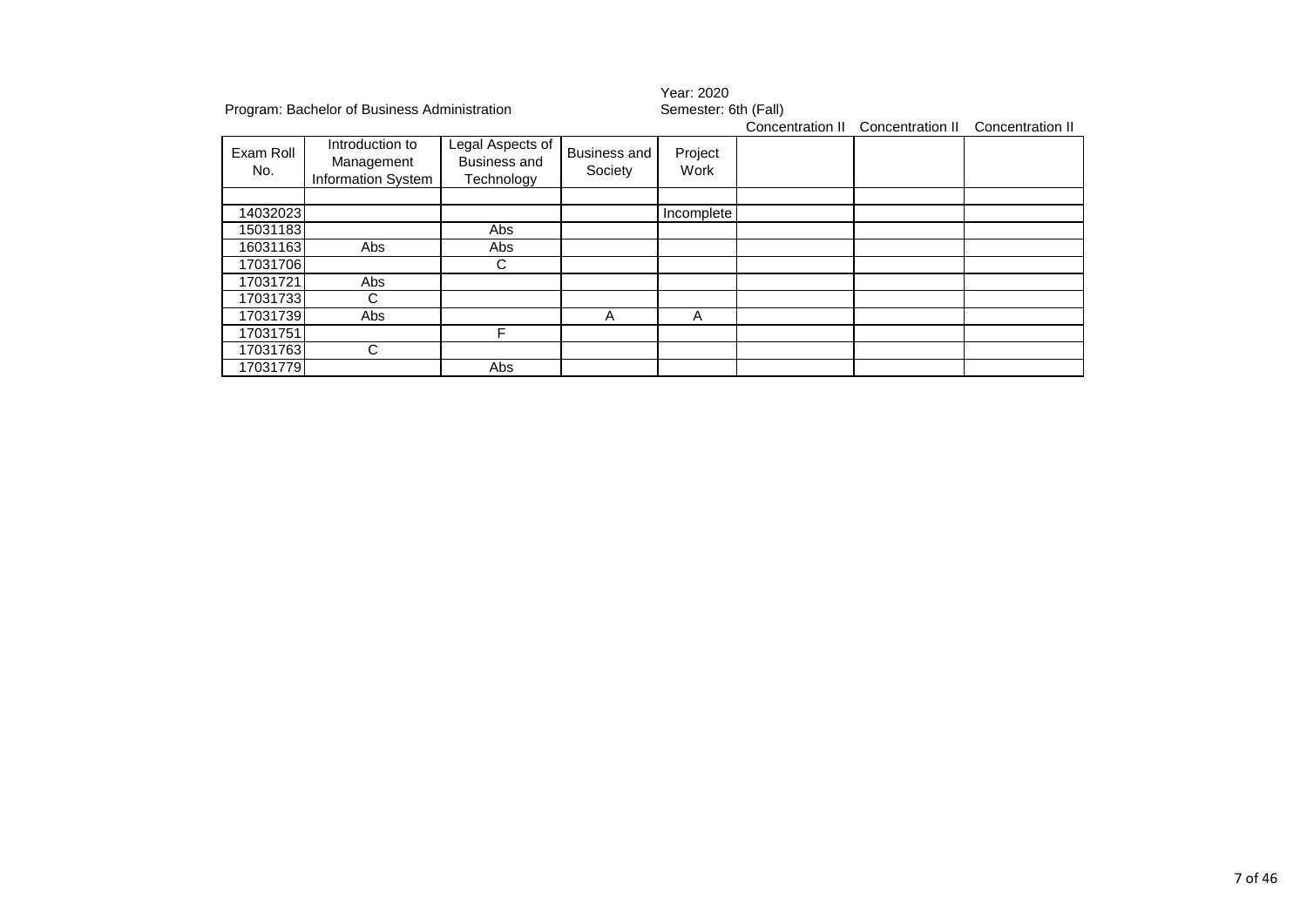|                  | Program: Bachelor of Business Administration               |                                                       |                                | Year: 2020<br>Semester: 6th (Fall)<br>Concentration II<br>Concentration II<br>Concentration II |  |  |  |  |
|------------------|------------------------------------------------------------|-------------------------------------------------------|--------------------------------|------------------------------------------------------------------------------------------------|--|--|--|--|
| Exam Roll<br>No. | Introduction to<br>Management<br><b>Information System</b> | Legal Aspects of<br><b>Business and</b><br>Technology | <b>Business and</b><br>Society | Project<br>Work                                                                                |  |  |  |  |
|                  |                                                            |                                                       |                                |                                                                                                |  |  |  |  |
| 14032023         |                                                            |                                                       |                                | Incomplete                                                                                     |  |  |  |  |
| 15031183         |                                                            | Abs                                                   |                                |                                                                                                |  |  |  |  |
| 16031163         | Abs                                                        | Abs                                                   |                                |                                                                                                |  |  |  |  |
| 17031706         |                                                            | C                                                     |                                |                                                                                                |  |  |  |  |
| 17031721         | Abs                                                        |                                                       |                                |                                                                                                |  |  |  |  |
| 17031733         | С                                                          |                                                       |                                |                                                                                                |  |  |  |  |
| 17031739         | Abs                                                        |                                                       | A                              | A                                                                                              |  |  |  |  |
| 17031751         |                                                            | F                                                     |                                |                                                                                                |  |  |  |  |
| 17031763         | С                                                          |                                                       |                                |                                                                                                |  |  |  |  |
| 17031779         |                                                            | Abs                                                   |                                |                                                                                                |  |  |  |  |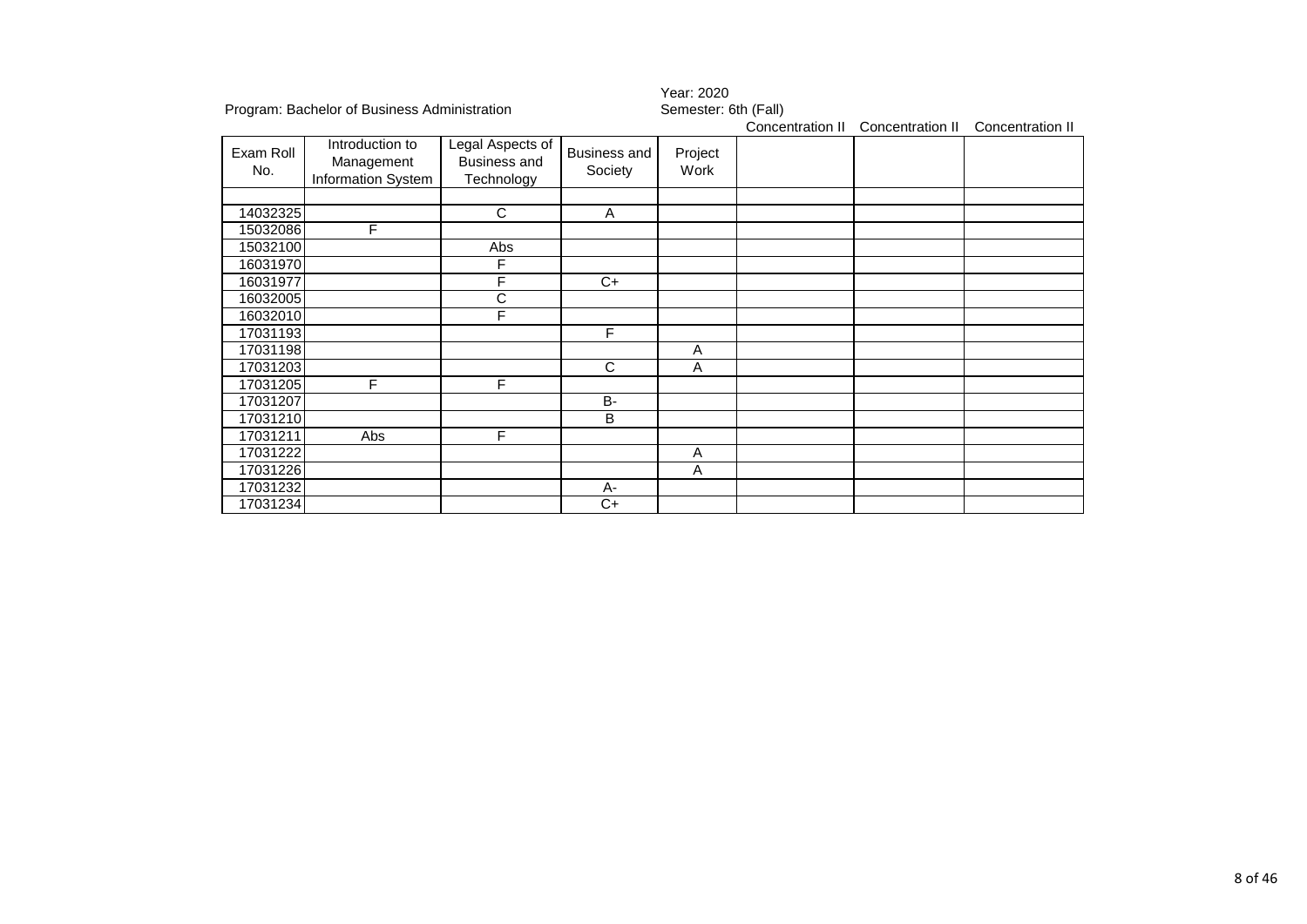|                  |                                                     |                                                       |                         |                      | 1 Gai . 2020     |                  |                  |  |  |  |
|------------------|-----------------------------------------------------|-------------------------------------------------------|-------------------------|----------------------|------------------|------------------|------------------|--|--|--|
|                  | Program: Bachelor of Business Administration        |                                                       |                         | Semester: 6th (Fall) |                  |                  |                  |  |  |  |
|                  |                                                     |                                                       |                         |                      | Concentration II | Concentration II | Concentration II |  |  |  |
| Exam Roll<br>No. | Introduction to<br>Management<br>Information System | Legal Aspects of<br><b>Business and</b><br>Technology | Business and<br>Society | Project<br>Work      |                  |                  |                  |  |  |  |
|                  |                                                     |                                                       |                         |                      |                  |                  |                  |  |  |  |
| 14032325         |                                                     | C                                                     | A                       |                      |                  |                  |                  |  |  |  |
| 15032086         | F                                                   |                                                       |                         |                      |                  |                  |                  |  |  |  |
| 15032100         |                                                     | Abs                                                   |                         |                      |                  |                  |                  |  |  |  |
| 16031970         |                                                     | F                                                     |                         |                      |                  |                  |                  |  |  |  |
| 16031977         |                                                     | F                                                     | $C+$                    |                      |                  |                  |                  |  |  |  |
| 16032005         |                                                     | C                                                     |                         |                      |                  |                  |                  |  |  |  |
| 16032010         |                                                     | F                                                     |                         |                      |                  |                  |                  |  |  |  |
| 17031193         |                                                     |                                                       | F.                      |                      |                  |                  |                  |  |  |  |
| 17031198         |                                                     |                                                       |                         | Α                    |                  |                  |                  |  |  |  |
| 17031203         |                                                     |                                                       | $\mathsf{C}$            | A                    |                  |                  |                  |  |  |  |
| 17031205         | F                                                   | F                                                     |                         |                      |                  |                  |                  |  |  |  |
| 17031207         |                                                     |                                                       | B-                      |                      |                  |                  |                  |  |  |  |
| 17031210         |                                                     |                                                       | B                       |                      |                  |                  |                  |  |  |  |
| 17031211         | Abs                                                 | F                                                     |                         |                      |                  |                  |                  |  |  |  |
| 17031222         |                                                     |                                                       |                         | Α                    |                  |                  |                  |  |  |  |
| 17031226         |                                                     |                                                       |                         | A                    |                  |                  |                  |  |  |  |
| 17031232         |                                                     |                                                       | А-                      |                      |                  |                  |                  |  |  |  |
| 17031234         |                                                     |                                                       | C+                      |                      |                  |                  |                  |  |  |  |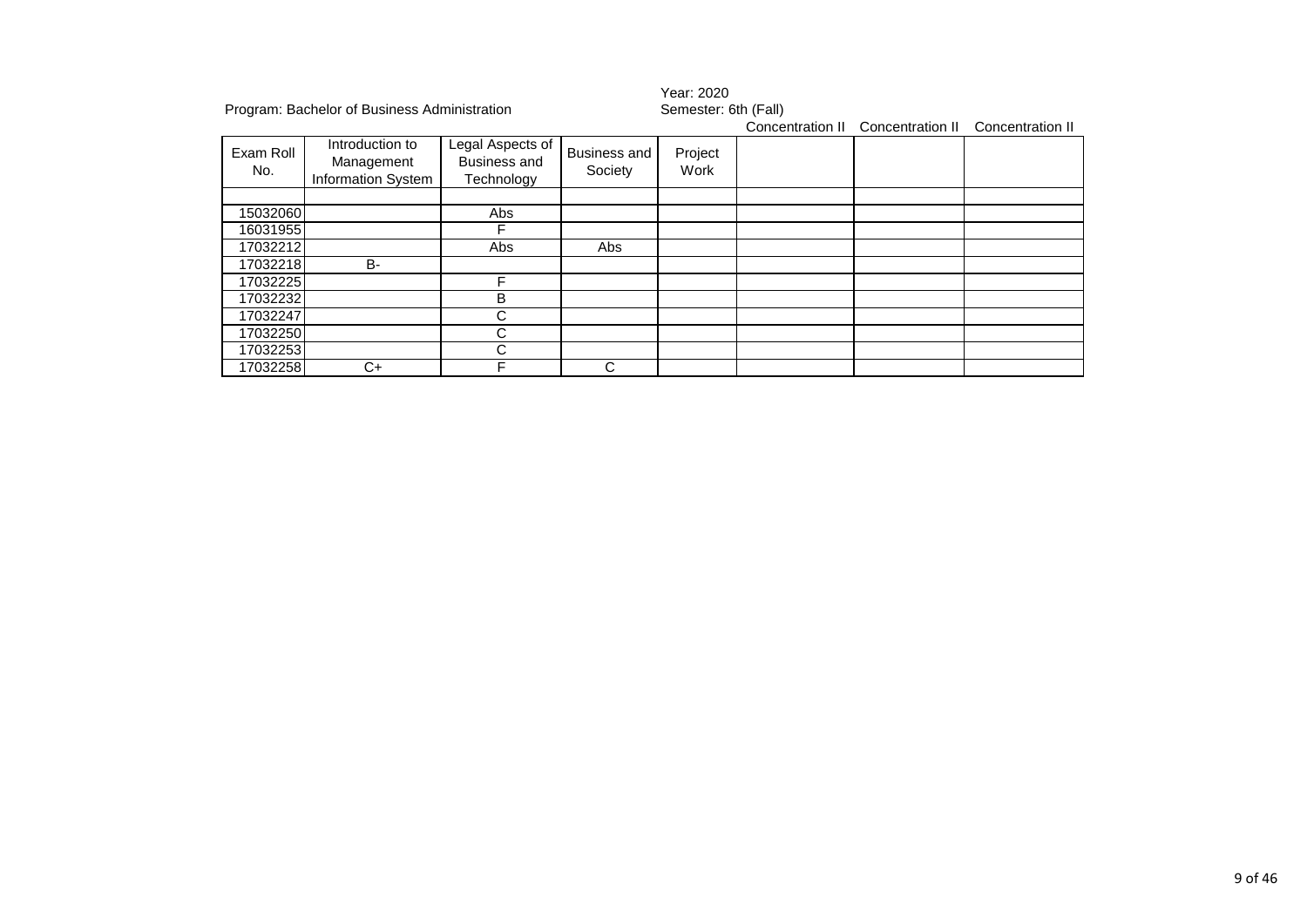|           | Program: Bachelor of Business Administration |                  |                     | Year: 2020<br>Semester: 6th (Fall) |                  |                  |                  |  |
|-----------|----------------------------------------------|------------------|---------------------|------------------------------------|------------------|------------------|------------------|--|
|           |                                              |                  |                     |                                    | Concentration II | Concentration II | Concentration II |  |
| Exam Roll | Introduction to                              | Legal Aspects of | <b>Business and</b> | Project                            |                  |                  |                  |  |
|           | Management                                   | Business and     |                     |                                    |                  |                  |                  |  |
| No.       | Information System                           | Technology       | Society             | Work                               |                  |                  |                  |  |
|           |                                              |                  |                     |                                    |                  |                  |                  |  |
| 15032060  |                                              | Abs              |                     |                                    |                  |                  |                  |  |
| 16031955  |                                              |                  |                     |                                    |                  |                  |                  |  |
| 17032212  |                                              | Abs              | Abs                 |                                    |                  |                  |                  |  |
| 17032218  | <b>B-</b>                                    |                  |                     |                                    |                  |                  |                  |  |
| 17032225  |                                              | F                |                     |                                    |                  |                  |                  |  |
| 17032232  |                                              | B                |                     |                                    |                  |                  |                  |  |
| 17032247  |                                              | С                |                     |                                    |                  |                  |                  |  |
| 17032250  |                                              | С                |                     |                                    |                  |                  |                  |  |
| 17032253  |                                              | С                |                     |                                    |                  |                  |                  |  |
| 17032258  | C+                                           | F                | С                   |                                    |                  |                  |                  |  |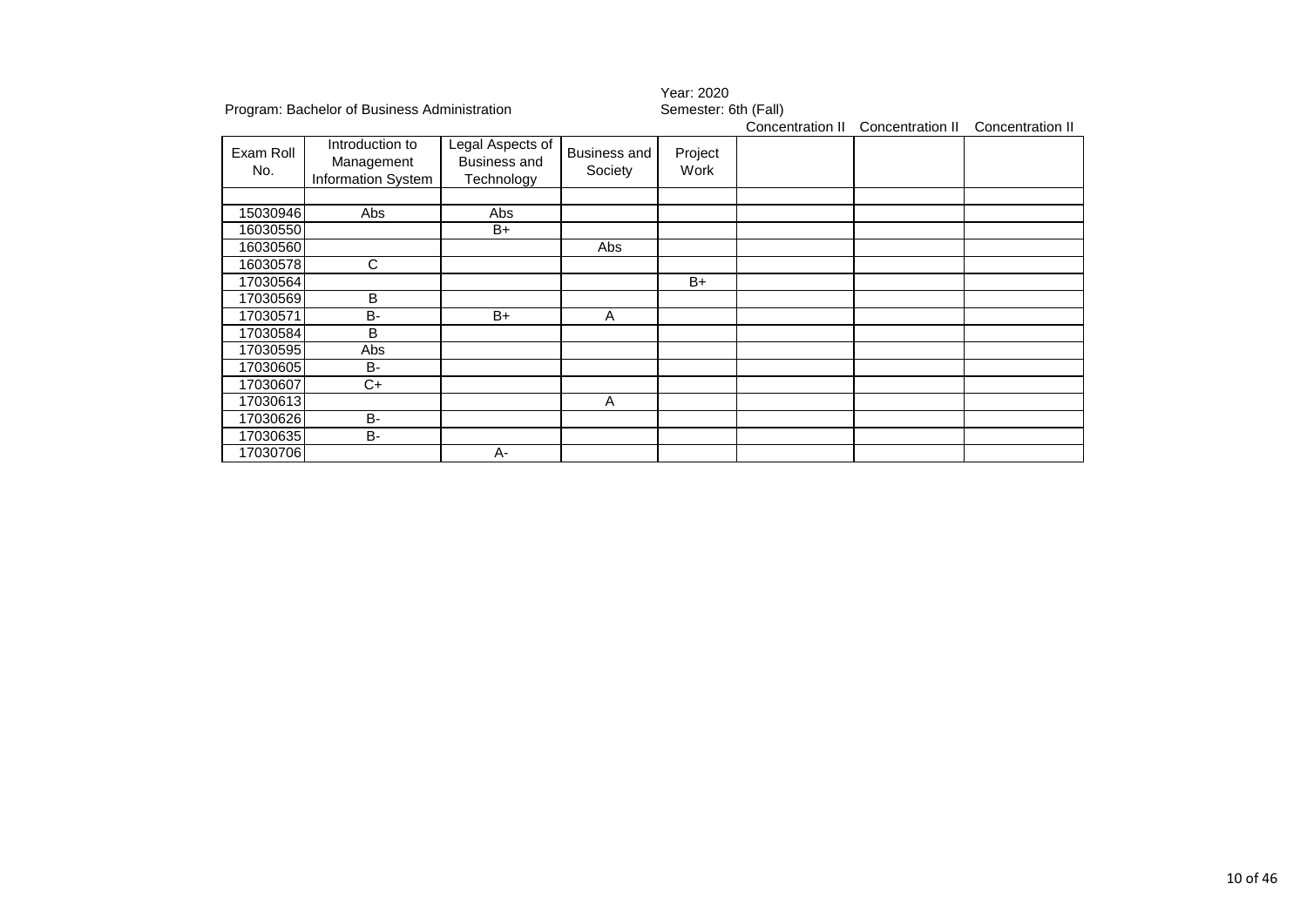|                  |                                                     |                                                       |                         | Year: 2020           |                  |                  |                  |  |  |
|------------------|-----------------------------------------------------|-------------------------------------------------------|-------------------------|----------------------|------------------|------------------|------------------|--|--|
|                  | Program: Bachelor of Business Administration        |                                                       |                         | Semester: 6th (Fall) |                  |                  |                  |  |  |
|                  |                                                     |                                                       |                         |                      | Concentration II | Concentration II | Concentration II |  |  |
| Exam Roll<br>No. | Introduction to<br>Management<br>Information System | Legal Aspects of<br><b>Business and</b><br>Technology | Business and<br>Society | Project<br>Work      |                  |                  |                  |  |  |
|                  |                                                     |                                                       |                         |                      |                  |                  |                  |  |  |
| 15030946         | Abs                                                 | Abs                                                   |                         |                      |                  |                  |                  |  |  |
| 16030550         |                                                     | B+                                                    |                         |                      |                  |                  |                  |  |  |
| 16030560         |                                                     |                                                       | Abs                     |                      |                  |                  |                  |  |  |
| 16030578         | С                                                   |                                                       |                         |                      |                  |                  |                  |  |  |
| 17030564         |                                                     |                                                       |                         | $B+$                 |                  |                  |                  |  |  |
| 17030569         | B                                                   |                                                       |                         |                      |                  |                  |                  |  |  |
| 17030571         | <b>B-</b>                                           | B+                                                    | A                       |                      |                  |                  |                  |  |  |
| 17030584         | B                                                   |                                                       |                         |                      |                  |                  |                  |  |  |
| 17030595         | Abs                                                 |                                                       |                         |                      |                  |                  |                  |  |  |
| 17030605         | <b>B-</b>                                           |                                                       |                         |                      |                  |                  |                  |  |  |
| 17030607         | $C+$                                                |                                                       |                         |                      |                  |                  |                  |  |  |
| 17030613         |                                                     |                                                       | A                       |                      |                  |                  |                  |  |  |
| 17030626         | <b>B-</b>                                           |                                                       |                         |                      |                  |                  |                  |  |  |
| 17030635         | <b>B-</b>                                           |                                                       |                         |                      |                  |                  |                  |  |  |
| 17030706         |                                                     | А-                                                    |                         |                      |                  |                  |                  |  |  |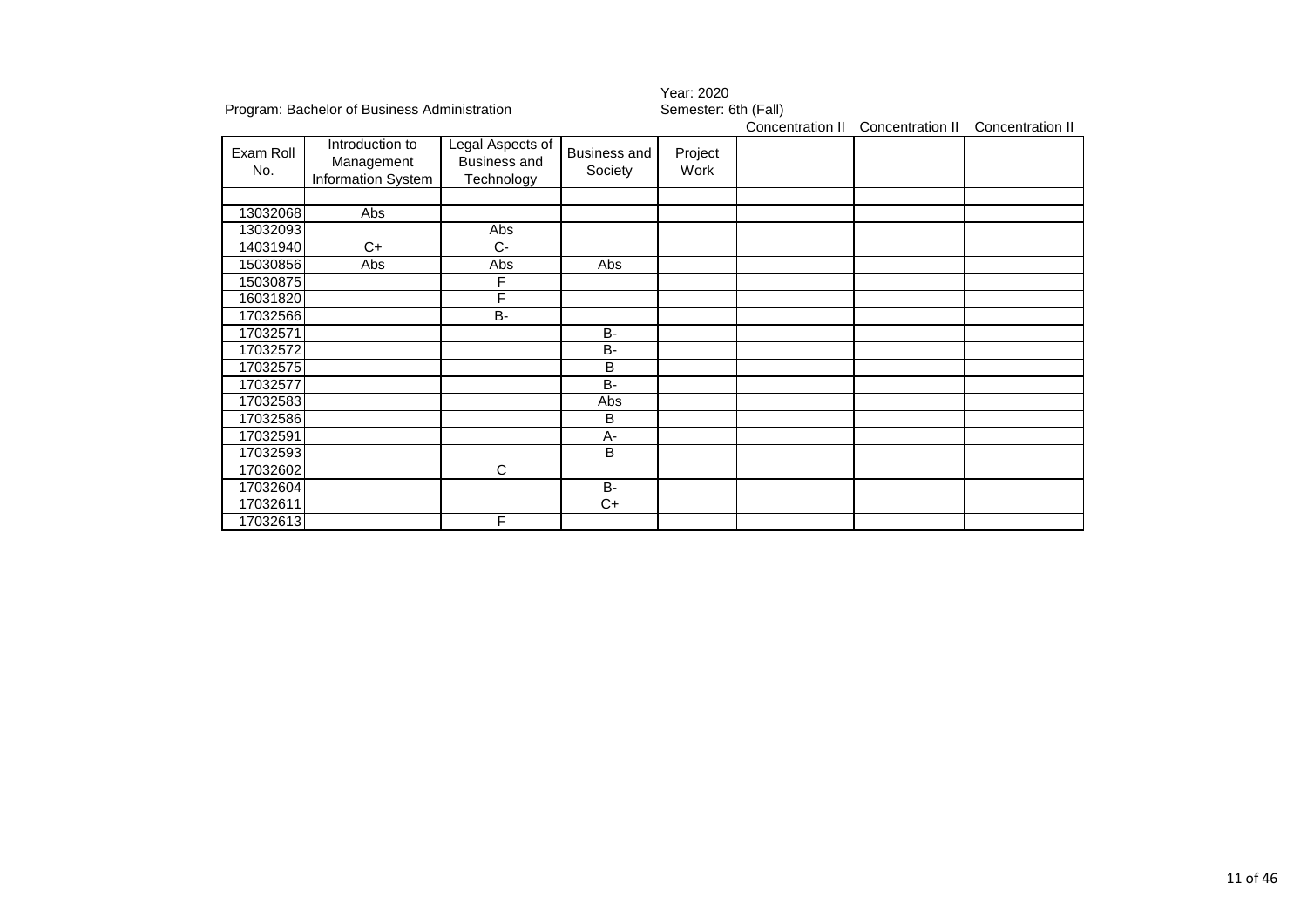|                  |                                                     |                                                       |                         | 1 var. 2020          |                  |                  |                  |  |  |
|------------------|-----------------------------------------------------|-------------------------------------------------------|-------------------------|----------------------|------------------|------------------|------------------|--|--|
|                  | Program: Bachelor of Business Administration        |                                                       |                         | Semester: 6th (Fall) |                  |                  |                  |  |  |
|                  |                                                     |                                                       |                         |                      | Concentration II | Concentration II | Concentration II |  |  |
| Exam Roll<br>No. | Introduction to<br>Management<br>Information System | Legal Aspects of<br><b>Business and</b><br>Technology | Business and<br>Society | Project<br>Work      |                  |                  |                  |  |  |
|                  |                                                     |                                                       |                         |                      |                  |                  |                  |  |  |
| 13032068         | Abs                                                 |                                                       |                         |                      |                  |                  |                  |  |  |
| 13032093         |                                                     | Abs                                                   |                         |                      |                  |                  |                  |  |  |
| 14031940         | $C+$                                                | $C-$                                                  |                         |                      |                  |                  |                  |  |  |
| 15030856         | Abs                                                 | Abs                                                   | Abs                     |                      |                  |                  |                  |  |  |
| 15030875         |                                                     | F                                                     |                         |                      |                  |                  |                  |  |  |
| 16031820         |                                                     | F                                                     |                         |                      |                  |                  |                  |  |  |
| 17032566         |                                                     | $B -$                                                 |                         |                      |                  |                  |                  |  |  |
| 17032571         |                                                     |                                                       | <b>B-</b>               |                      |                  |                  |                  |  |  |
| 17032572         |                                                     |                                                       | B-                      |                      |                  |                  |                  |  |  |
| 17032575         |                                                     |                                                       | B                       |                      |                  |                  |                  |  |  |
| 17032577         |                                                     |                                                       | B-                      |                      |                  |                  |                  |  |  |
| 17032583         |                                                     |                                                       | Abs                     |                      |                  |                  |                  |  |  |
| 17032586         |                                                     |                                                       | B                       |                      |                  |                  |                  |  |  |
| 17032591         |                                                     |                                                       | A-                      |                      |                  |                  |                  |  |  |
| 17032593         |                                                     |                                                       | B                       |                      |                  |                  |                  |  |  |
| 17032602         |                                                     | C                                                     |                         |                      |                  |                  |                  |  |  |
| 17032604         |                                                     |                                                       | <b>B-</b>               |                      |                  |                  |                  |  |  |
| 17032611         |                                                     |                                                       | $C+$                    |                      |                  |                  |                  |  |  |
| 17032613         |                                                     | F                                                     |                         |                      |                  |                  |                  |  |  |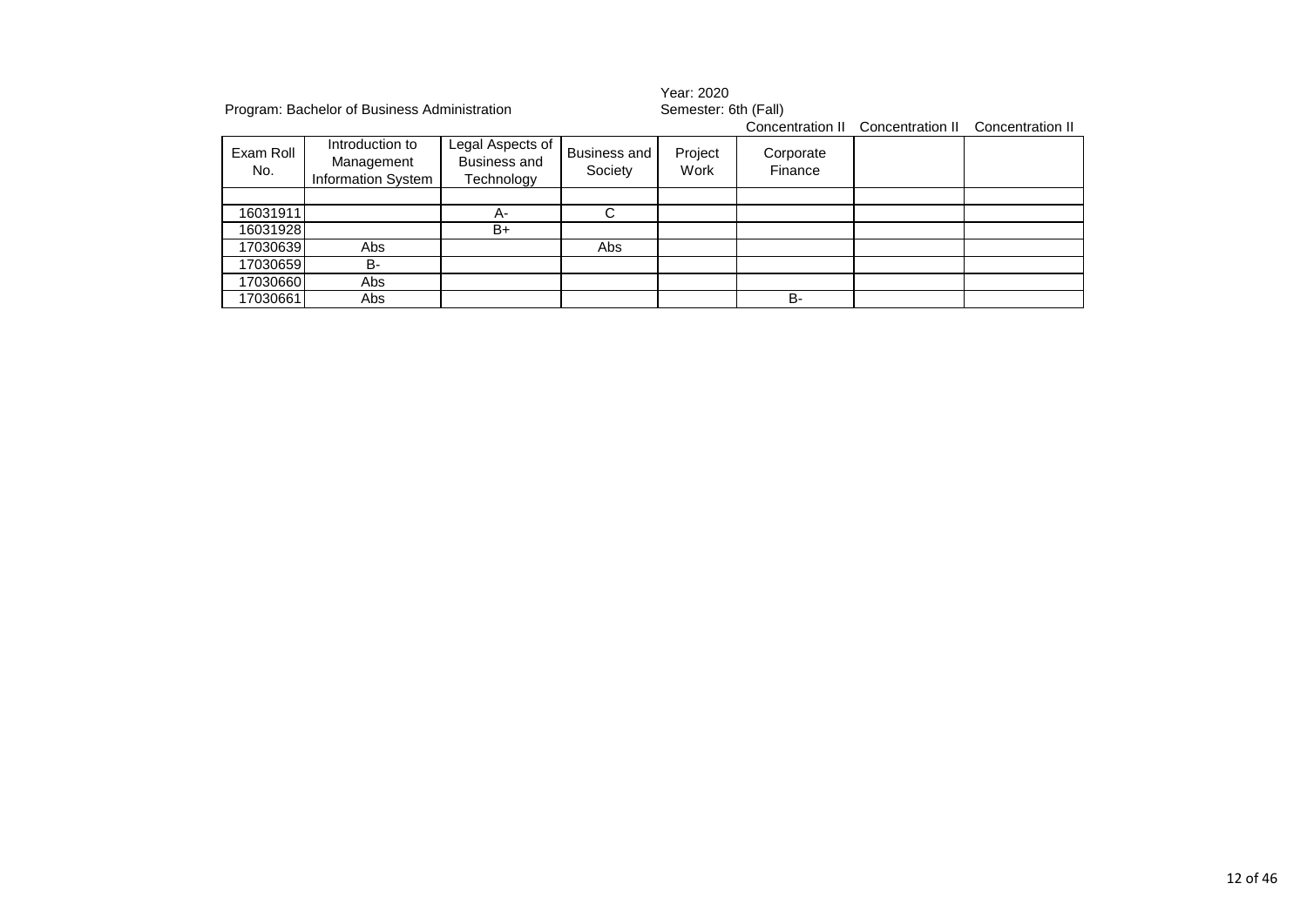|                  | Program: Bachelor of Business Administration               |                                                       |                                | Year: 2020<br>Semester: 6th (Fall) |                      |                  |                  |  |
|------------------|------------------------------------------------------------|-------------------------------------------------------|--------------------------------|------------------------------------|----------------------|------------------|------------------|--|
|                  |                                                            |                                                       |                                |                                    | Concentration II     | Concentration II | Concentration II |  |
| Exam Roll<br>No. | Introduction to<br>Management<br><b>Information System</b> | Legal Aspects of<br><b>Business and</b><br>Technology | <b>Business and</b><br>Society | Project<br>Work                    | Corporate<br>Finance |                  |                  |  |
|                  |                                                            |                                                       |                                |                                    |                      |                  |                  |  |
| 16031911         |                                                            | А-                                                    | C                              |                                    |                      |                  |                  |  |
| 16031928         |                                                            | B+                                                    |                                |                                    |                      |                  |                  |  |
| 17030639         | Abs                                                        |                                                       | Abs                            |                                    |                      |                  |                  |  |
| 17030659         | <b>B-</b>                                                  |                                                       |                                |                                    |                      |                  |                  |  |
| 17030660         | Abs                                                        |                                                       |                                |                                    |                      |                  |                  |  |
| 17030661         | Abs                                                        |                                                       |                                |                                    | <b>B-</b>            |                  |                  |  |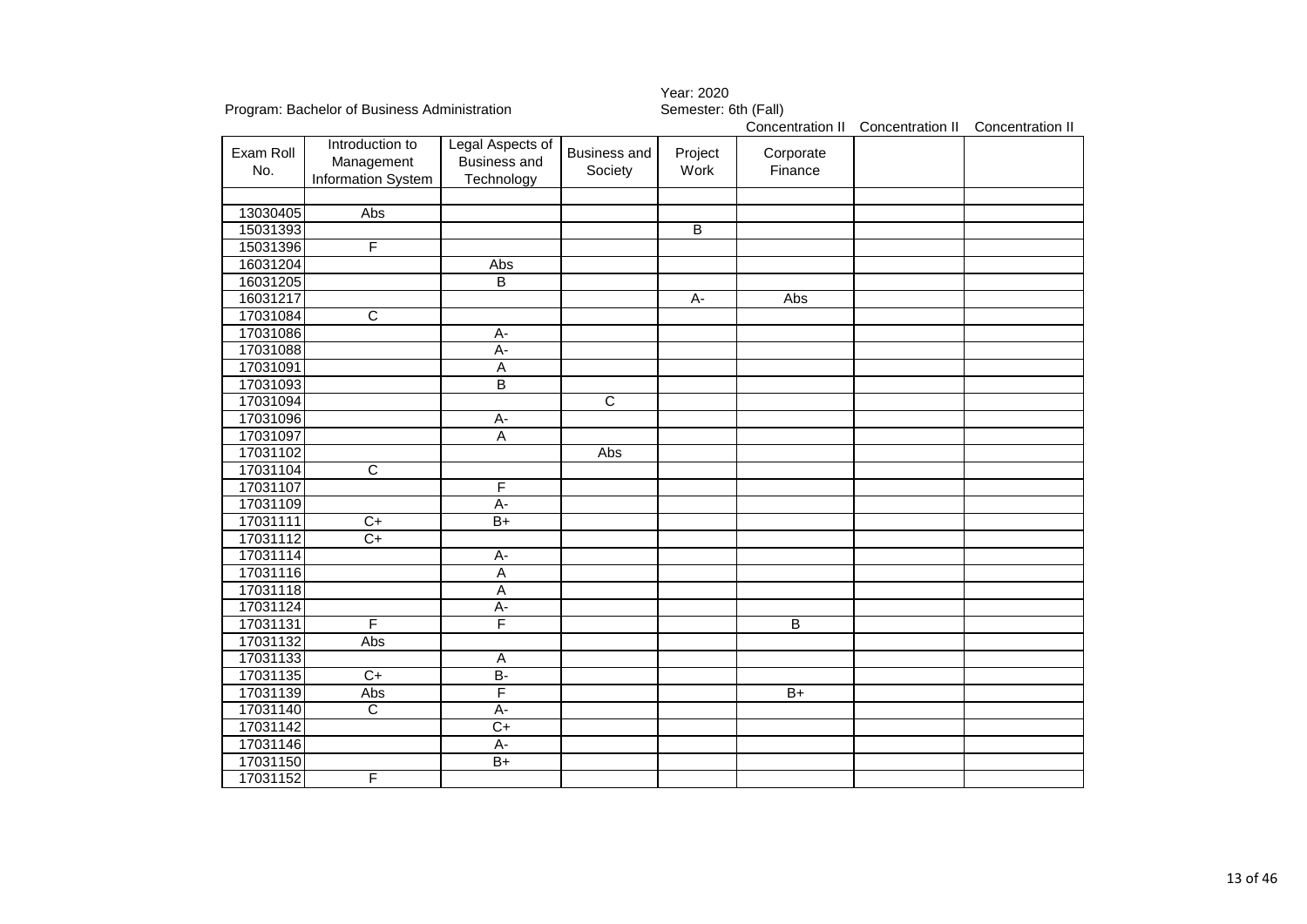|           |                                              |                                         |                       | Year: 2020           |                  |                  |                  |
|-----------|----------------------------------------------|-----------------------------------------|-----------------------|----------------------|------------------|------------------|------------------|
|           | Program: Bachelor of Business Administration |                                         |                       | Semester: 6th (Fall) |                  |                  |                  |
|           |                                              |                                         |                       |                      | Concentration II | Concentration II | Concentration II |
| Exam Roll | Introduction to<br>Management                | Legal Aspects of<br><b>Business and</b> | <b>Business and</b>   | Project              | Corporate        |                  |                  |
| No.       | Information System                           | Technology                              | Society               | Work                 | Finance          |                  |                  |
|           |                                              |                                         |                       |                      |                  |                  |                  |
| 13030405  | Abs                                          |                                         |                       |                      |                  |                  |                  |
| 15031393  |                                              |                                         |                       | $\overline{B}$       |                  |                  |                  |
| 15031396  | F                                            |                                         |                       |                      |                  |                  |                  |
| 16031204  |                                              | Abs                                     |                       |                      |                  |                  |                  |
| 16031205  |                                              | $\overline{B}$                          |                       |                      |                  |                  |                  |
| 16031217  |                                              |                                         |                       | $A -$                | Abs              |                  |                  |
| 17031084  | $\overline{\text{c}}$                        |                                         |                       |                      |                  |                  |                  |
| 17031086  |                                              | A-                                      |                       |                      |                  |                  |                  |
| 17031088  |                                              | $\overline{A}$ -                        |                       |                      |                  |                  |                  |
| 17031091  |                                              | $\overline{A}$                          |                       |                      |                  |                  |                  |
| 17031093  |                                              | B                                       |                       |                      |                  |                  |                  |
| 17031094  |                                              |                                         | $\overline{\text{c}}$ |                      |                  |                  |                  |
| 17031096  |                                              | $\overline{A}$ -                        |                       |                      |                  |                  |                  |
| 17031097  |                                              | $\overline{A}$                          |                       |                      |                  |                  |                  |
| 17031102  |                                              |                                         | Abs                   |                      |                  |                  |                  |
| 17031104  | $\overline{\text{c}}$                        |                                         |                       |                      |                  |                  |                  |
| 17031107  |                                              | F                                       |                       |                      |                  |                  |                  |
| 17031109  |                                              | A-                                      |                       |                      |                  |                  |                  |
| 17031111  | $\overline{C+}$                              | $B+$                                    |                       |                      |                  |                  |                  |
| 17031112  | $C+$                                         |                                         |                       |                      |                  |                  |                  |
| 17031114  |                                              | A-                                      |                       |                      |                  |                  |                  |
| 17031116  |                                              | $\overline{A}$                          |                       |                      |                  |                  |                  |
| 17031118  |                                              | $\overline{A}$                          |                       |                      |                  |                  |                  |
| 17031124  |                                              | $A -$                                   |                       |                      |                  |                  |                  |
| 17031131  | F                                            | F                                       |                       |                      | $\overline{B}$   |                  |                  |
| 17031132  | Abs                                          |                                         |                       |                      |                  |                  |                  |
| 17031133  |                                              | $\overline{A}$                          |                       |                      |                  |                  |                  |
| 17031135  | $\overline{C+}$                              | $\overline{B}$                          |                       |                      |                  |                  |                  |
| 17031139  | Abs                                          | F                                       |                       |                      | $B+$             |                  |                  |
| 17031140  | $\overline{C}$                               | $\overline{A}$ -                        |                       |                      |                  |                  |                  |
| 17031142  |                                              | $\overline{C+}$                         |                       |                      |                  |                  |                  |
| 17031146  |                                              | A-                                      |                       |                      |                  |                  |                  |
| 17031150  |                                              | $B+$                                    |                       |                      |                  |                  |                  |
| 17031152  | F                                            |                                         |                       |                      |                  |                  |                  |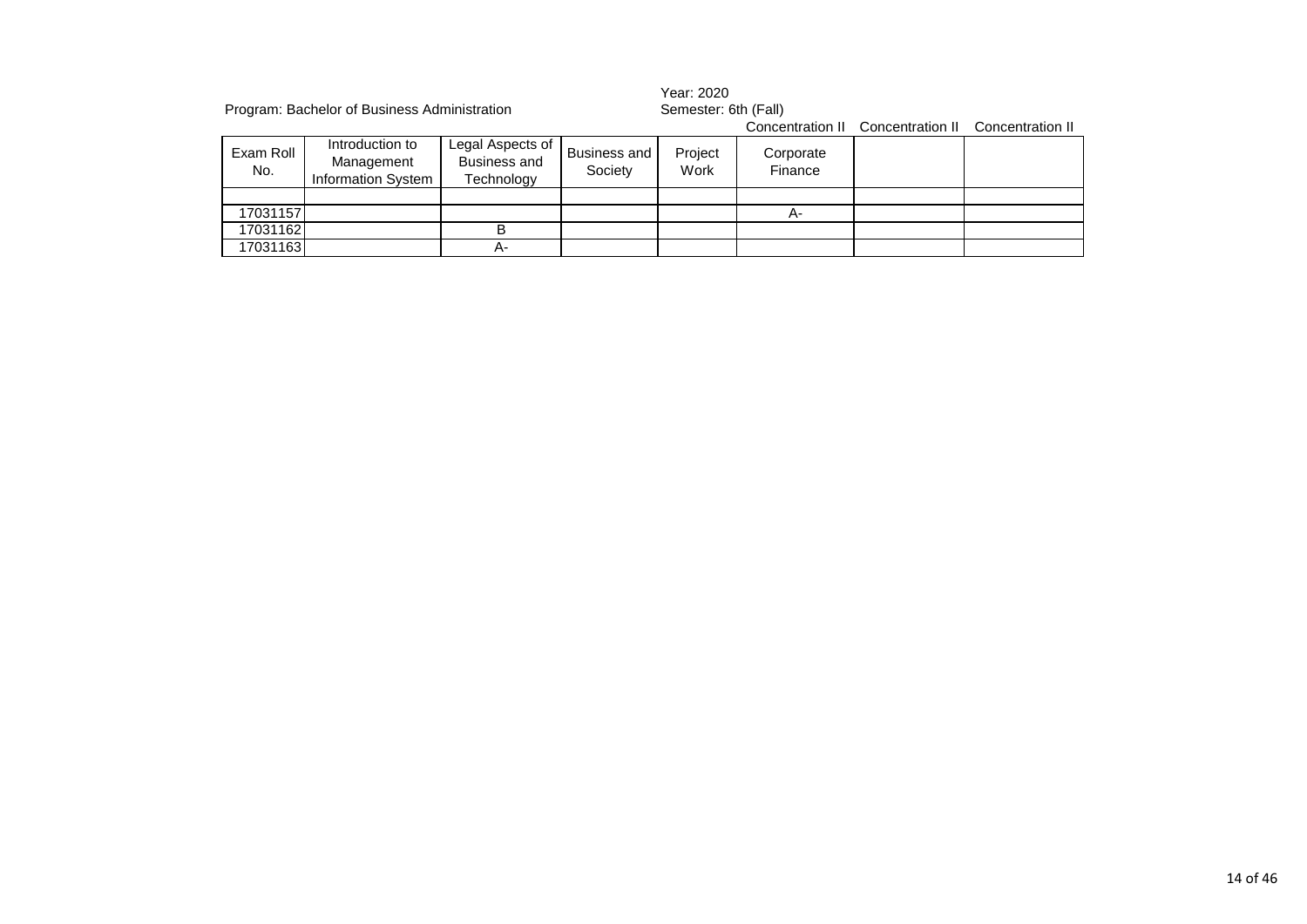|                  | Program: Bachelor of Business Administration               |                                                       |                         | Year: 2020<br>Semester: 6th (Fall) |                      |                                   |                  |  |
|------------------|------------------------------------------------------------|-------------------------------------------------------|-------------------------|------------------------------------|----------------------|-----------------------------------|------------------|--|
|                  |                                                            |                                                       |                         |                                    |                      | Concentration II Concentration II | Concentration II |  |
| Exam Roll<br>No. | Introduction to<br>Management<br><b>Information System</b> | Legal Aspects of<br><b>Business and</b><br>Technology | Business and<br>Society | Project<br>Work                    | Corporate<br>Finance |                                   |                  |  |
|                  |                                                            |                                                       |                         |                                    |                      |                                   |                  |  |
| 17031157         |                                                            |                                                       |                         |                                    | А-                   |                                   |                  |  |
| 17031162         |                                                            | в                                                     |                         |                                    |                      |                                   |                  |  |
| 17031163         |                                                            | А-                                                    |                         |                                    |                      |                                   |                  |  |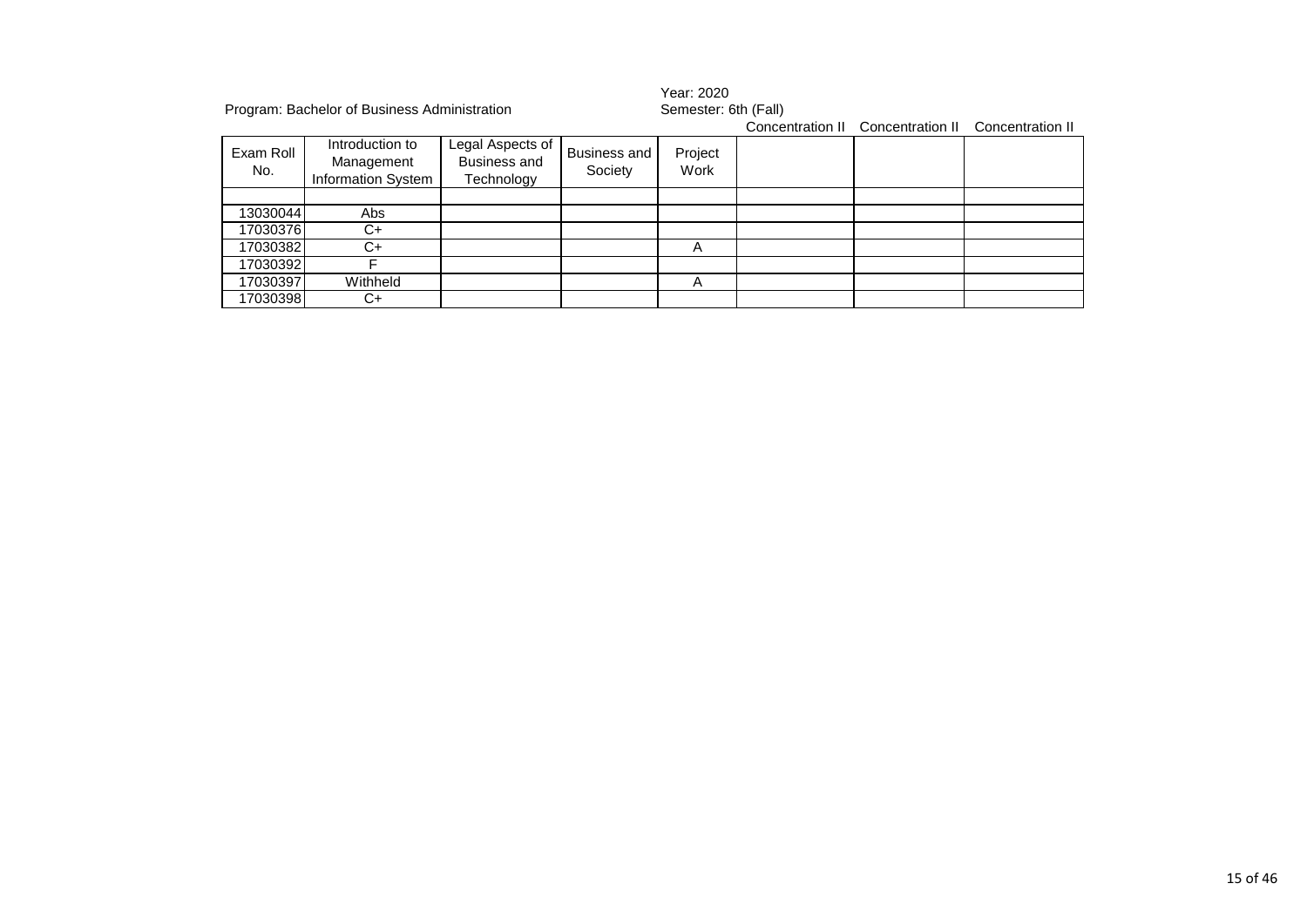|                  | Program: Bachelor of Business Administration               |                                                       |                                | Year: 2020<br>Semester: 6th (Fall) |  |                                   |                  |  |
|------------------|------------------------------------------------------------|-------------------------------------------------------|--------------------------------|------------------------------------|--|-----------------------------------|------------------|--|
|                  |                                                            |                                                       |                                |                                    |  | Concentration II Concentration II | Concentration II |  |
| Exam Roll<br>No. | Introduction to<br>Management<br><b>Information System</b> | Legal Aspects of<br><b>Business and</b><br>Technology | <b>Business and</b><br>Society | Project<br>Work                    |  |                                   |                  |  |
|                  |                                                            |                                                       |                                |                                    |  |                                   |                  |  |
| 13030044         | Abs                                                        |                                                       |                                |                                    |  |                                   |                  |  |
| 17030376         | C+                                                         |                                                       |                                |                                    |  |                                   |                  |  |
| 17030382         | C+                                                         |                                                       |                                | A                                  |  |                                   |                  |  |
| 17030392         |                                                            |                                                       |                                |                                    |  |                                   |                  |  |
| 17030397         | Withheld                                                   |                                                       |                                | A                                  |  |                                   |                  |  |
| 17030398         | C+                                                         |                                                       |                                |                                    |  |                                   |                  |  |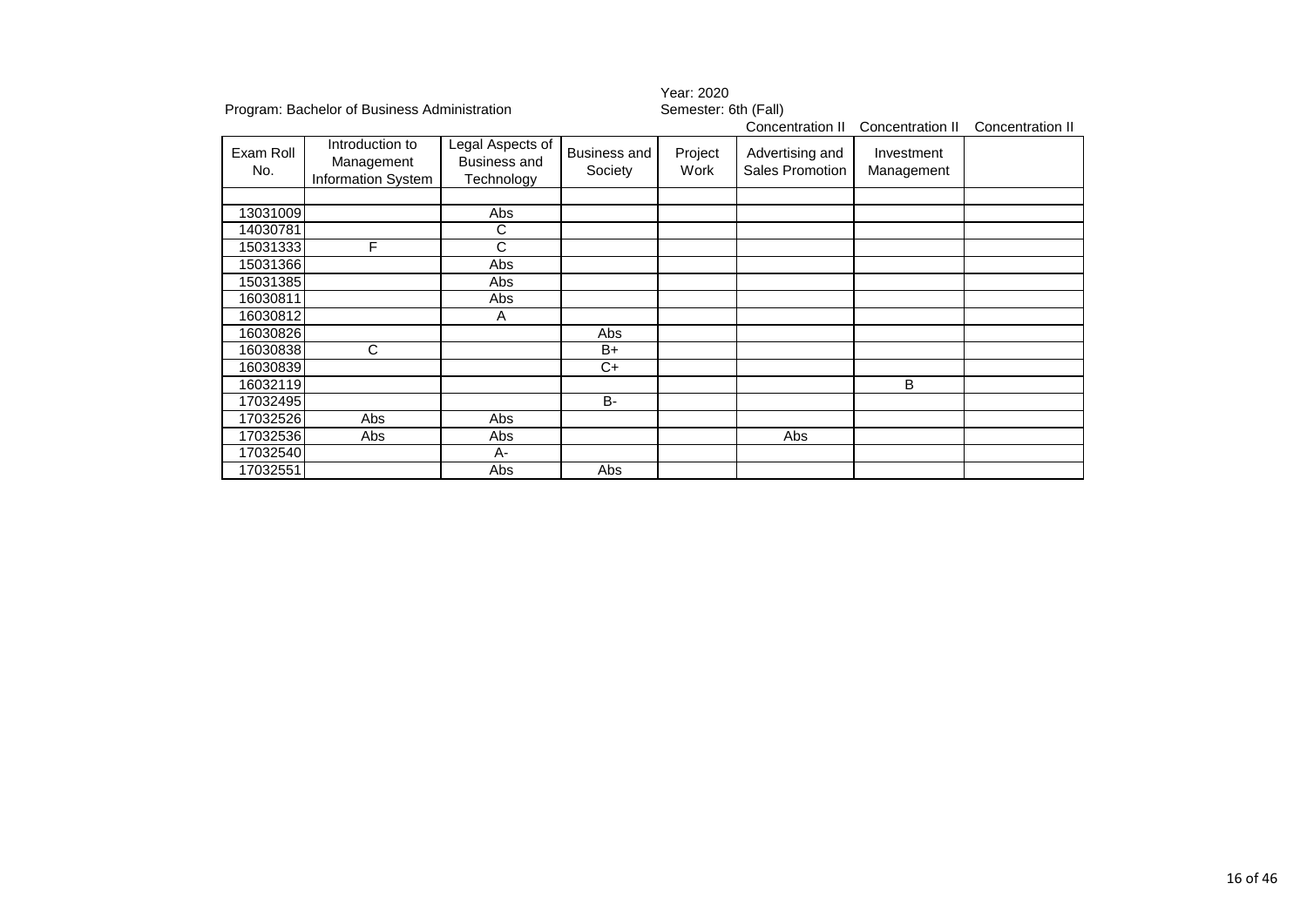|                  |                                                     |                                                       |                                | Year: 2020           |                                    |                          |                  |  |  |
|------------------|-----------------------------------------------------|-------------------------------------------------------|--------------------------------|----------------------|------------------------------------|--------------------------|------------------|--|--|
|                  | Program: Bachelor of Business Administration        |                                                       |                                | Semester: 6th (Fall) |                                    |                          |                  |  |  |
|                  |                                                     |                                                       |                                |                      | Concentration II                   | Concentration II         | Concentration II |  |  |
| Exam Roll<br>No. | Introduction to<br>Management<br>Information System | Legal Aspects of<br><b>Business and</b><br>Technology | <b>Business and</b><br>Society | Project<br>Work      | Advertising and<br>Sales Promotion | Investment<br>Management |                  |  |  |
| 13031009         |                                                     | Abs                                                   |                                |                      |                                    |                          |                  |  |  |
| 14030781         |                                                     | C                                                     |                                |                      |                                    |                          |                  |  |  |
| 15031333         | F                                                   | C                                                     |                                |                      |                                    |                          |                  |  |  |
| 15031366         |                                                     | Abs                                                   |                                |                      |                                    |                          |                  |  |  |
| 15031385         |                                                     | Abs                                                   |                                |                      |                                    |                          |                  |  |  |
| 16030811         |                                                     | Abs                                                   |                                |                      |                                    |                          |                  |  |  |
| 16030812         |                                                     | A                                                     |                                |                      |                                    |                          |                  |  |  |
| 16030826         |                                                     |                                                       | Abs                            |                      |                                    |                          |                  |  |  |
| 16030838         | C                                                   |                                                       | $B+$                           |                      |                                    |                          |                  |  |  |
| 16030839         |                                                     |                                                       | $C+$                           |                      |                                    |                          |                  |  |  |
| 16032119         |                                                     |                                                       |                                |                      |                                    | B                        |                  |  |  |
| 17032495         |                                                     |                                                       | <b>B-</b>                      |                      |                                    |                          |                  |  |  |
| 17032526         | Abs                                                 | Abs                                                   |                                |                      |                                    |                          |                  |  |  |
| 17032536         | Abs                                                 | Abs                                                   |                                |                      | Abs                                |                          |                  |  |  |
| 17032540         |                                                     | $A -$                                                 |                                |                      |                                    |                          |                  |  |  |
| 17032551         |                                                     | Abs                                                   | Abs                            |                      |                                    |                          |                  |  |  |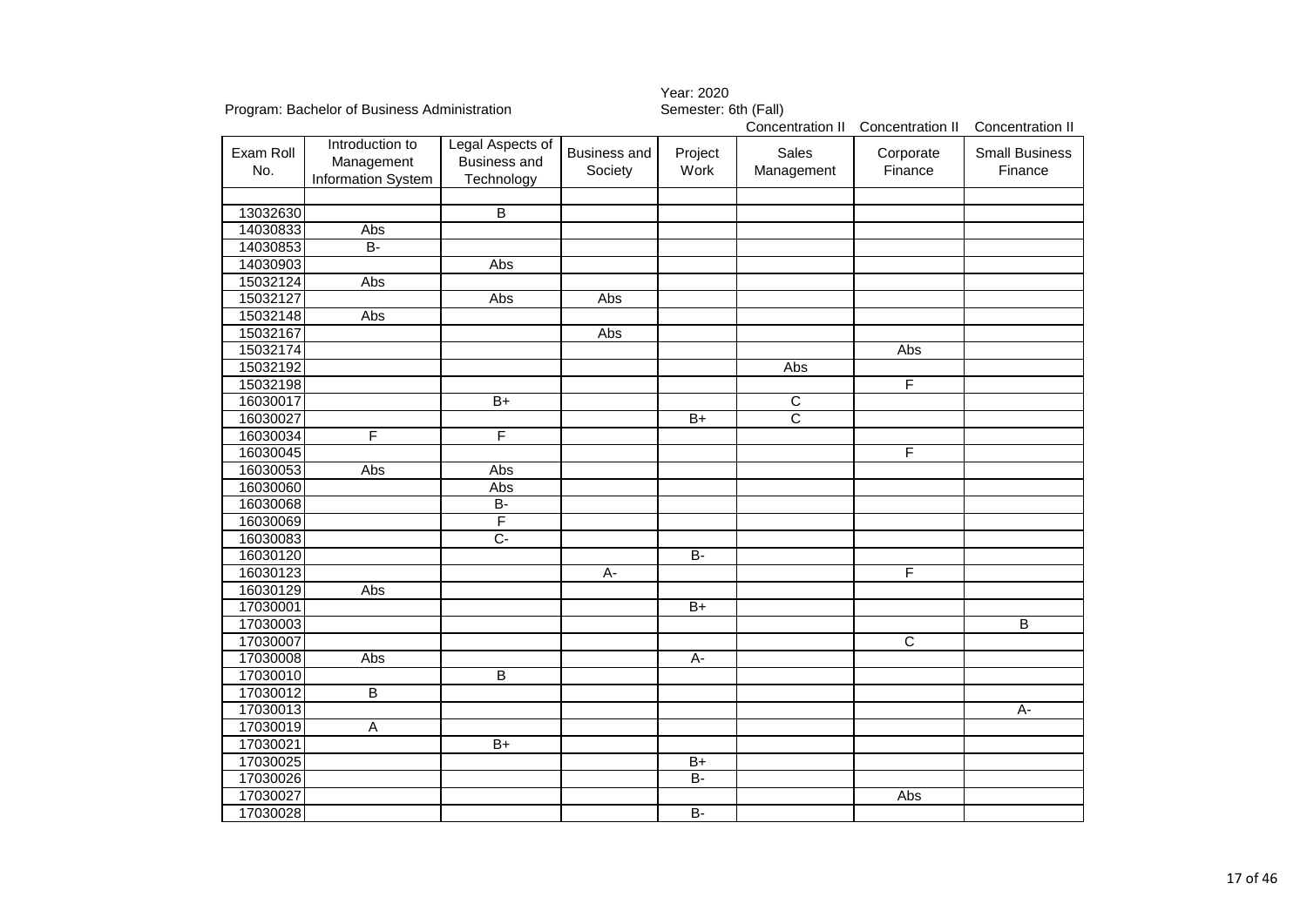| Program: Bachelor of Business Administration |                                                     |                                                | vu:LU<br>Semester: 6th (Fall)  |                                                       |                     |                         |                                  |  |  |
|----------------------------------------------|-----------------------------------------------------|------------------------------------------------|--------------------------------|-------------------------------------------------------|---------------------|-------------------------|----------------------------------|--|--|
|                                              |                                                     |                                                |                                | Concentration II Concentration II<br>Concentration II |                     |                         |                                  |  |  |
| Exam Roll<br>No.                             | Introduction to<br>Management<br>Information System | Legal Aspects of<br>Business and<br>Technology | <b>Business and</b><br>Society | Project<br>Work                                       | Sales<br>Management | Corporate<br>Finance    | <b>Small Business</b><br>Finance |  |  |
| 13032630                                     |                                                     | $\overline{B}$                                 |                                |                                                       |                     |                         |                                  |  |  |
| 14030833                                     | Abs                                                 |                                                |                                |                                                       |                     |                         |                                  |  |  |
| 14030853                                     | $B -$                                               |                                                |                                |                                                       |                     |                         |                                  |  |  |
| 14030903                                     |                                                     | Abs                                            |                                |                                                       |                     |                         |                                  |  |  |
| 15032124                                     | Abs                                                 |                                                |                                |                                                       |                     |                         |                                  |  |  |
| 15032127                                     |                                                     | Abs                                            | Abs                            |                                                       |                     |                         |                                  |  |  |
| 15032148                                     | Abs                                                 |                                                |                                |                                                       |                     |                         |                                  |  |  |
| 15032167                                     |                                                     |                                                | Abs                            |                                                       |                     |                         |                                  |  |  |
| 15032174                                     |                                                     |                                                |                                |                                                       |                     | Abs                     |                                  |  |  |
| 15032192                                     |                                                     |                                                |                                |                                                       | Abs                 |                         |                                  |  |  |
| 15032198                                     |                                                     |                                                |                                |                                                       |                     | F                       |                                  |  |  |
| 16030017                                     |                                                     | $B+$                                           |                                |                                                       | $\overline{C}$      |                         |                                  |  |  |
| 16030027                                     |                                                     |                                                |                                | $B+$                                                  | $\overline{C}$      |                         |                                  |  |  |
| 16030034                                     | F                                                   | F                                              |                                |                                                       |                     |                         |                                  |  |  |
| 16030045                                     |                                                     |                                                |                                |                                                       |                     | $\overline{\mathsf{F}}$ |                                  |  |  |
| 16030053                                     | Abs                                                 | Abs                                            |                                |                                                       |                     |                         |                                  |  |  |
| 16030060                                     |                                                     | Abs                                            |                                |                                                       |                     |                         |                                  |  |  |
| 16030068                                     |                                                     | $\overline{B}$                                 |                                |                                                       |                     |                         |                                  |  |  |
| 16030069                                     |                                                     | F                                              |                                |                                                       |                     |                         |                                  |  |  |
| 16030083                                     |                                                     | C-                                             |                                |                                                       |                     |                         |                                  |  |  |
| 16030120                                     |                                                     |                                                |                                | $B -$                                                 |                     |                         |                                  |  |  |
| 16030123                                     |                                                     |                                                | $\overline{A}$ -               |                                                       |                     | F                       |                                  |  |  |
| 16030129                                     | Abs                                                 |                                                |                                |                                                       |                     |                         |                                  |  |  |
| 17030001                                     |                                                     |                                                |                                | $\overline{B+}$                                       |                     |                         |                                  |  |  |
| 17030003                                     |                                                     |                                                |                                |                                                       |                     |                         | $\overline{B}$                   |  |  |
| 17030007                                     |                                                     |                                                |                                |                                                       |                     | $\overline{c}$          |                                  |  |  |
| 17030008                                     | Abs                                                 |                                                |                                | A-                                                    |                     |                         |                                  |  |  |
| 17030010                                     |                                                     | $\overline{B}$                                 |                                |                                                       |                     |                         |                                  |  |  |
| 17030012                                     | $\overline{B}$                                      |                                                |                                |                                                       |                     |                         |                                  |  |  |
| 17030013                                     |                                                     |                                                |                                |                                                       |                     |                         | А-                               |  |  |
| 17030019                                     | A                                                   |                                                |                                |                                                       |                     |                         |                                  |  |  |
| 17030021                                     |                                                     | $B+$                                           |                                |                                                       |                     |                         |                                  |  |  |
| 17030025                                     |                                                     |                                                |                                | $B+$                                                  |                     |                         |                                  |  |  |
| 17030026                                     |                                                     |                                                |                                | B-                                                    |                     |                         |                                  |  |  |
| 17030027                                     |                                                     |                                                |                                |                                                       |                     | Abs                     |                                  |  |  |
| 17030028                                     |                                                     |                                                |                                | $B -$                                                 |                     |                         |                                  |  |  |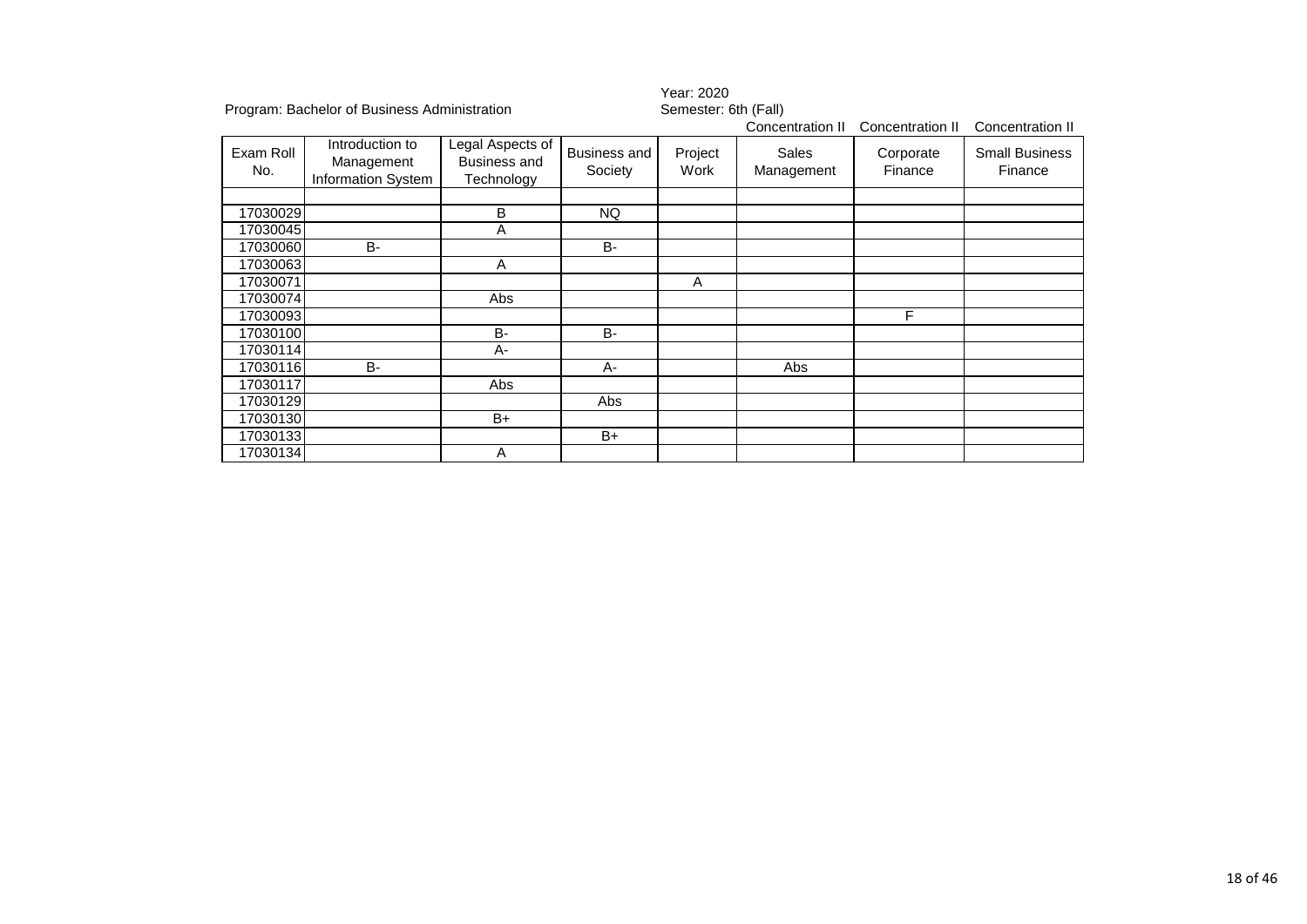|                  |                                                     |                                                       |                                | Year: 2020           |                     |                      |                                  |  |  |
|------------------|-----------------------------------------------------|-------------------------------------------------------|--------------------------------|----------------------|---------------------|----------------------|----------------------------------|--|--|
|                  | Program: Bachelor of Business Administration        |                                                       |                                | Semester: 6th (Fall) |                     |                      |                                  |  |  |
|                  |                                                     |                                                       |                                |                      | Concentration II    | Concentration II     | Concentration II                 |  |  |
| Exam Roll<br>No. | Introduction to<br>Management<br>Information System | Legal Aspects of<br><b>Business and</b><br>Technology | <b>Business and</b><br>Society | Project<br>Work      | Sales<br>Management | Corporate<br>Finance | <b>Small Business</b><br>Finance |  |  |
|                  |                                                     |                                                       |                                |                      |                     |                      |                                  |  |  |
| 17030029         |                                                     | B                                                     | <b>NQ</b>                      |                      |                     |                      |                                  |  |  |
| 17030045         |                                                     | A                                                     |                                |                      |                     |                      |                                  |  |  |
| 17030060         | <b>B-</b>                                           |                                                       | <b>B-</b>                      |                      |                     |                      |                                  |  |  |
| 17030063         |                                                     | A                                                     |                                |                      |                     |                      |                                  |  |  |
| 17030071         |                                                     |                                                       |                                | Α                    |                     |                      |                                  |  |  |
| 17030074         |                                                     | Abs                                                   |                                |                      |                     |                      |                                  |  |  |
| 17030093         |                                                     |                                                       |                                |                      |                     | F                    |                                  |  |  |
| 17030100         |                                                     | <b>B-</b>                                             | <b>B-</b>                      |                      |                     |                      |                                  |  |  |
| 17030114         |                                                     | A-                                                    |                                |                      |                     |                      |                                  |  |  |
| 17030116         | <b>B-</b>                                           |                                                       | A-                             |                      | Abs                 |                      |                                  |  |  |
| 17030117         |                                                     | Abs                                                   |                                |                      |                     |                      |                                  |  |  |
| 17030129         |                                                     |                                                       | Abs                            |                      |                     |                      |                                  |  |  |
| 17030130         |                                                     | B+                                                    |                                |                      |                     |                      |                                  |  |  |
| 17030133         |                                                     |                                                       | $B+$                           |                      |                     |                      |                                  |  |  |
| 17030134         |                                                     | Α                                                     |                                |                      |                     |                      |                                  |  |  |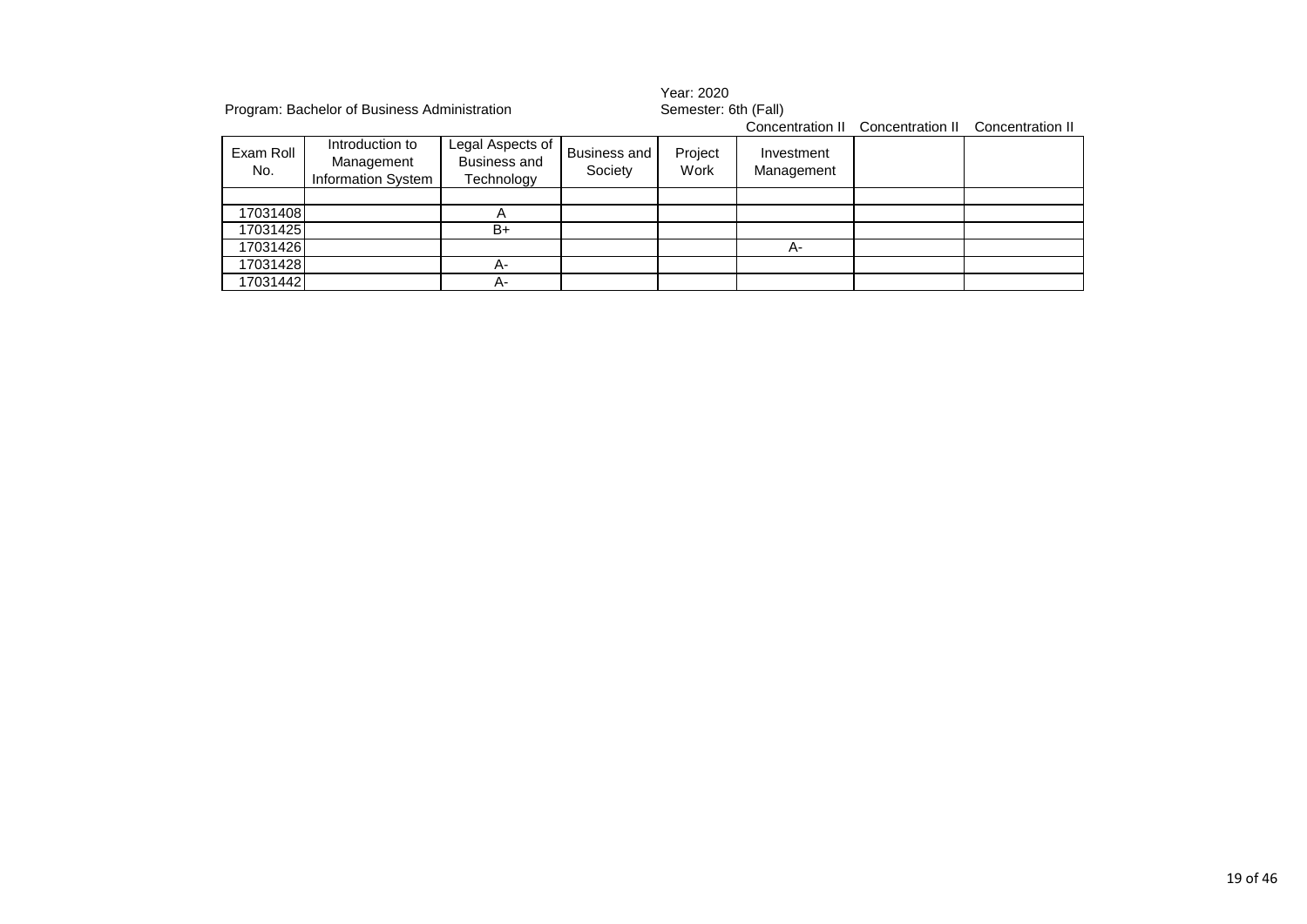|                  | Program: Bachelor of Business Administration               |                                                       |                                | Year: 2020<br>Semester: 6th (Fall) |                          |                                   |                  |  |
|------------------|------------------------------------------------------------|-------------------------------------------------------|--------------------------------|------------------------------------|--------------------------|-----------------------------------|------------------|--|
|                  |                                                            |                                                       |                                |                                    |                          | Concentration II Concentration II | Concentration II |  |
| Exam Roll<br>No. | Introduction to<br>Management<br><b>Information System</b> | Legal Aspects of<br><b>Business and</b><br>Technology | <b>Business and</b><br>Society | Project<br>Work                    | Investment<br>Management |                                   |                  |  |
|                  |                                                            |                                                       |                                |                                    |                          |                                   |                  |  |
| 17031408         |                                                            | А                                                     |                                |                                    |                          |                                   |                  |  |
| 17031425         |                                                            | $B+$                                                  |                                |                                    |                          |                                   |                  |  |
| 17031426         |                                                            |                                                       |                                |                                    | А-                       |                                   |                  |  |
| 17031428         |                                                            | А-                                                    |                                |                                    |                          |                                   |                  |  |
| 17031442         |                                                            | А-                                                    |                                |                                    |                          |                                   |                  |  |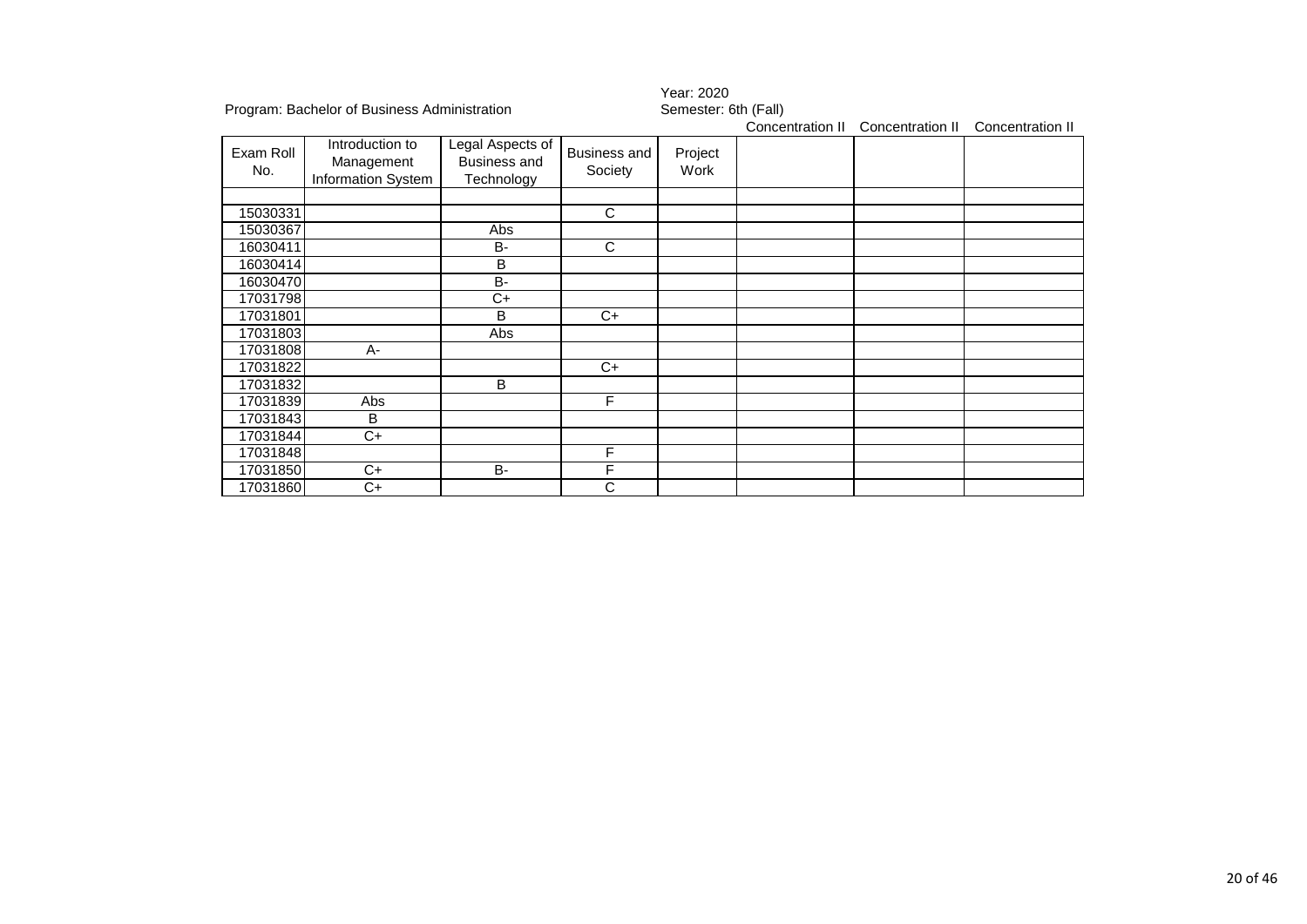|                  |                                                     |                                                              |                                | 1 var. <i>L</i> uzu  |                  |                  |                  |  |  |
|------------------|-----------------------------------------------------|--------------------------------------------------------------|--------------------------------|----------------------|------------------|------------------|------------------|--|--|
|                  | Program: Bachelor of Business Administration        |                                                              |                                | Semester: 6th (Fall) |                  |                  |                  |  |  |
|                  |                                                     |                                                              |                                |                      | Concentration II | Concentration II | Concentration II |  |  |
| Exam Roll<br>No. | Introduction to<br>Management<br>Information System | Legal Aspects of<br><b>Business and</b><br><b>Technology</b> | <b>Business and</b><br>Society | Project<br>Work      |                  |                  |                  |  |  |
| 15030331         |                                                     |                                                              | $\overline{C}$                 |                      |                  |                  |                  |  |  |
| 15030367         |                                                     | Abs                                                          |                                |                      |                  |                  |                  |  |  |
| 16030411         |                                                     | <b>B-</b>                                                    | $\mathbf C$                    |                      |                  |                  |                  |  |  |
| 16030414         |                                                     | B                                                            |                                |                      |                  |                  |                  |  |  |
| 16030470         |                                                     | <b>B-</b>                                                    |                                |                      |                  |                  |                  |  |  |
| 17031798         |                                                     | $\overline{C}$                                               |                                |                      |                  |                  |                  |  |  |
| 17031801         |                                                     | B                                                            | $C+$                           |                      |                  |                  |                  |  |  |
| 17031803         |                                                     | Abs                                                          |                                |                      |                  |                  |                  |  |  |
| 17031808         | $A -$                                               |                                                              |                                |                      |                  |                  |                  |  |  |
| 17031822         |                                                     |                                                              | C+                             |                      |                  |                  |                  |  |  |
| 17031832         |                                                     | B                                                            |                                |                      |                  |                  |                  |  |  |
| 17031839         | Abs                                                 |                                                              | F                              |                      |                  |                  |                  |  |  |
| 17031843         | B                                                   |                                                              |                                |                      |                  |                  |                  |  |  |
| 17031844         | $C+$                                                |                                                              |                                |                      |                  |                  |                  |  |  |
| 17031848         |                                                     |                                                              | F                              |                      |                  |                  |                  |  |  |
| 17031850         | $C+$                                                | <b>B-</b>                                                    | F                              |                      |                  |                  |                  |  |  |
| 17031860         | C+                                                  |                                                              | С                              |                      |                  |                  |                  |  |  |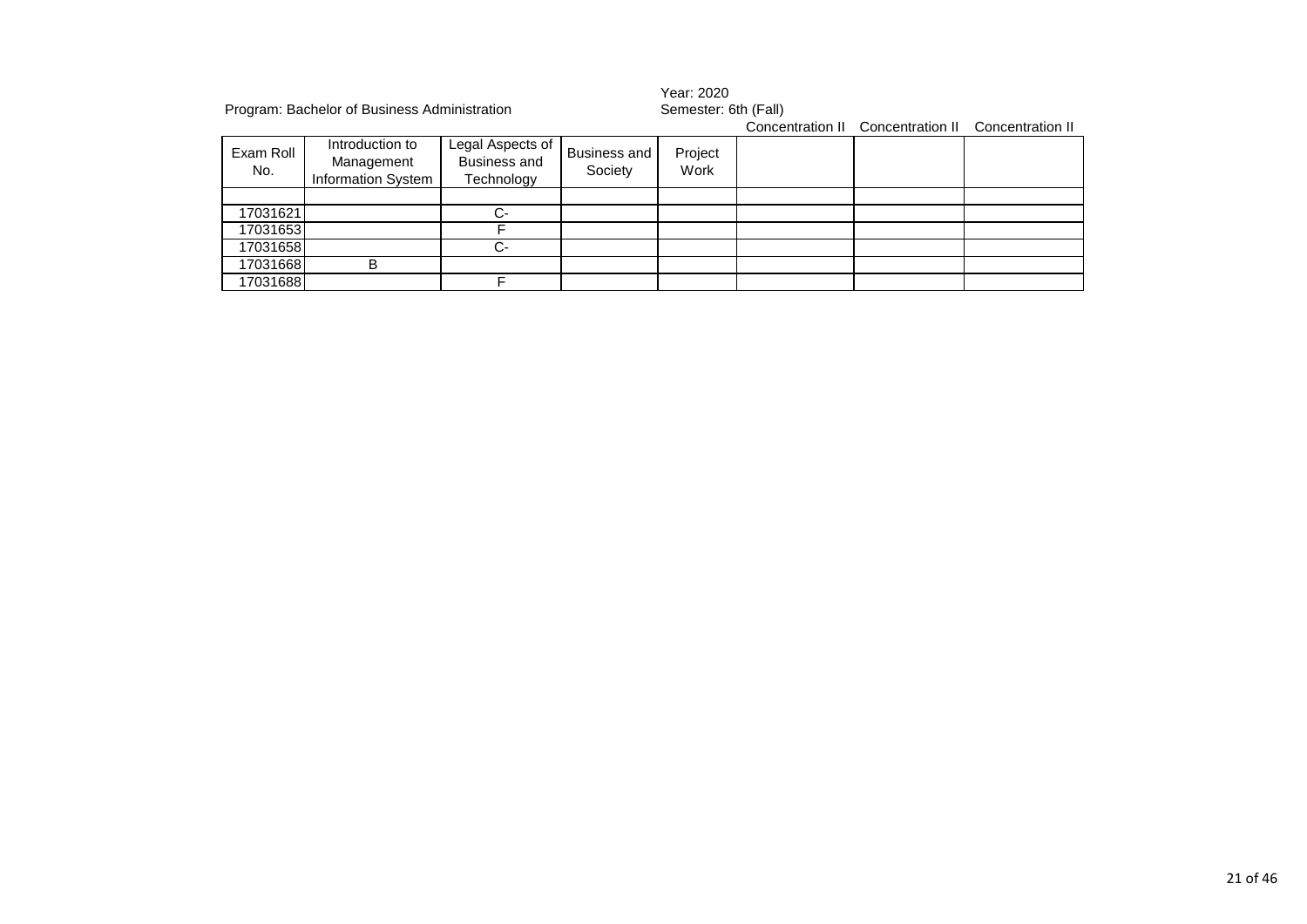|                  | Program: Bachelor of Business Administration               |                                                       |                                | Year: 2020<br>Semester: 6th (Fall) |  |                                   |                  |  |  |
|------------------|------------------------------------------------------------|-------------------------------------------------------|--------------------------------|------------------------------------|--|-----------------------------------|------------------|--|--|
|                  |                                                            |                                                       |                                |                                    |  | Concentration II Concentration II | Concentration II |  |  |
| Exam Roll<br>No. | Introduction to<br>Management<br><b>Information System</b> | Legal Aspects of<br><b>Business and</b><br>Technology | <b>Business and</b><br>Society | Project<br>Work                    |  |                                   |                  |  |  |
|                  |                                                            |                                                       |                                |                                    |  |                                   |                  |  |  |
| 17031621         |                                                            | $C-$                                                  |                                |                                    |  |                                   |                  |  |  |
| 17031653         |                                                            |                                                       |                                |                                    |  |                                   |                  |  |  |
| 17031658         |                                                            | C-                                                    |                                |                                    |  |                                   |                  |  |  |
| 17031668         | в                                                          |                                                       |                                |                                    |  |                                   |                  |  |  |
| 17031688         |                                                            |                                                       |                                |                                    |  |                                   |                  |  |  |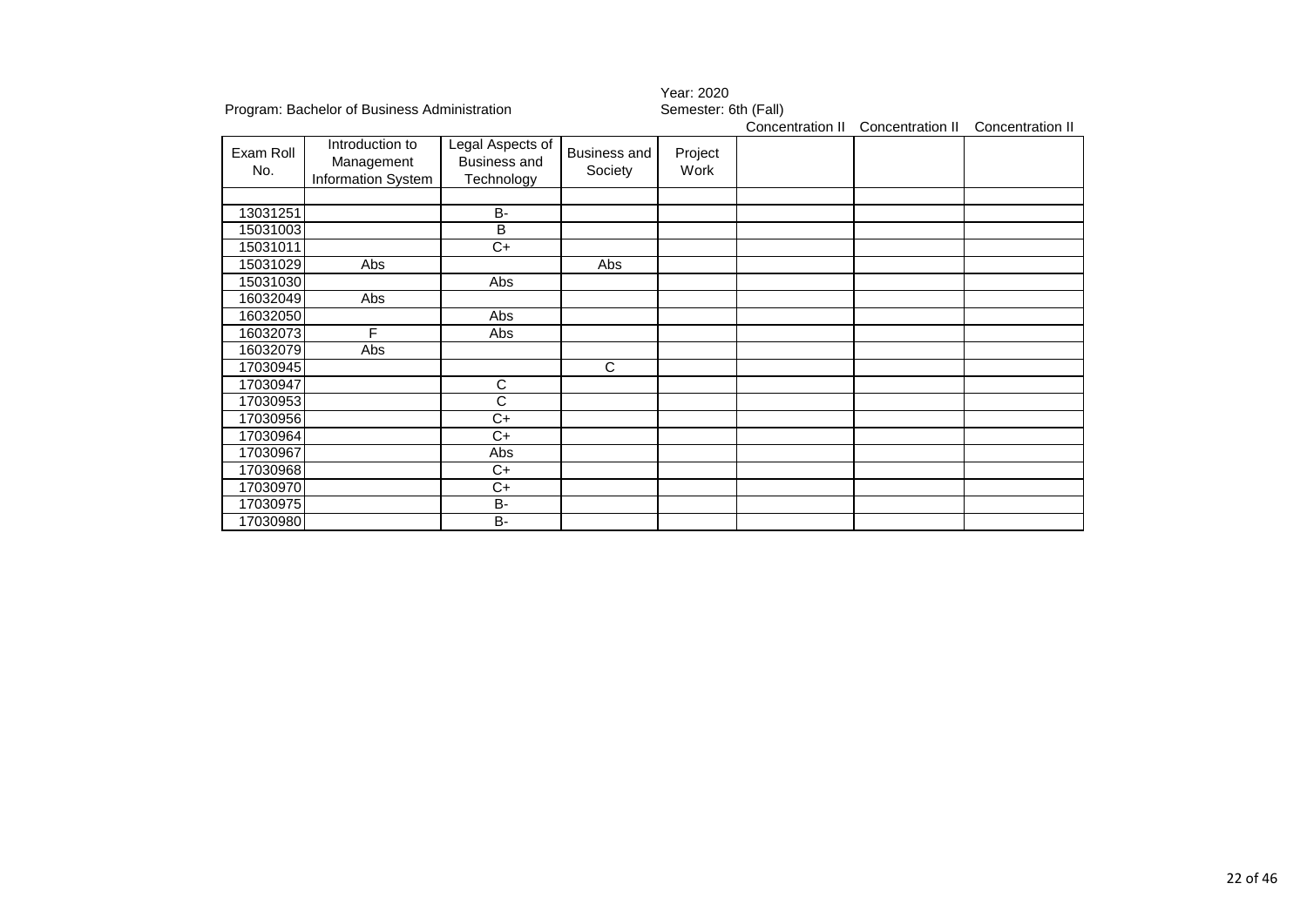|                  |                                                     |                                                       |                         | <b>IGAL ZUZU</b><br>Semester: 6th (Fall) |                  |                  |                  |  |  |
|------------------|-----------------------------------------------------|-------------------------------------------------------|-------------------------|------------------------------------------|------------------|------------------|------------------|--|--|
|                  | Program: Bachelor of Business Administration        |                                                       |                         |                                          | Concentration II | Concentration II | Concentration II |  |  |
| Exam Roll<br>No. | Introduction to<br>Management<br>Information System | Legal Aspects of<br><b>Business and</b><br>Technology | Business and<br>Society | Project<br>Work                          |                  |                  |                  |  |  |
| 13031251         |                                                     | <b>B-</b>                                             |                         |                                          |                  |                  |                  |  |  |
| 15031003         |                                                     | B                                                     |                         |                                          |                  |                  |                  |  |  |
| 15031011         |                                                     | C+                                                    |                         |                                          |                  |                  |                  |  |  |
| 15031029         | Abs                                                 |                                                       | Abs                     |                                          |                  |                  |                  |  |  |
| 15031030         |                                                     | Abs                                                   |                         |                                          |                  |                  |                  |  |  |
| 16032049         | Abs                                                 |                                                       |                         |                                          |                  |                  |                  |  |  |
| 16032050         |                                                     | Abs                                                   |                         |                                          |                  |                  |                  |  |  |
| 16032073         | F                                                   | Abs                                                   |                         |                                          |                  |                  |                  |  |  |
| 16032079         | Abs                                                 |                                                       |                         |                                          |                  |                  |                  |  |  |
| 17030945         |                                                     |                                                       | C                       |                                          |                  |                  |                  |  |  |
| 17030947         |                                                     | С                                                     |                         |                                          |                  |                  |                  |  |  |
| 17030953         |                                                     | C                                                     |                         |                                          |                  |                  |                  |  |  |
| 17030956         |                                                     | C+                                                    |                         |                                          |                  |                  |                  |  |  |
| 17030964         |                                                     | $C+$                                                  |                         |                                          |                  |                  |                  |  |  |
| 17030967         |                                                     | Abs                                                   |                         |                                          |                  |                  |                  |  |  |
| 17030968         |                                                     | C+                                                    |                         |                                          |                  |                  |                  |  |  |
| 17030970         |                                                     | $C+$                                                  |                         |                                          |                  |                  |                  |  |  |
| 17030975         |                                                     | <b>B-</b>                                             |                         |                                          |                  |                  |                  |  |  |
| 17030980         |                                                     | <b>B-</b>                                             |                         |                                          |                  |                  |                  |  |  |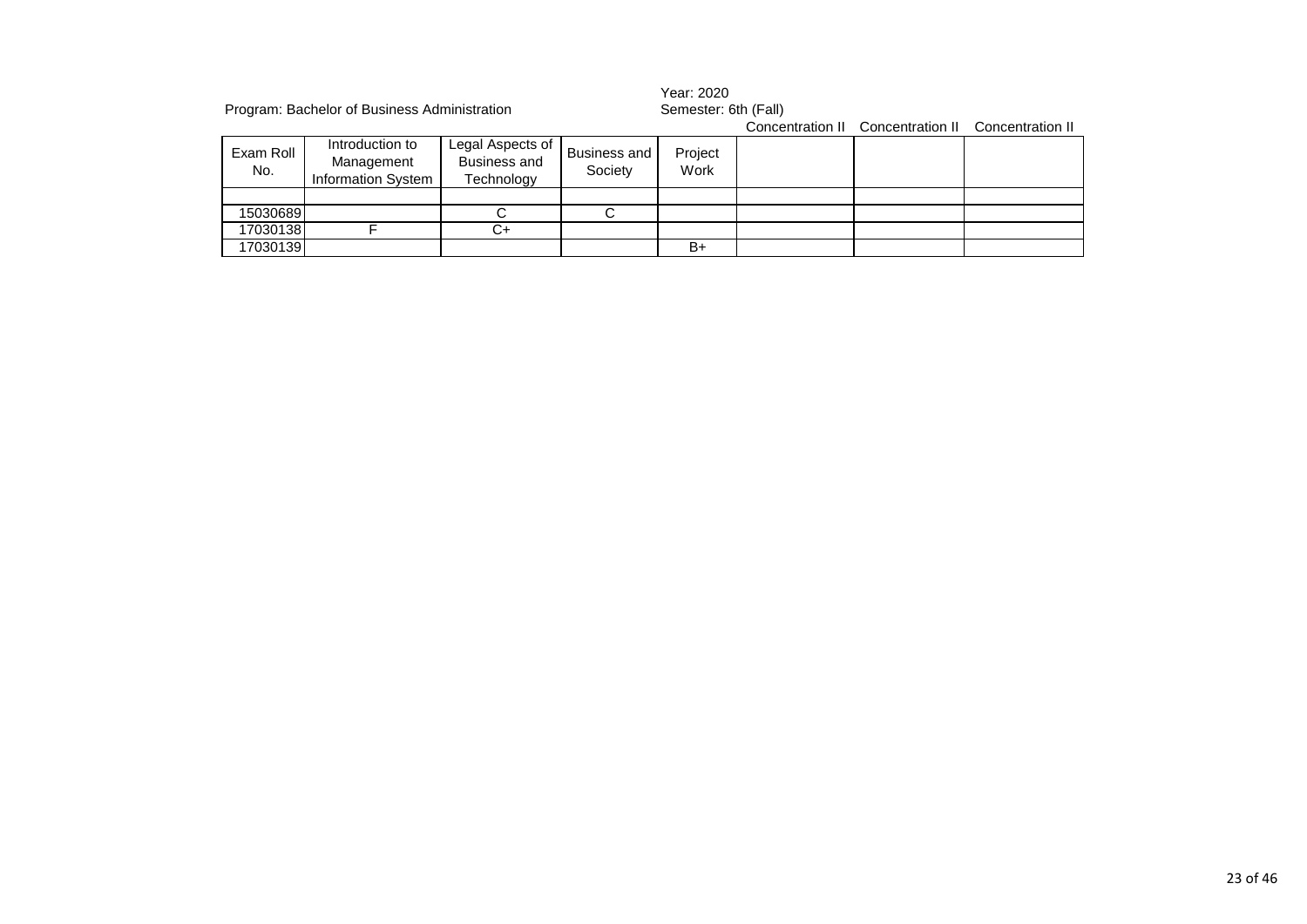|                  | Program: Bachelor of Business Administration        |                                                       |                         | Year: 2020<br>Semester: 6th (Fall) |  |                                   |                  |  |
|------------------|-----------------------------------------------------|-------------------------------------------------------|-------------------------|------------------------------------|--|-----------------------------------|------------------|--|
|                  |                                                     |                                                       |                         |                                    |  | Concentration II Concentration II | Concentration II |  |
| Exam Roll<br>No. | Introduction to<br>Management<br>Information System | Legal Aspects of<br><b>Business and</b><br>Technology | Business and<br>Society | Project<br>Work                    |  |                                   |                  |  |
|                  |                                                     |                                                       |                         |                                    |  |                                   |                  |  |
| 15030689         |                                                     |                                                       |                         |                                    |  |                                   |                  |  |
| 17030138         |                                                     | C+                                                    |                         |                                    |  |                                   |                  |  |
| 17030139         |                                                     |                                                       |                         | $B+$                               |  |                                   |                  |  |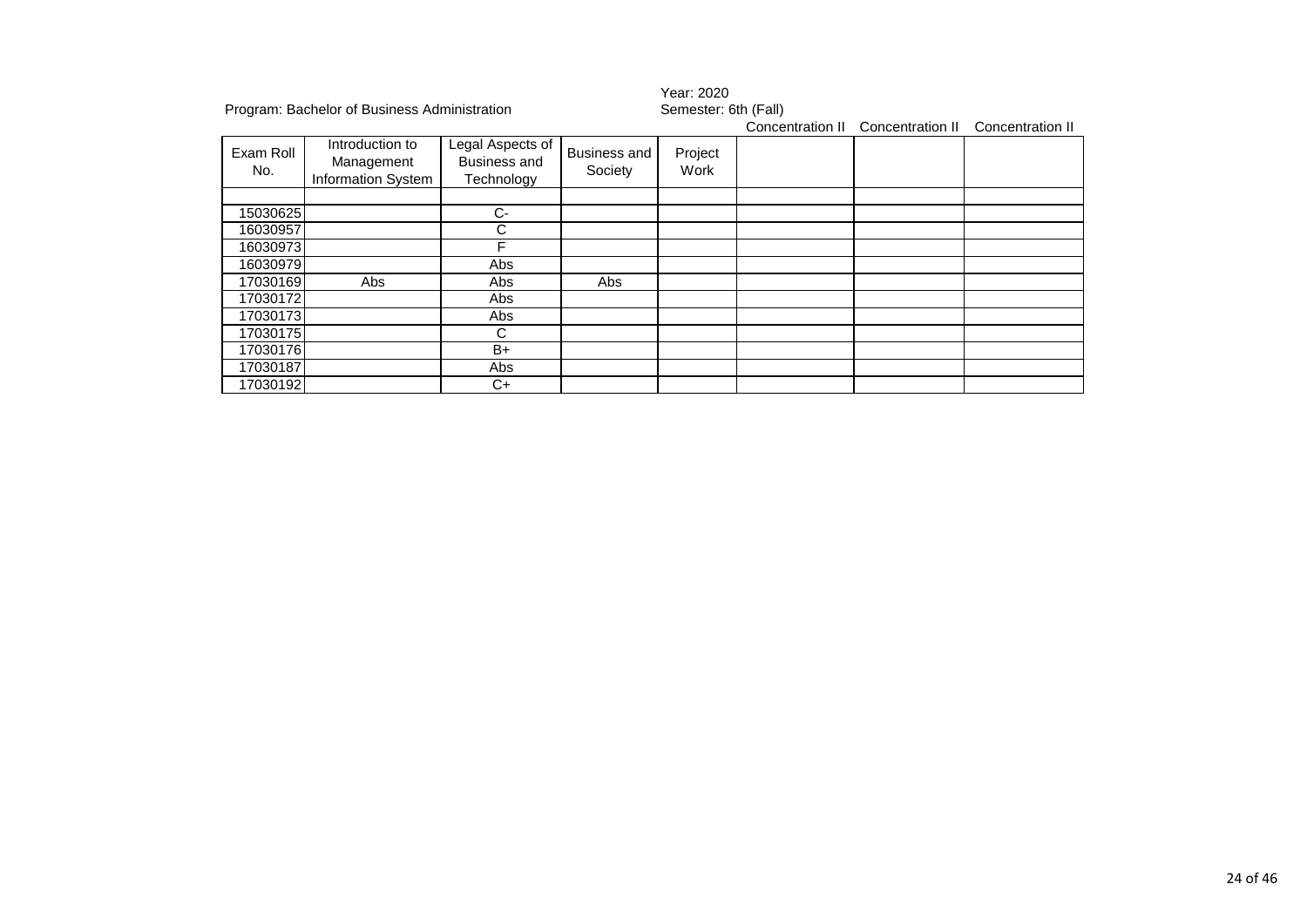|                  | Program: Bachelor of Business Administration        |                                                       |                                | Year: 2020<br>Semester: 6th (Fall) |                  |                  |                  |  |  |
|------------------|-----------------------------------------------------|-------------------------------------------------------|--------------------------------|------------------------------------|------------------|------------------|------------------|--|--|
|                  |                                                     |                                                       |                                |                                    | Concentration II | Concentration II | Concentration II |  |  |
| Exam Roll<br>No. | Introduction to<br>Management<br>Information System | Legal Aspects of<br><b>Business and</b><br>Technology | <b>Business and</b><br>Society | Project<br>Work                    |                  |                  |                  |  |  |
|                  |                                                     |                                                       |                                |                                    |                  |                  |                  |  |  |
| 15030625         |                                                     | C-                                                    |                                |                                    |                  |                  |                  |  |  |
| 16030957         |                                                     | C                                                     |                                |                                    |                  |                  |                  |  |  |
| 16030973         |                                                     | F                                                     |                                |                                    |                  |                  |                  |  |  |
| 16030979         |                                                     | Abs                                                   |                                |                                    |                  |                  |                  |  |  |
| 17030169         | Abs                                                 | Abs                                                   | Abs                            |                                    |                  |                  |                  |  |  |
| 17030172         |                                                     | Abs                                                   |                                |                                    |                  |                  |                  |  |  |
| 17030173         |                                                     | Abs                                                   |                                |                                    |                  |                  |                  |  |  |
| 17030175         |                                                     | C                                                     |                                |                                    |                  |                  |                  |  |  |
| 17030176         |                                                     | B+                                                    |                                |                                    |                  |                  |                  |  |  |
| 17030187         |                                                     | Abs                                                   |                                |                                    |                  |                  |                  |  |  |
| 17030192         |                                                     | C+                                                    |                                |                                    |                  |                  |                  |  |  |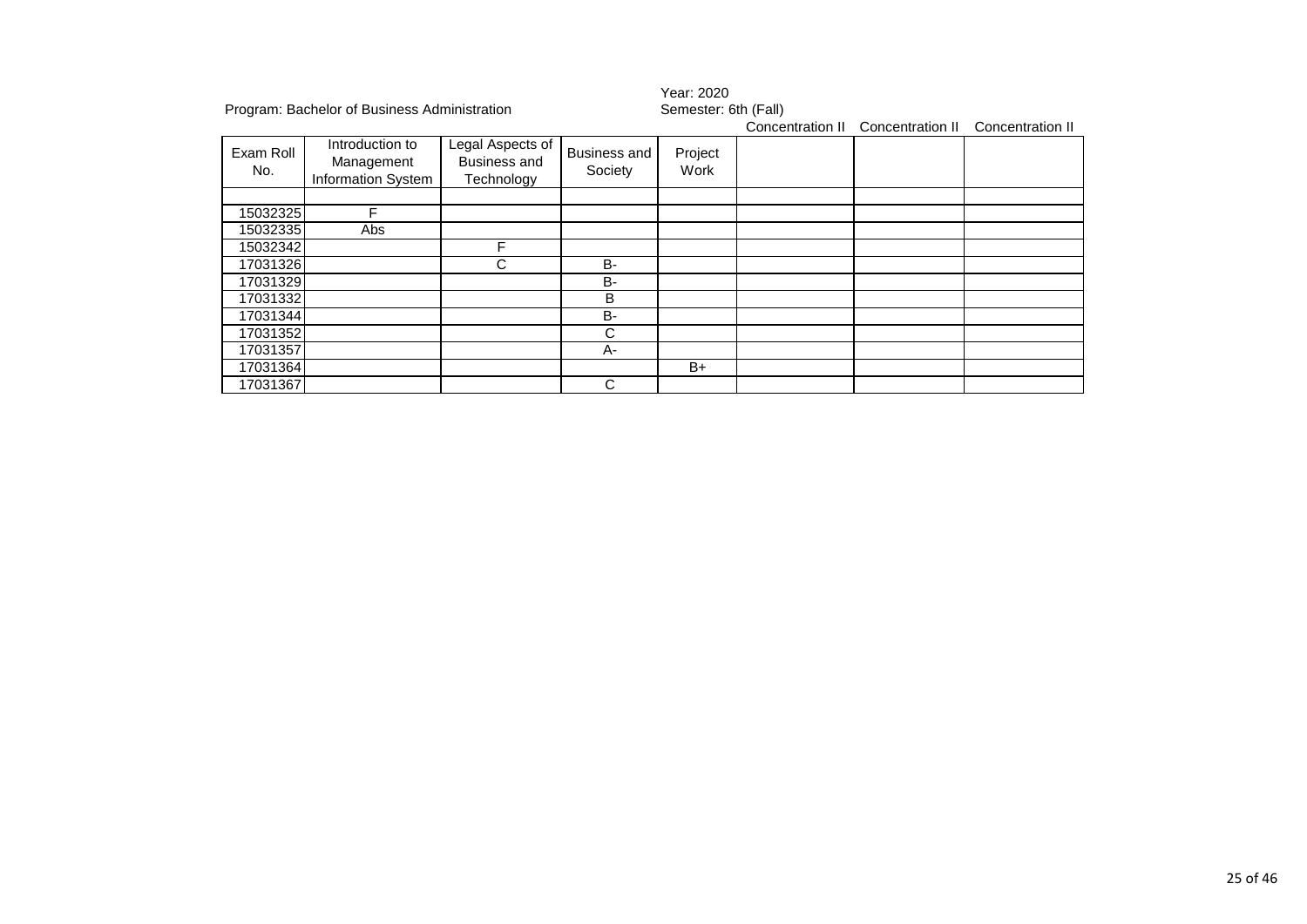|                  | Program: Bachelor of Business Administration        |                                                       |                                | Year: 2020<br>Semester: 6th (Fall) |                  |                  |                  |  |
|------------------|-----------------------------------------------------|-------------------------------------------------------|--------------------------------|------------------------------------|------------------|------------------|------------------|--|
|                  |                                                     |                                                       |                                |                                    | Concentration II | Concentration II | Concentration II |  |
| Exam Roll<br>No. | Introduction to<br>Management<br>Information System | Legal Aspects of<br><b>Business and</b><br>Technology | <b>Business and</b><br>Society | Project<br>Work                    |                  |                  |                  |  |
|                  |                                                     |                                                       |                                |                                    |                  |                  |                  |  |
| 15032325         | ⊏                                                   |                                                       |                                |                                    |                  |                  |                  |  |
| 15032335         | Abs                                                 |                                                       |                                |                                    |                  |                  |                  |  |
| 15032342         |                                                     | F                                                     |                                |                                    |                  |                  |                  |  |
| 17031326         |                                                     | C                                                     | <b>B-</b>                      |                                    |                  |                  |                  |  |
| 17031329         |                                                     |                                                       | <b>B-</b>                      |                                    |                  |                  |                  |  |
| 17031332         |                                                     |                                                       | B                              |                                    |                  |                  |                  |  |
| 17031344         |                                                     |                                                       | <b>B-</b>                      |                                    |                  |                  |                  |  |
| 17031352         |                                                     |                                                       | C                              |                                    |                  |                  |                  |  |
| 17031357         |                                                     |                                                       | A-                             |                                    |                  |                  |                  |  |
| 17031364         |                                                     |                                                       |                                | $B+$                               |                  |                  |                  |  |
| 17031367         |                                                     |                                                       | С                              |                                    |                  |                  |                  |  |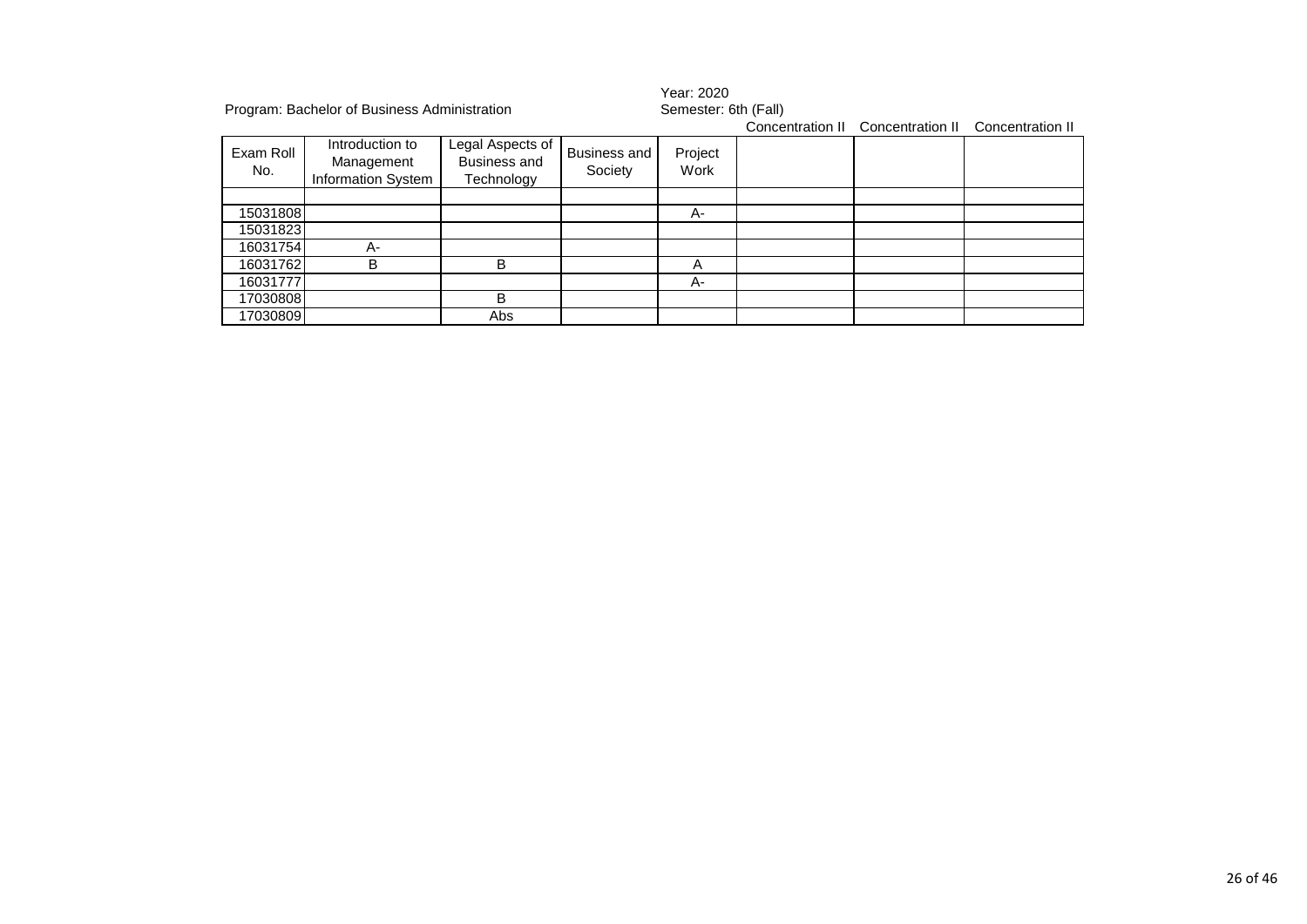| Program: Bachelor of Business Administration |                                                     |                                                       |                                |                 | Year: 2020<br>Semester: 6th (Fall)<br>Concentration II Concentration II Concentration II |  |  |  |  |
|----------------------------------------------|-----------------------------------------------------|-------------------------------------------------------|--------------------------------|-----------------|------------------------------------------------------------------------------------------|--|--|--|--|
| Exam Roll<br>No.                             | Introduction to<br>Management<br>Information System | Legal Aspects of<br><b>Business and</b><br>Technology | <b>Business and</b><br>Society | Project<br>Work |                                                                                          |  |  |  |  |
|                                              |                                                     |                                                       |                                |                 |                                                                                          |  |  |  |  |
| 15031808                                     |                                                     |                                                       |                                | А-              |                                                                                          |  |  |  |  |
| 15031823                                     |                                                     |                                                       |                                |                 |                                                                                          |  |  |  |  |
| 16031754                                     | А-                                                  |                                                       |                                |                 |                                                                                          |  |  |  |  |
| 16031762                                     | В                                                   | B                                                     |                                | А               |                                                                                          |  |  |  |  |
| 16031777                                     |                                                     |                                                       |                                | А-              |                                                                                          |  |  |  |  |
| 17030808                                     |                                                     | В                                                     |                                |                 |                                                                                          |  |  |  |  |
| 17030809                                     |                                                     | Abs                                                   |                                |                 |                                                                                          |  |  |  |  |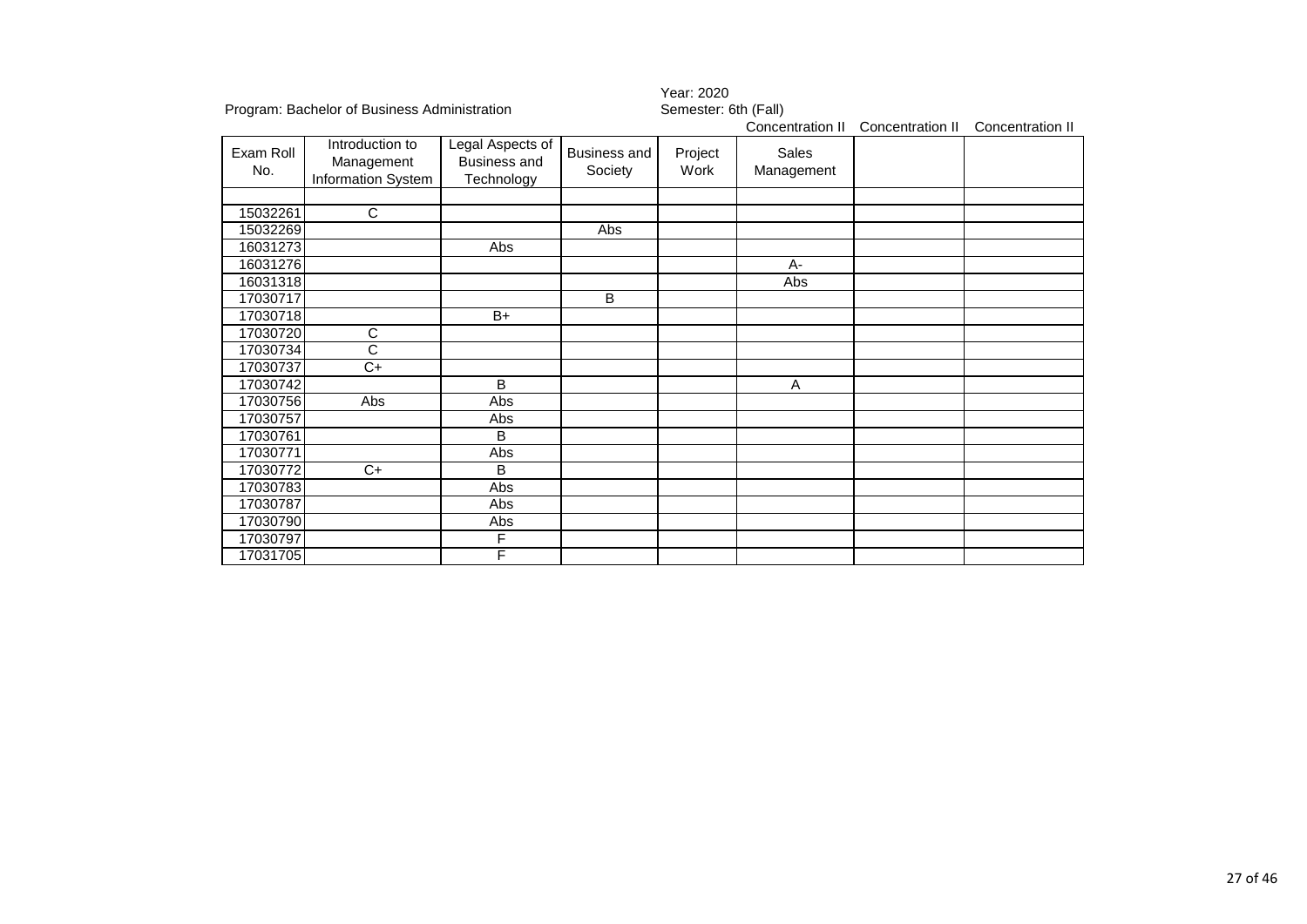| Program: Bachelor of Business Administration |                                                     |                                                       | Semester: 6th (Fall)           |                  |                     |                  |  |
|----------------------------------------------|-----------------------------------------------------|-------------------------------------------------------|--------------------------------|------------------|---------------------|------------------|--|
|                                              |                                                     |                                                       |                                | Concentration II | Concentration II    | Concentration II |  |
| Exam Roll<br>No.                             | Introduction to<br>Management<br>Information System | Legal Aspects of<br><b>Business and</b><br>Technology | <b>Business and</b><br>Society | Project<br>Work  | Sales<br>Management |                  |  |
|                                              |                                                     |                                                       |                                |                  |                     |                  |  |
| 15032261                                     | $\mathsf{C}$                                        |                                                       |                                |                  |                     |                  |  |
| 15032269                                     |                                                     |                                                       | Abs                            |                  |                     |                  |  |
| 16031273                                     |                                                     | Abs                                                   |                                |                  |                     |                  |  |
| 16031276                                     |                                                     |                                                       |                                |                  | $A -$               |                  |  |
| 16031318                                     |                                                     |                                                       |                                |                  | Abs                 |                  |  |
| 17030717                                     |                                                     |                                                       | B                              |                  |                     |                  |  |
| 17030718                                     |                                                     | $B+$                                                  |                                |                  |                     |                  |  |
| 17030720                                     | C                                                   |                                                       |                                |                  |                     |                  |  |
| 17030734                                     | C                                                   |                                                       |                                |                  |                     |                  |  |
| 17030737                                     | $C+$                                                |                                                       |                                |                  |                     |                  |  |
| 17030742                                     |                                                     | B                                                     |                                |                  | A                   |                  |  |
| 17030756                                     | Abs                                                 | Abs                                                   |                                |                  |                     |                  |  |
| 17030757                                     |                                                     | Abs                                                   |                                |                  |                     |                  |  |
| 17030761                                     |                                                     | B                                                     |                                |                  |                     |                  |  |
| 17030771                                     |                                                     | Abs                                                   |                                |                  |                     |                  |  |
| 17030772                                     | $C+$                                                | B                                                     |                                |                  |                     |                  |  |
| 17030783                                     |                                                     | Abs                                                   |                                |                  |                     |                  |  |
| 17030787                                     |                                                     | Abs                                                   |                                |                  |                     |                  |  |
| 17030790                                     |                                                     | Abs                                                   |                                |                  |                     |                  |  |
| 17030797                                     |                                                     | F                                                     |                                |                  |                     |                  |  |
| 17031705                                     |                                                     | F                                                     |                                |                  |                     |                  |  |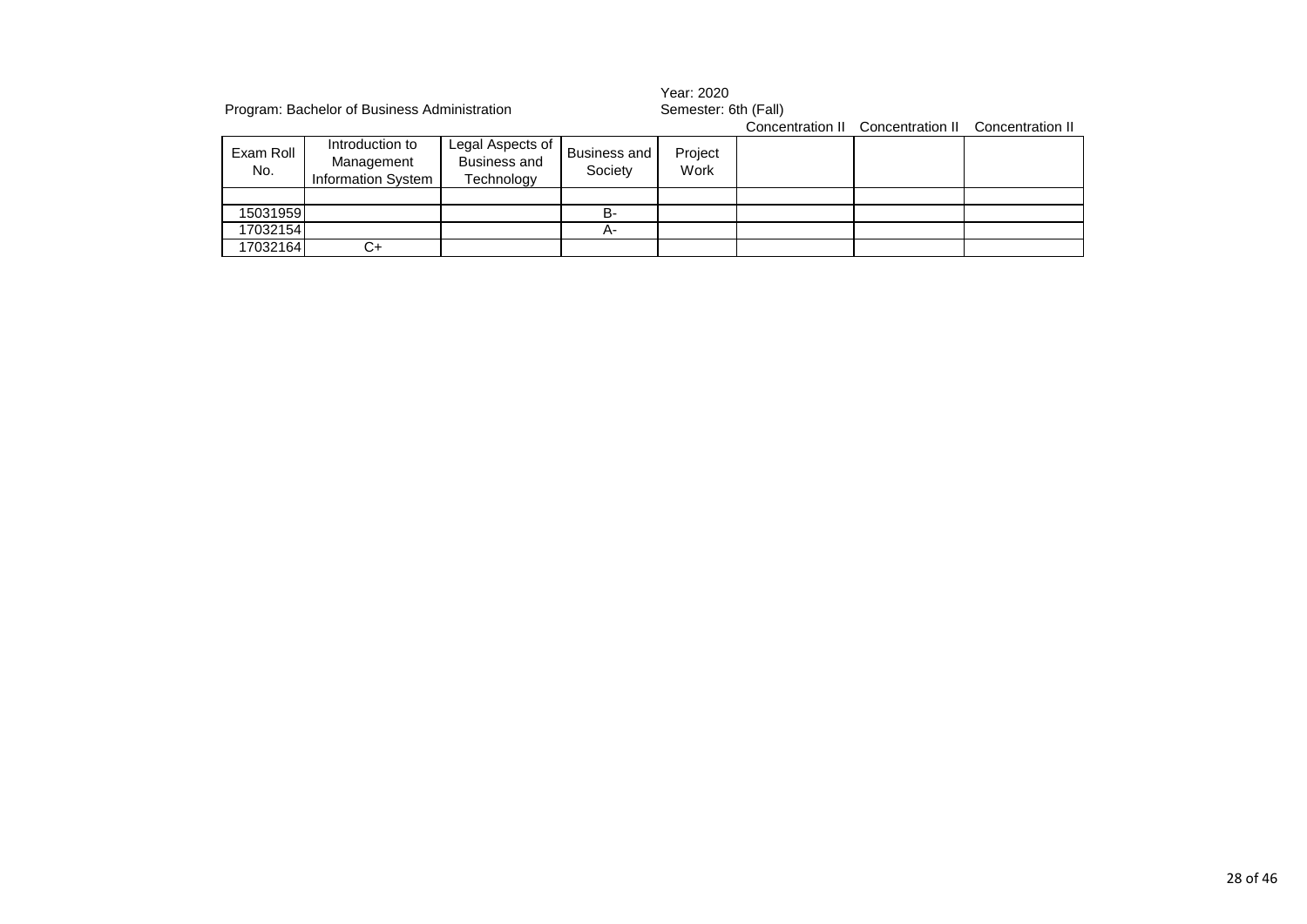|                  | Program: Bachelor of Business Administration               |                                                       |                         | Year: 2020<br>Semester: 6th (Fall) |  |                                   |                  |
|------------------|------------------------------------------------------------|-------------------------------------------------------|-------------------------|------------------------------------|--|-----------------------------------|------------------|
|                  |                                                            |                                                       |                         |                                    |  | Concentration II Concentration II | Concentration II |
| Exam Roll<br>No. | Introduction to<br>Management<br><b>Information System</b> | Legal Aspects of<br><b>Business and</b><br>Technology | Business and<br>Society | Project<br>Work                    |  |                                   |                  |
|                  |                                                            |                                                       |                         |                                    |  |                                   |                  |
| 15031959         |                                                            |                                                       | B-                      |                                    |  |                                   |                  |
| 17032154         |                                                            |                                                       | А-                      |                                    |  |                                   |                  |
| 17032164         | C+                                                         |                                                       |                         |                                    |  |                                   |                  |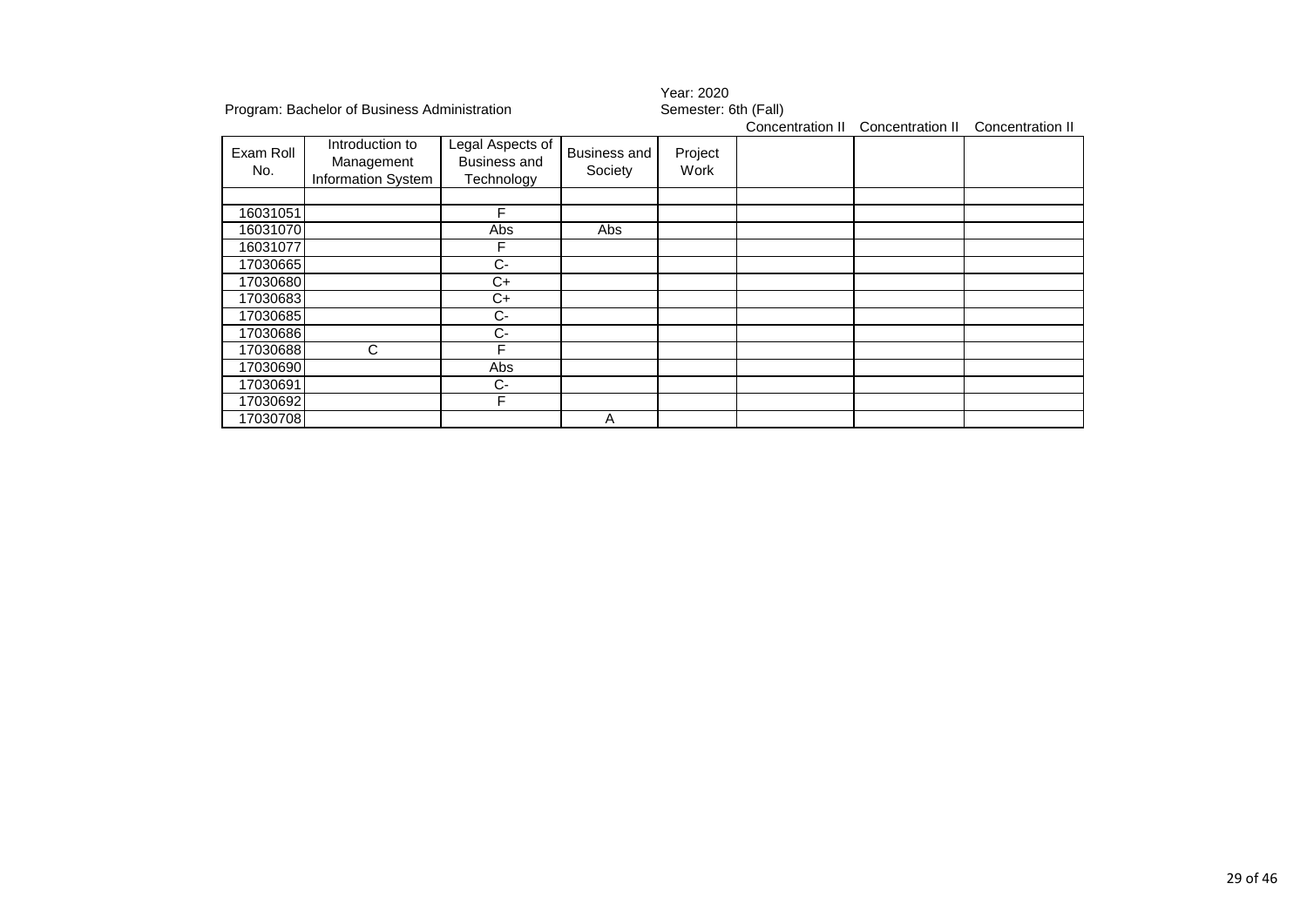|                  | Program: Bachelor of Business Administration        |                                                       |                                | Year: 2020<br>Semester: 6th (Fall) |                  |                  |                  |  |
|------------------|-----------------------------------------------------|-------------------------------------------------------|--------------------------------|------------------------------------|------------------|------------------|------------------|--|
|                  |                                                     |                                                       |                                |                                    | Concentration II | Concentration II | Concentration II |  |
| Exam Roll<br>No. | Introduction to<br>Management<br>Information System | Legal Aspects of<br><b>Business and</b><br>Technology | <b>Business and</b><br>Society | Project<br>Work                    |                  |                  |                  |  |
|                  |                                                     |                                                       |                                |                                    |                  |                  |                  |  |
| 16031051         |                                                     | F                                                     |                                |                                    |                  |                  |                  |  |
| 16031070         |                                                     | Abs                                                   | Abs                            |                                    |                  |                  |                  |  |
| 16031077         |                                                     | F                                                     |                                |                                    |                  |                  |                  |  |
| 17030665         |                                                     | C-                                                    |                                |                                    |                  |                  |                  |  |
| 17030680         |                                                     | C+                                                    |                                |                                    |                  |                  |                  |  |
| 17030683         |                                                     | C+                                                    |                                |                                    |                  |                  |                  |  |
| 17030685         |                                                     | $C-$                                                  |                                |                                    |                  |                  |                  |  |
| 17030686         |                                                     | C-                                                    |                                |                                    |                  |                  |                  |  |
| 17030688         | С                                                   | F                                                     |                                |                                    |                  |                  |                  |  |
| 17030690         |                                                     | Abs                                                   |                                |                                    |                  |                  |                  |  |
| 17030691         |                                                     | $C-$                                                  |                                |                                    |                  |                  |                  |  |
| 17030692         |                                                     | F                                                     |                                |                                    |                  |                  |                  |  |
| 17030708         |                                                     |                                                       | Α                              |                                    |                  |                  |                  |  |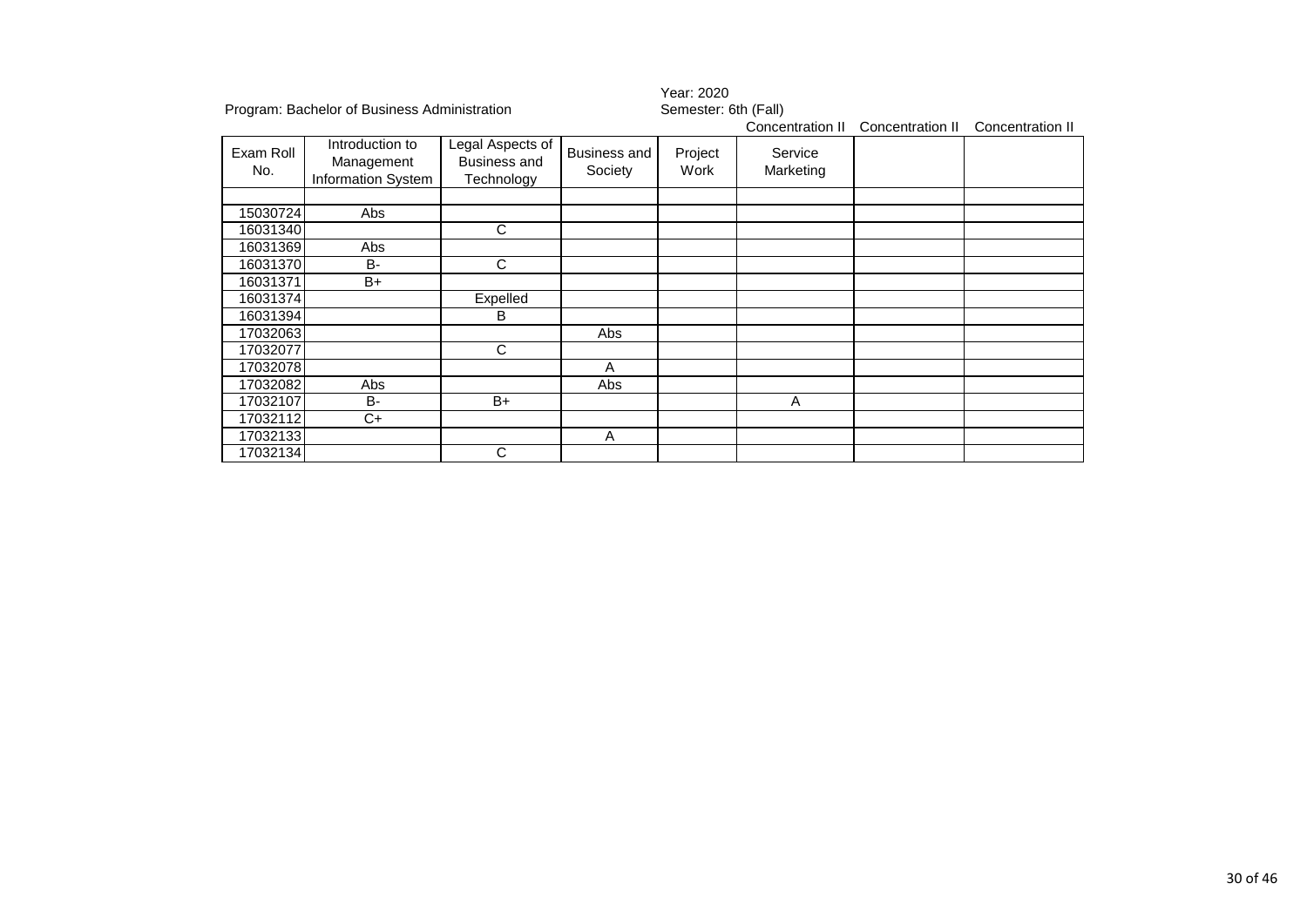|                  |                                                     |                                                       |                                | Year: 2020           |                      |                  |                  |  |
|------------------|-----------------------------------------------------|-------------------------------------------------------|--------------------------------|----------------------|----------------------|------------------|------------------|--|
|                  | Program: Bachelor of Business Administration        |                                                       |                                | Semester: 6th (Fall) |                      |                  |                  |  |
|                  |                                                     |                                                       |                                |                      | Concentration II     | Concentration II | Concentration II |  |
| Exam Roll<br>No. | Introduction to<br>Management<br>Information System | Legal Aspects of<br><b>Business and</b><br>Technology | <b>Business and</b><br>Society | Project<br>Work      | Service<br>Marketing |                  |                  |  |
| 15030724         | Abs                                                 |                                                       |                                |                      |                      |                  |                  |  |
| 16031340         |                                                     | C                                                     |                                |                      |                      |                  |                  |  |
| 16031369         | Abs                                                 |                                                       |                                |                      |                      |                  |                  |  |
| 16031370         | <b>B-</b>                                           | C                                                     |                                |                      |                      |                  |                  |  |
| 16031371         | $B+$                                                |                                                       |                                |                      |                      |                  |                  |  |
| 16031374         |                                                     | Expelled                                              |                                |                      |                      |                  |                  |  |
| 16031394         |                                                     | B                                                     |                                |                      |                      |                  |                  |  |
| 17032063         |                                                     |                                                       | <b>Abs</b>                     |                      |                      |                  |                  |  |
| 17032077         |                                                     | C                                                     |                                |                      |                      |                  |                  |  |
| 17032078         |                                                     |                                                       | A                              |                      |                      |                  |                  |  |
| 17032082         | Abs                                                 |                                                       | Abs                            |                      |                      |                  |                  |  |
| 17032107         | <b>B-</b>                                           | $B+$                                                  |                                |                      | A                    |                  |                  |  |
| 17032112         | $C+$                                                |                                                       |                                |                      |                      |                  |                  |  |
| 17032133         |                                                     |                                                       | A                              |                      |                      |                  |                  |  |
| 17032134         |                                                     | С                                                     |                                |                      |                      |                  |                  |  |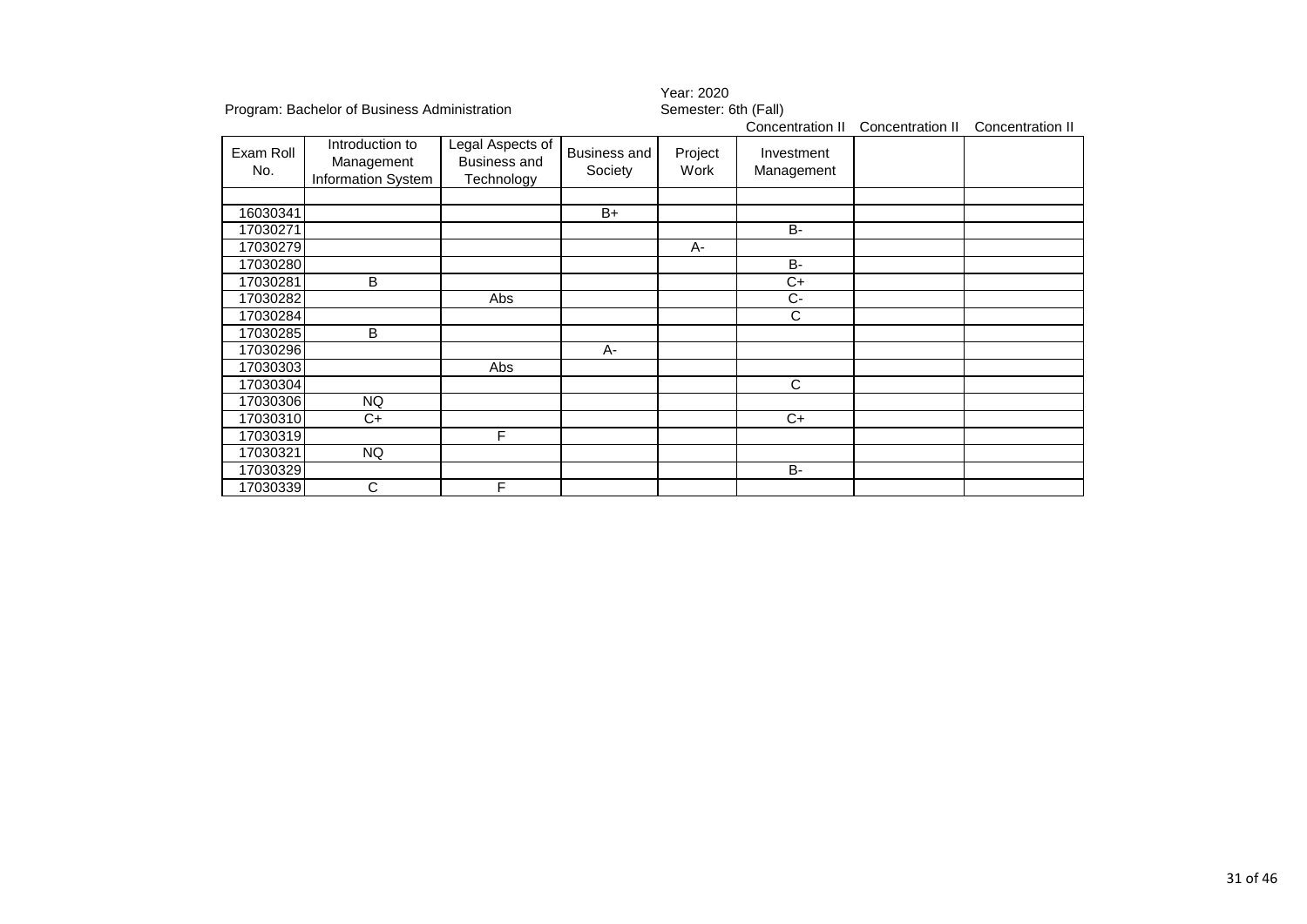|                  |                                                     |                                                       | Year: 2020              |                      |                          |                  |                  |
|------------------|-----------------------------------------------------|-------------------------------------------------------|-------------------------|----------------------|--------------------------|------------------|------------------|
|                  | Program: Bachelor of Business Administration        |                                                       |                         | Semester: 6th (Fall) |                          |                  |                  |
|                  |                                                     |                                                       |                         |                      | Concentration II         | Concentration II | Concentration II |
| Exam Roll<br>No. | Introduction to<br>Management<br>Information System | Legal Aspects of<br><b>Business and</b><br>Technology | Business and<br>Society | Project<br>Work      | Investment<br>Management |                  |                  |
| 16030341         |                                                     |                                                       | $B+$                    |                      |                          |                  |                  |
| 17030271         |                                                     |                                                       |                         |                      | <b>B-</b>                |                  |                  |
| 17030279         |                                                     |                                                       |                         | A-                   |                          |                  |                  |
| 17030280         |                                                     |                                                       |                         |                      | <b>B-</b>                |                  |                  |
| 17030281         | B                                                   |                                                       |                         |                      | $C+$                     |                  |                  |
| 17030282         |                                                     | Abs                                                   |                         |                      | Ċ-                       |                  |                  |
| 17030284         |                                                     |                                                       |                         |                      | C                        |                  |                  |
| 17030285         | B                                                   |                                                       |                         |                      |                          |                  |                  |
| 17030296         |                                                     |                                                       | $A -$                   |                      |                          |                  |                  |
| 17030303         |                                                     | Abs                                                   |                         |                      |                          |                  |                  |
| 17030304         |                                                     |                                                       |                         |                      | C                        |                  |                  |
| 17030306         | NQ                                                  |                                                       |                         |                      |                          |                  |                  |
| 17030310         | $C+$                                                |                                                       |                         |                      | $C+$                     |                  |                  |
| 17030319         |                                                     | F                                                     |                         |                      |                          |                  |                  |
| 17030321         | <b>NQ</b>                                           |                                                       |                         |                      |                          |                  |                  |
| 17030329         |                                                     |                                                       |                         |                      | <b>B-</b>                |                  |                  |
| 17030339         | С                                                   | F                                                     |                         |                      |                          |                  |                  |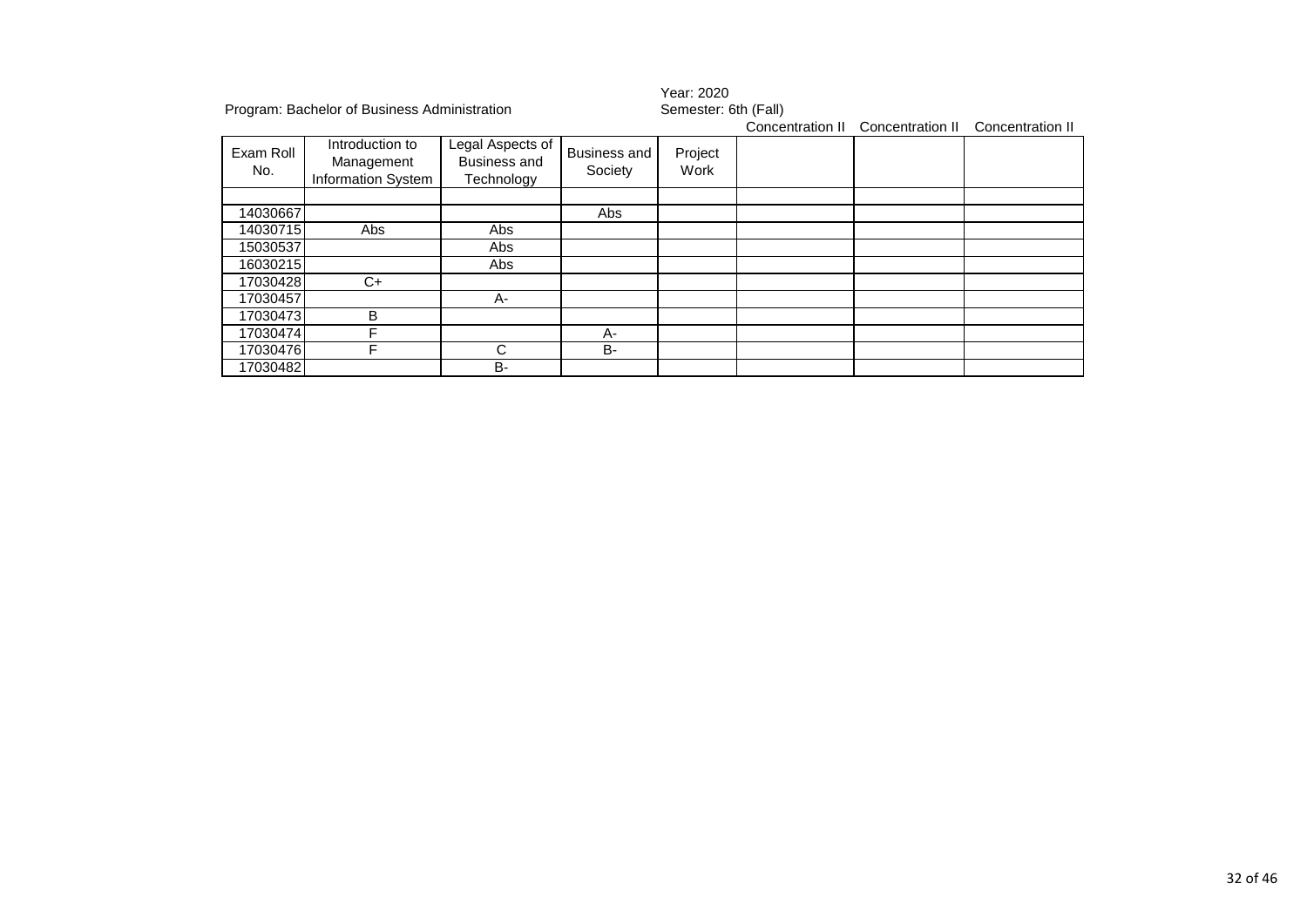|                  | Program: Bachelor of Business Administration               |                                                       |                                | Year: 2020<br>Semester: 6th (Fall)<br>Concentration II<br>Concentration II<br>Concentration II |  |  |  |  |
|------------------|------------------------------------------------------------|-------------------------------------------------------|--------------------------------|------------------------------------------------------------------------------------------------|--|--|--|--|
| Exam Roll<br>No. | Introduction to<br>Management<br><b>Information System</b> | Legal Aspects of<br><b>Business and</b><br>Technology | <b>Business and</b><br>Society | Project<br>Work                                                                                |  |  |  |  |
|                  |                                                            |                                                       |                                |                                                                                                |  |  |  |  |
| 14030667         |                                                            |                                                       | Abs                            |                                                                                                |  |  |  |  |
| 14030715         | Abs                                                        | Abs                                                   |                                |                                                                                                |  |  |  |  |
| 15030537         |                                                            | Abs                                                   |                                |                                                                                                |  |  |  |  |
| 16030215         |                                                            | Abs                                                   |                                |                                                                                                |  |  |  |  |
| 17030428         | C+                                                         |                                                       |                                |                                                                                                |  |  |  |  |
| 17030457         |                                                            | A-                                                    |                                |                                                                                                |  |  |  |  |
| 17030473         | B                                                          |                                                       |                                |                                                                                                |  |  |  |  |
| 17030474         |                                                            |                                                       | A-                             |                                                                                                |  |  |  |  |
| 17030476         |                                                            | C                                                     | <b>B-</b>                      |                                                                                                |  |  |  |  |
| 17030482         |                                                            | <b>B-</b>                                             |                                |                                                                                                |  |  |  |  |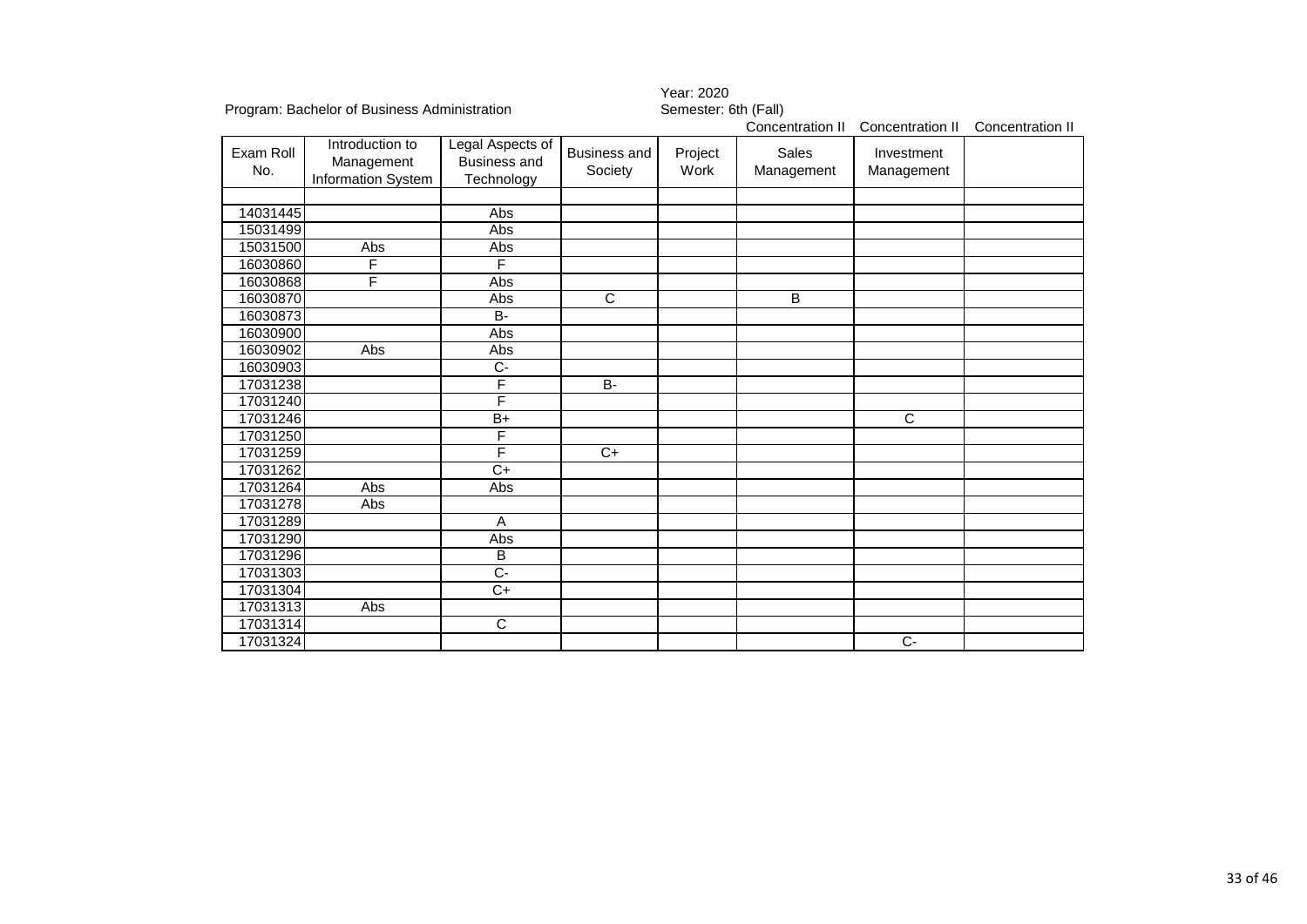|                  |                                                            |                                                       |                                | Year: 2020           |                            |                          |                  |  |
|------------------|------------------------------------------------------------|-------------------------------------------------------|--------------------------------|----------------------|----------------------------|--------------------------|------------------|--|
|                  | Program: Bachelor of Business Administration               |                                                       |                                | Semester: 6th (Fall) |                            |                          |                  |  |
|                  |                                                            |                                                       |                                |                      | Concentration II           | Concentration II         | Concentration II |  |
| Exam Roll<br>No. | Introduction to<br>Management<br><b>Information System</b> | Legal Aspects of<br><b>Business and</b><br>Technology | <b>Business and</b><br>Society | Project<br>Work      | <b>Sales</b><br>Management | Investment<br>Management |                  |  |
| 14031445         |                                                            | Abs                                                   |                                |                      |                            |                          |                  |  |
| 15031499         |                                                            | Abs                                                   |                                |                      |                            |                          |                  |  |
| 15031500         | Abs                                                        | Abs                                                   |                                |                      |                            |                          |                  |  |
| 16030860         | F                                                          | F                                                     |                                |                      |                            |                          |                  |  |
| 16030868         | F                                                          | Abs                                                   |                                |                      |                            |                          |                  |  |
| 16030870         |                                                            | Abs                                                   | $\overline{\text{c}}$          |                      | B                          |                          |                  |  |
| 16030873         |                                                            | $\overline{B}$                                        |                                |                      |                            |                          |                  |  |
| 16030900         |                                                            | Abs                                                   |                                |                      |                            |                          |                  |  |
| 16030902         | Abs                                                        | Abs                                                   |                                |                      |                            |                          |                  |  |
| 16030903         |                                                            | $\overline{C}$                                        |                                |                      |                            |                          |                  |  |
| 17031238         |                                                            | F                                                     | $B -$                          |                      |                            |                          |                  |  |
| 17031240         |                                                            | F                                                     |                                |                      |                            |                          |                  |  |
| 17031246         |                                                            | $B+$                                                  |                                |                      |                            | $\overline{C}$           |                  |  |
| 17031250         |                                                            | F                                                     |                                |                      |                            |                          |                  |  |
| 17031259         |                                                            | F                                                     | $C+$                           |                      |                            |                          |                  |  |
| 17031262         |                                                            | $C+$                                                  |                                |                      |                            |                          |                  |  |
| 17031264         | Abs                                                        | Abs                                                   |                                |                      |                            |                          |                  |  |
| 17031278         | Abs                                                        |                                                       |                                |                      |                            |                          |                  |  |
| 17031289         |                                                            | A                                                     |                                |                      |                            |                          |                  |  |
| 17031290         |                                                            | Abs                                                   |                                |                      |                            |                          |                  |  |
| 17031296         |                                                            | B                                                     |                                |                      |                            |                          |                  |  |
| 17031303         |                                                            | $\overline{C}$                                        |                                |                      |                            |                          |                  |  |
| 17031304         |                                                            | $\overline{C+}$                                       |                                |                      |                            |                          |                  |  |
| 17031313         | Abs                                                        |                                                       |                                |                      |                            |                          |                  |  |
| 17031314         |                                                            | $\overline{C}$                                        |                                |                      |                            |                          |                  |  |
| 17031324         |                                                            |                                                       |                                |                      |                            | $C-$                     |                  |  |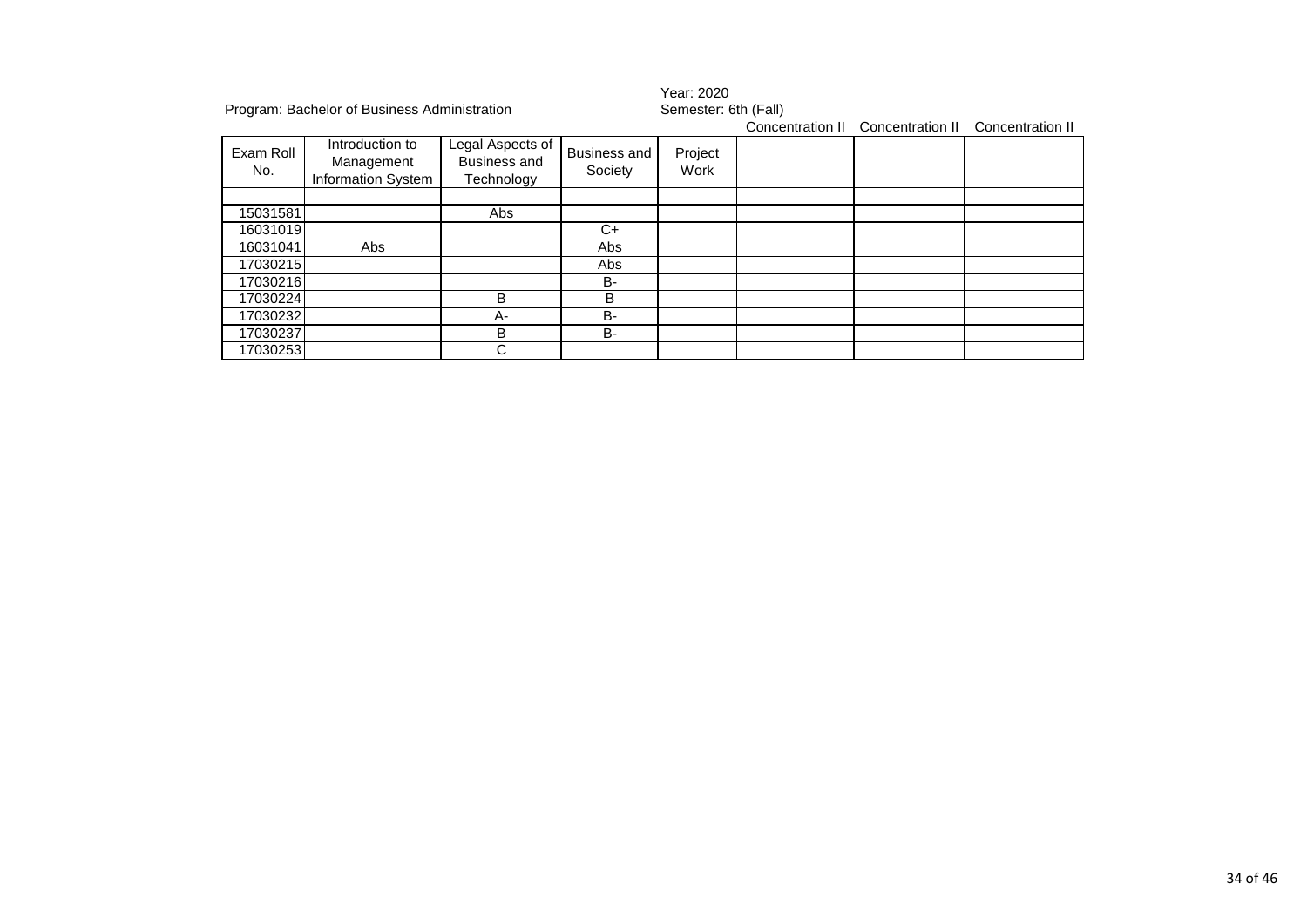|                  | Program: Bachelor of Business Administration        |                                                       |                                | Year: 2020<br>Semester: 6th (Fall) |  |                                                    |  |  |
|------------------|-----------------------------------------------------|-------------------------------------------------------|--------------------------------|------------------------------------|--|----------------------------------------------------|--|--|
|                  |                                                     |                                                       |                                |                                    |  | Concentration II Concentration II Concentration II |  |  |
| Exam Roll<br>No. | Introduction to<br>Management<br>Information System | Legal Aspects of<br><b>Business and</b><br>Technology | <b>Business and</b><br>Society | Project<br>Work                    |  |                                                    |  |  |
|                  |                                                     |                                                       |                                |                                    |  |                                                    |  |  |
| 15031581         |                                                     | Abs                                                   |                                |                                    |  |                                                    |  |  |
| 16031019         |                                                     |                                                       | C+                             |                                    |  |                                                    |  |  |
| 16031041         | Abs                                                 |                                                       | Abs                            |                                    |  |                                                    |  |  |
| 17030215         |                                                     |                                                       | Abs                            |                                    |  |                                                    |  |  |
| 17030216         |                                                     |                                                       | B-                             |                                    |  |                                                    |  |  |
| 17030224         |                                                     | B                                                     | B                              |                                    |  |                                                    |  |  |
| 17030232         |                                                     | А-                                                    | B-                             |                                    |  |                                                    |  |  |
| 17030237         |                                                     | B                                                     | <b>B-</b>                      |                                    |  |                                                    |  |  |
| 17030253         |                                                     | C                                                     |                                |                                    |  |                                                    |  |  |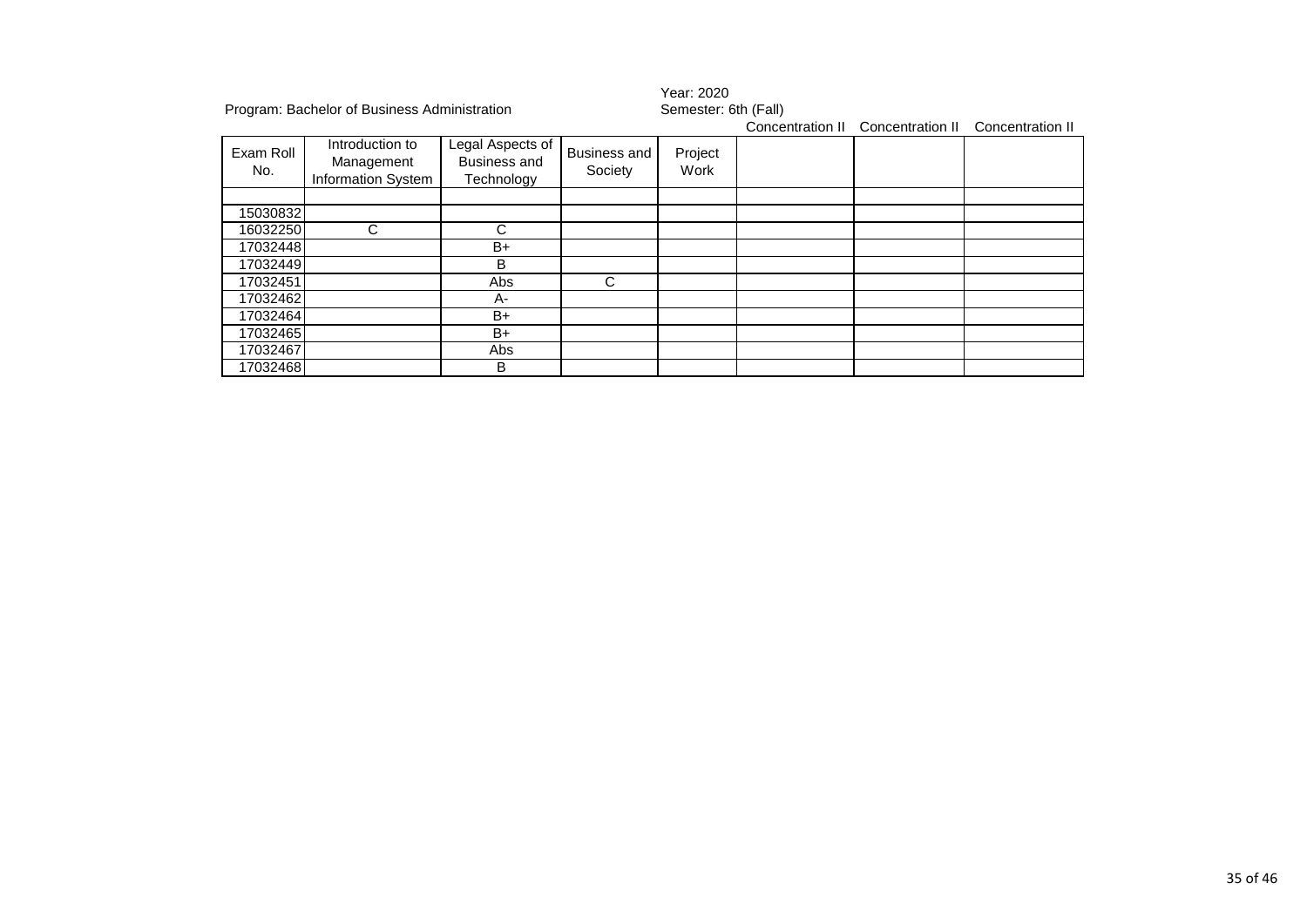|                  | Program: Bachelor of Business Administration               |                                                |                                | Year: 2020<br>Semester: 6th (Fall)<br>Concentration II<br>Concentration II<br>Concentration II |  |  |  |  |
|------------------|------------------------------------------------------------|------------------------------------------------|--------------------------------|------------------------------------------------------------------------------------------------|--|--|--|--|
| Exam Roll<br>No. | Introduction to<br>Management<br><b>Information System</b> | Legal Aspects of<br>Business and<br>Technology | <b>Business and</b><br>Society | Project<br>Work                                                                                |  |  |  |  |
|                  |                                                            |                                                |                                |                                                                                                |  |  |  |  |
| 15030832         |                                                            |                                                |                                |                                                                                                |  |  |  |  |
| 16032250         | $\mathsf{C}$                                               | C                                              |                                |                                                                                                |  |  |  |  |
| 17032448         |                                                            | B+                                             |                                |                                                                                                |  |  |  |  |
| 17032449         |                                                            | B                                              |                                |                                                                                                |  |  |  |  |
| 17032451         |                                                            | Abs                                            | C                              |                                                                                                |  |  |  |  |
| 17032462         |                                                            | A-                                             |                                |                                                                                                |  |  |  |  |
| 17032464         |                                                            | B+                                             |                                |                                                                                                |  |  |  |  |
| 17032465         |                                                            | B+                                             |                                |                                                                                                |  |  |  |  |
| 17032467         |                                                            | Abs                                            |                                |                                                                                                |  |  |  |  |
| 17032468         |                                                            | в                                              |                                |                                                                                                |  |  |  |  |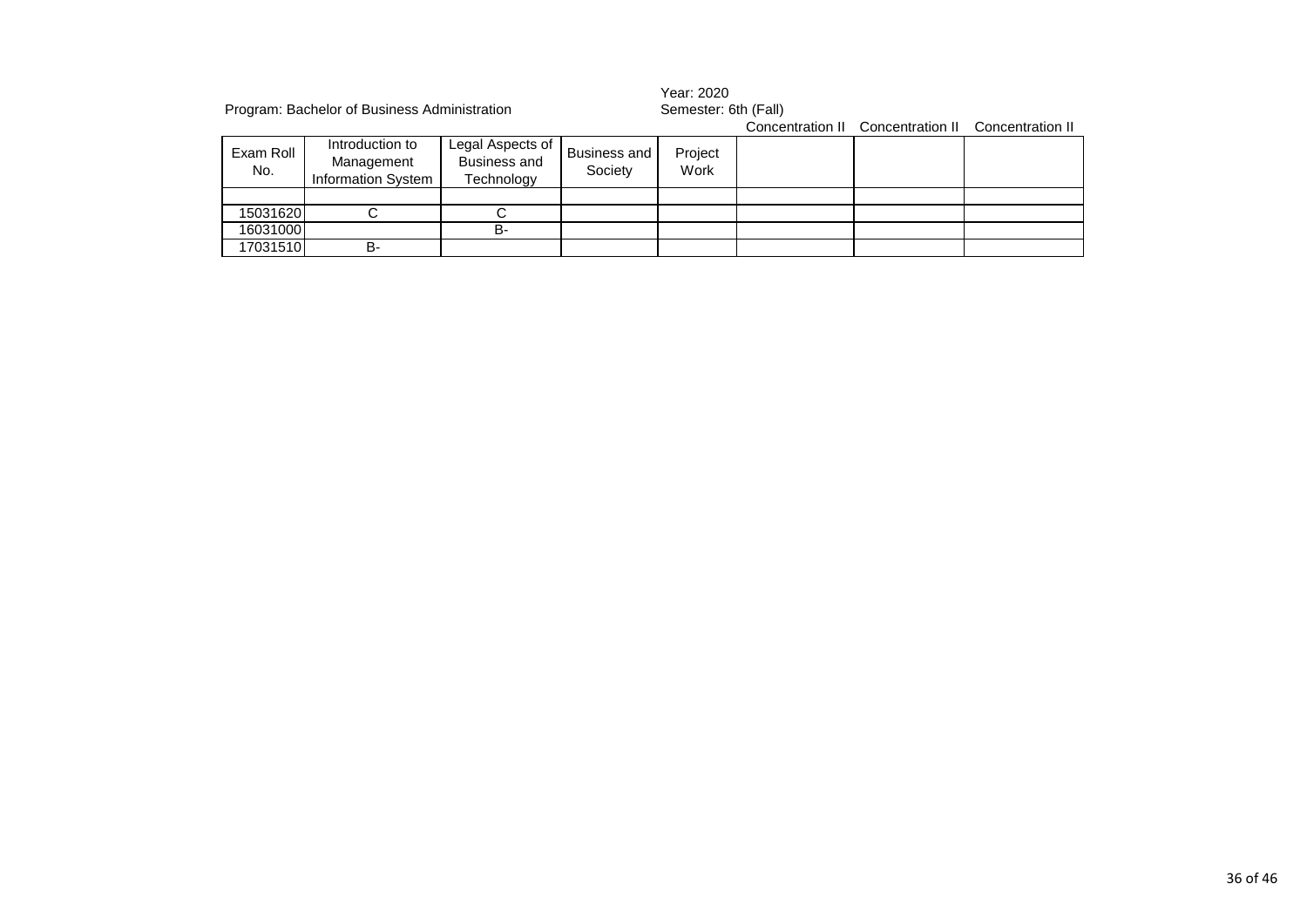| Program: Bachelor of Business Administration |                                                            |                                                       |                         |                 | Year: 2020<br>Semester: 6th (Fall) |                                   |                  |  |  |
|----------------------------------------------|------------------------------------------------------------|-------------------------------------------------------|-------------------------|-----------------|------------------------------------|-----------------------------------|------------------|--|--|
|                                              |                                                            |                                                       |                         |                 |                                    | Concentration II Concentration II | Concentration II |  |  |
| Exam Roll<br>No.                             | Introduction to<br>Management<br><b>Information System</b> | Legal Aspects of<br><b>Business and</b><br>Technology | Business and<br>Society | Project<br>Work |                                    |                                   |                  |  |  |
|                                              |                                                            |                                                       |                         |                 |                                    |                                   |                  |  |  |
| 15031620                                     |                                                            |                                                       |                         |                 |                                    |                                   |                  |  |  |
| 16031000                                     |                                                            | <b>B-</b>                                             |                         |                 |                                    |                                   |                  |  |  |
| 17031510                                     | B-                                                         |                                                       |                         |                 |                                    |                                   |                  |  |  |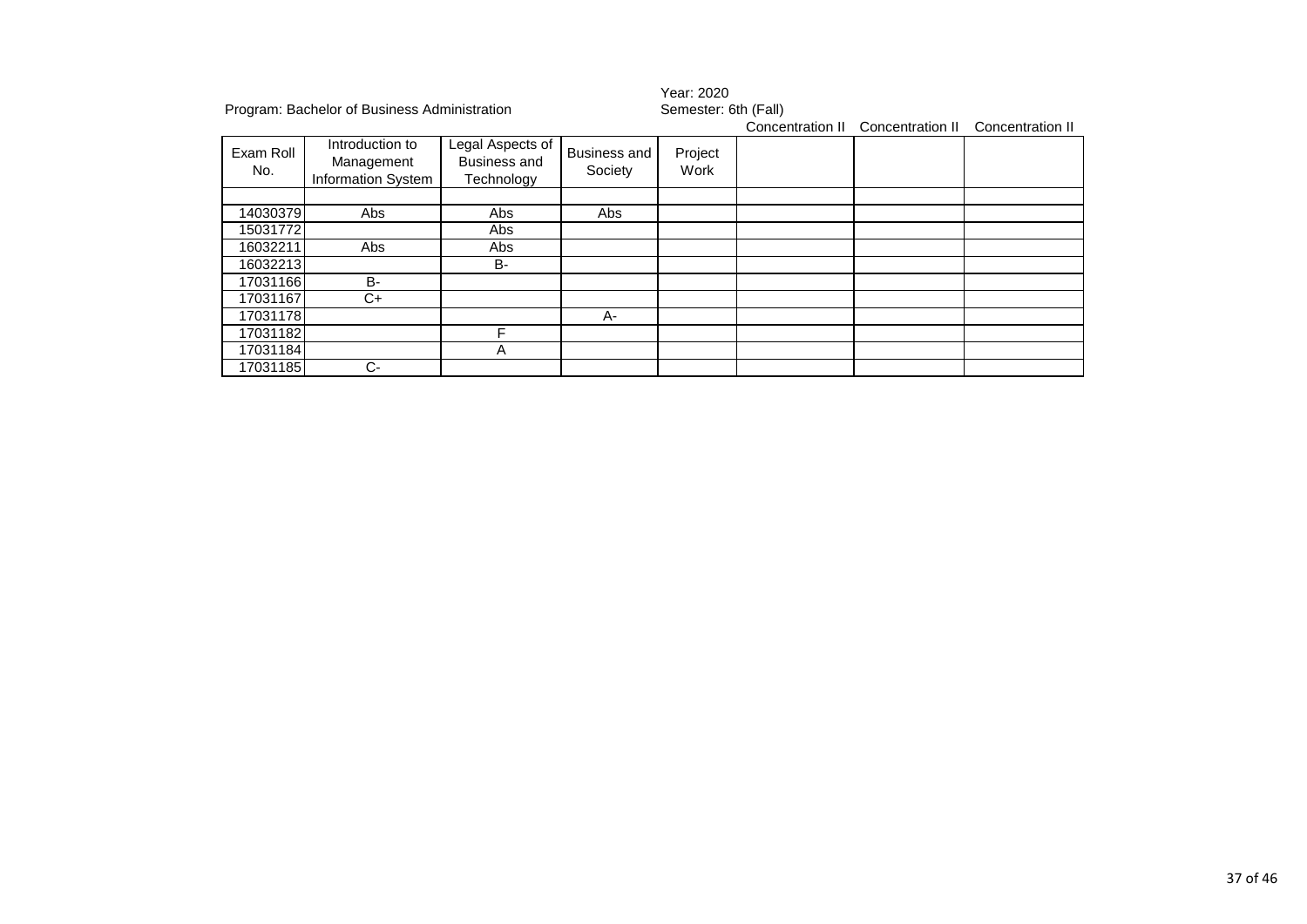| Program: Bachelor of Business Administration |                                                     |                                                |                                | Year: 2020<br>Semester: 6th (Fall) |                  |                  |                  |  |
|----------------------------------------------|-----------------------------------------------------|------------------------------------------------|--------------------------------|------------------------------------|------------------|------------------|------------------|--|
| Exam Roll<br>No.                             | Introduction to<br>Management<br>Information System | Legal Aspects of<br>Business and<br>Technology | <b>Business and</b><br>Society | Project<br>Work                    | Concentration II | Concentration II | Concentration II |  |
|                                              |                                                     |                                                |                                |                                    |                  |                  |                  |  |
| 14030379                                     | Abs                                                 | Abs                                            | Abs                            |                                    |                  |                  |                  |  |
| 15031772                                     |                                                     | Abs                                            |                                |                                    |                  |                  |                  |  |
| 16032211                                     | Abs                                                 | Abs                                            |                                |                                    |                  |                  |                  |  |
| 16032213                                     |                                                     | B-                                             |                                |                                    |                  |                  |                  |  |
| 17031166                                     | B-                                                  |                                                |                                |                                    |                  |                  |                  |  |
| 17031167                                     | C+                                                  |                                                |                                |                                    |                  |                  |                  |  |
| 17031178                                     |                                                     |                                                | A-                             |                                    |                  |                  |                  |  |
| 17031182                                     |                                                     | F                                              |                                |                                    |                  |                  |                  |  |
| 17031184                                     |                                                     | Α                                              |                                |                                    |                  |                  |                  |  |
| 17031185                                     | $C-$                                                |                                                |                                |                                    |                  |                  |                  |  |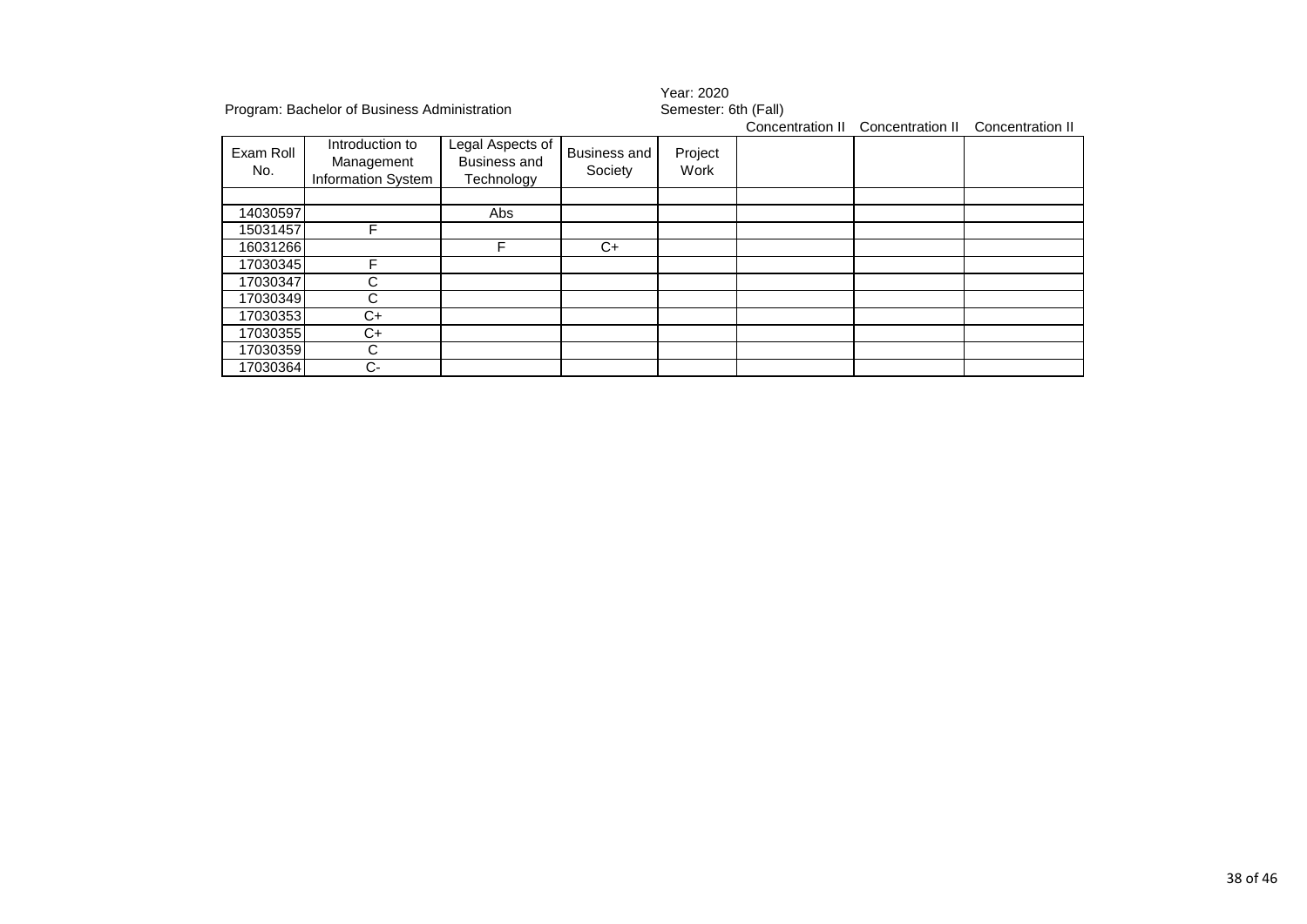|           | Program: Bachelor of Business Administration |                  |                     | Year: 2020<br>Semester: 6th (Fall) |                  |                  |                  |  |
|-----------|----------------------------------------------|------------------|---------------------|------------------------------------|------------------|------------------|------------------|--|
|           |                                              |                  |                     |                                    | Concentration II | Concentration II | Concentration II |  |
| Exam Roll | Introduction to                              | Legal Aspects of | <b>Business and</b> | Project                            |                  |                  |                  |  |
|           | Management                                   | Business and     | Society             | Work                               |                  |                  |                  |  |
| No.       | Information System                           | Technology       |                     |                                    |                  |                  |                  |  |
|           |                                              |                  |                     |                                    |                  |                  |                  |  |
| 14030597  |                                              | Abs              |                     |                                    |                  |                  |                  |  |
| 15031457  |                                              |                  |                     |                                    |                  |                  |                  |  |
| 16031266  |                                              | F                | C+                  |                                    |                  |                  |                  |  |
| 17030345  |                                              |                  |                     |                                    |                  |                  |                  |  |
| 17030347  | С                                            |                  |                     |                                    |                  |                  |                  |  |
| 17030349  | C                                            |                  |                     |                                    |                  |                  |                  |  |
| 17030353  | $C+$                                         |                  |                     |                                    |                  |                  |                  |  |
| 17030355  | C+                                           |                  |                     |                                    |                  |                  |                  |  |
| 17030359  | С                                            |                  |                     |                                    |                  |                  |                  |  |
| 17030364  | С-                                           |                  |                     |                                    |                  |                  |                  |  |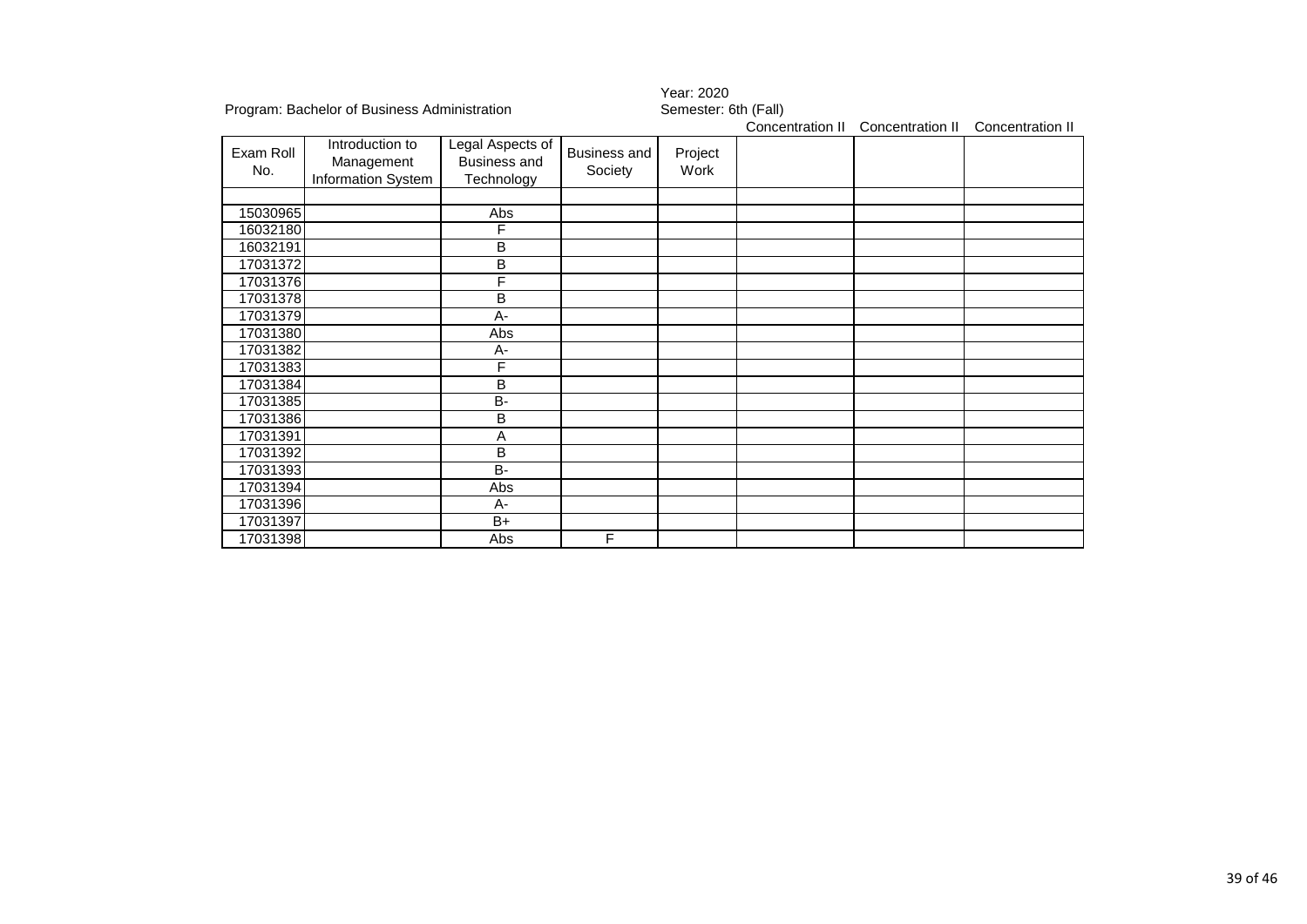|                  |                                                     |                                                       |                                | i cai. Zuzu          |                  |                  |                  |  |
|------------------|-----------------------------------------------------|-------------------------------------------------------|--------------------------------|----------------------|------------------|------------------|------------------|--|
|                  | Program: Bachelor of Business Administration        |                                                       |                                | Semester: 6th (Fall) |                  |                  |                  |  |
|                  |                                                     |                                                       |                                |                      | Concentration II | Concentration II | Concentration II |  |
| Exam Roll<br>No. | Introduction to<br>Management<br>Information System | Legal Aspects of<br><b>Business and</b><br>Technology | <b>Business and</b><br>Society | Project<br>Work      |                  |                  |                  |  |
|                  |                                                     |                                                       |                                |                      |                  |                  |                  |  |
| 15030965         |                                                     | Abs                                                   |                                |                      |                  |                  |                  |  |
| 16032180         |                                                     | F                                                     |                                |                      |                  |                  |                  |  |
| 16032191         |                                                     | B                                                     |                                |                      |                  |                  |                  |  |
| 17031372         |                                                     | B                                                     |                                |                      |                  |                  |                  |  |
| 17031376         |                                                     | F                                                     |                                |                      |                  |                  |                  |  |
| 17031378         |                                                     | B                                                     |                                |                      |                  |                  |                  |  |
| 17031379         |                                                     | $A -$                                                 |                                |                      |                  |                  |                  |  |
| 17031380         |                                                     | Abs                                                   |                                |                      |                  |                  |                  |  |
| 17031382         |                                                     | A-                                                    |                                |                      |                  |                  |                  |  |
| 17031383         |                                                     | F                                                     |                                |                      |                  |                  |                  |  |
| 17031384         |                                                     | B                                                     |                                |                      |                  |                  |                  |  |
| 17031385         |                                                     | B-                                                    |                                |                      |                  |                  |                  |  |
| 17031386         |                                                     | B                                                     |                                |                      |                  |                  |                  |  |
| 17031391         |                                                     | Α                                                     |                                |                      |                  |                  |                  |  |
| 17031392         |                                                     | B                                                     |                                |                      |                  |                  |                  |  |
| 17031393         |                                                     | $\overline{B}$                                        |                                |                      |                  |                  |                  |  |
| 17031394         |                                                     | Abs                                                   |                                |                      |                  |                  |                  |  |
| 17031396         |                                                     | A-                                                    |                                |                      |                  |                  |                  |  |
| 17031397         |                                                     | $B+$                                                  |                                |                      |                  |                  |                  |  |
| 17031398         |                                                     | Abs                                                   | F                              |                      |                  |                  |                  |  |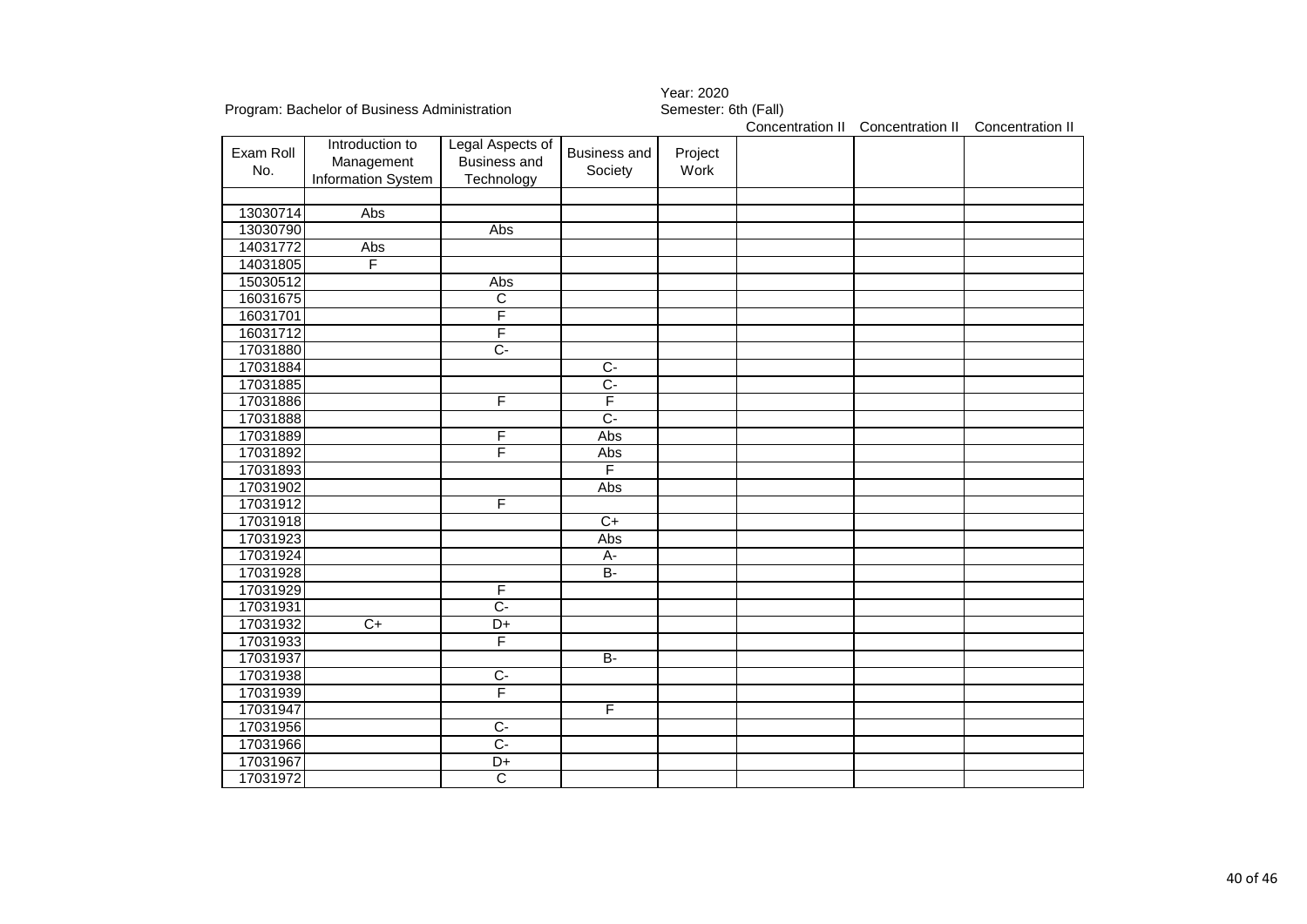|                  |                                                     |                                                       |                                | Year: 2020           |                  |                  |                  |
|------------------|-----------------------------------------------------|-------------------------------------------------------|--------------------------------|----------------------|------------------|------------------|------------------|
|                  | Program: Bachelor of Business Administration        |                                                       |                                | Semester: 6th (Fall) |                  |                  |                  |
|                  |                                                     |                                                       |                                |                      | Concentration II | Concentration II | Concentration II |
| Exam Roll<br>No. | Introduction to<br>Management<br>Information System | Legal Aspects of<br><b>Business and</b><br>Technology | <b>Business and</b><br>Society | Project<br>Work      |                  |                  |                  |
|                  |                                                     |                                                       |                                |                      |                  |                  |                  |
| 13030714         | Abs                                                 |                                                       |                                |                      |                  |                  |                  |
| 13030790         |                                                     | Abs                                                   |                                |                      |                  |                  |                  |
| 14031772         | Abs                                                 |                                                       |                                |                      |                  |                  |                  |
| 14031805         | F                                                   |                                                       |                                |                      |                  |                  |                  |
| 15030512         |                                                     | Abs                                                   |                                |                      |                  |                  |                  |
| 16031675         |                                                     | $\overline{\mathsf{C}}$                               |                                |                      |                  |                  |                  |
| 16031701         |                                                     | F                                                     |                                |                      |                  |                  |                  |
| 16031712         |                                                     | F                                                     |                                |                      |                  |                  |                  |
| 17031880         |                                                     | $\overline{C}$                                        |                                |                      |                  |                  |                  |
| 17031884         |                                                     |                                                       | $\overline{C}$                 |                      |                  |                  |                  |
| 17031885         |                                                     |                                                       | $C-$                           |                      |                  |                  |                  |
| 17031886         |                                                     | F                                                     | F                              |                      |                  |                  |                  |
| 17031888         |                                                     |                                                       | $\overline{C}$                 |                      |                  |                  |                  |
| 17031889         |                                                     | F                                                     | Abs                            |                      |                  |                  |                  |
| 17031892         |                                                     | F                                                     | Abs                            |                      |                  |                  |                  |
| 17031893         |                                                     |                                                       | F                              |                      |                  |                  |                  |
| 17031902         |                                                     |                                                       | Abs                            |                      |                  |                  |                  |
| 17031912         |                                                     | F                                                     |                                |                      |                  |                  |                  |
| 17031918         |                                                     |                                                       | $C+$                           |                      |                  |                  |                  |
| 17031923         |                                                     |                                                       | Abs                            |                      |                  |                  |                  |
| 17031924         |                                                     |                                                       | A-                             |                      |                  |                  |                  |
| 17031928         |                                                     |                                                       | $\overline{B}$                 |                      |                  |                  |                  |
| 17031929         |                                                     | F                                                     |                                |                      |                  |                  |                  |
| 17031931         |                                                     | $\overline{C}$                                        |                                |                      |                  |                  |                  |
| 17031932         | $C+$                                                | $\overline{D+}$                                       |                                |                      |                  |                  |                  |
| 17031933         |                                                     | F                                                     |                                |                      |                  |                  |                  |
| 17031937         |                                                     |                                                       | $B -$                          |                      |                  |                  |                  |
| 17031938         |                                                     | $\overline{C}$                                        |                                |                      |                  |                  |                  |
| 17031939         |                                                     | F                                                     |                                |                      |                  |                  |                  |
| 17031947         |                                                     |                                                       | F                              |                      |                  |                  |                  |
| 17031956         |                                                     | $\overline{C}$                                        |                                |                      |                  |                  |                  |
| 17031966         |                                                     | $\overline{C}$                                        |                                |                      |                  |                  |                  |
| 17031967         |                                                     | $D+$                                                  |                                |                      |                  |                  |                  |
| 17031972         |                                                     | $\overline{\text{c}}$                                 |                                |                      |                  |                  |                  |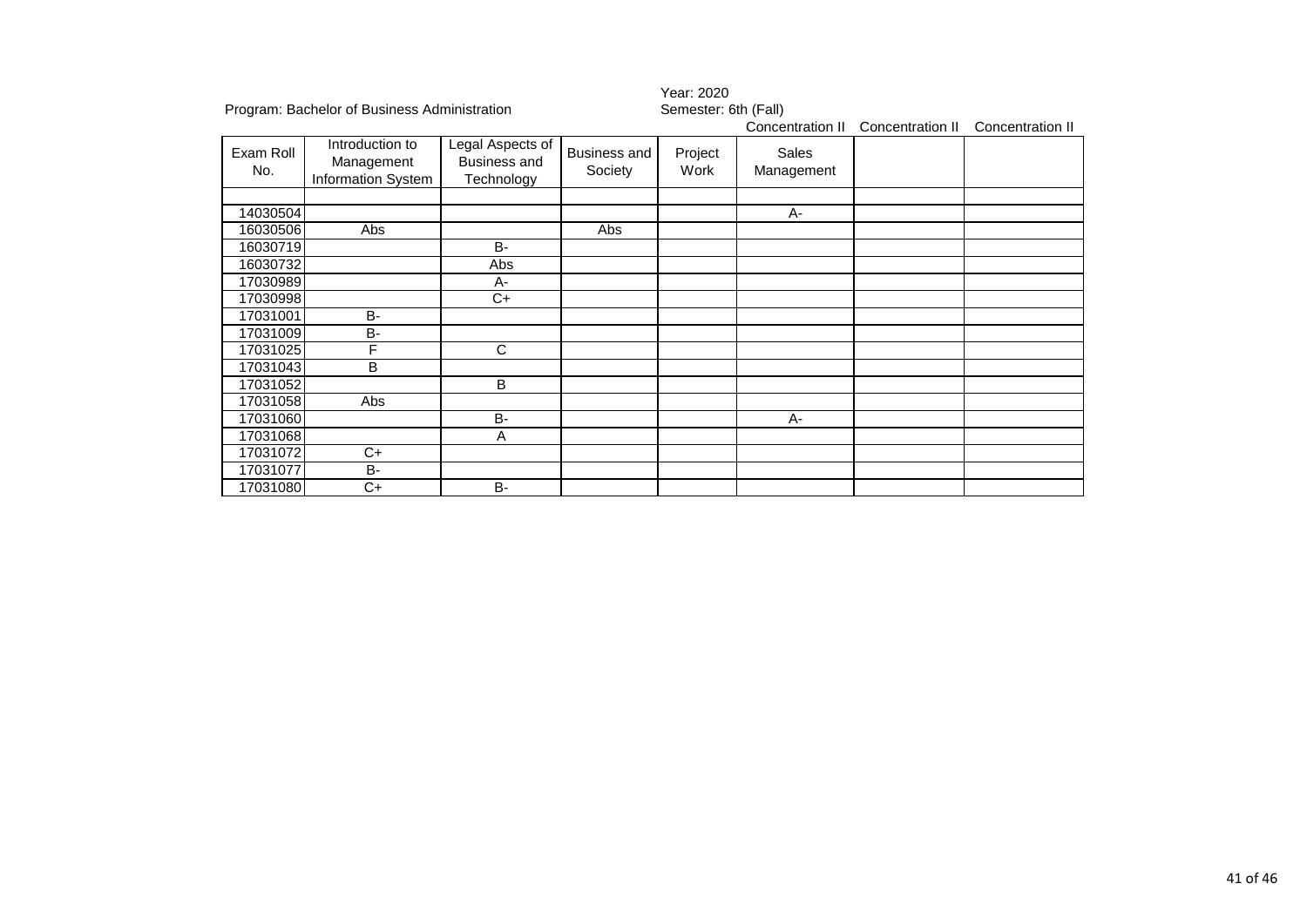|                  |                                                     |                                                       |                         | Year: 2020           |                            |                  |                  |
|------------------|-----------------------------------------------------|-------------------------------------------------------|-------------------------|----------------------|----------------------------|------------------|------------------|
|                  | Program: Bachelor of Business Administration        |                                                       |                         | Semester: 6th (Fall) | Concentration II           | Concentration II | Concentration II |
| Exam Roll<br>No. | Introduction to<br>Management<br>Information System | Legal Aspects of<br><b>Business and</b><br>Technology | Business and<br>Society | Project<br>Work      | <b>Sales</b><br>Management |                  |                  |
| 14030504         |                                                     |                                                       |                         |                      | $A -$                      |                  |                  |
| 16030506         | Abs                                                 |                                                       | <b>Abs</b>              |                      |                            |                  |                  |
| 16030719         |                                                     | <b>B-</b>                                             |                         |                      |                            |                  |                  |
| 16030732         |                                                     | Abs                                                   |                         |                      |                            |                  |                  |
| 17030989         |                                                     | A-                                                    |                         |                      |                            |                  |                  |
| 17030998         |                                                     | C+                                                    |                         |                      |                            |                  |                  |
| 17031001         | $B -$                                               |                                                       |                         |                      |                            |                  |                  |
| 17031009         | <b>B-</b>                                           |                                                       |                         |                      |                            |                  |                  |
| 17031025         | F                                                   | C                                                     |                         |                      |                            |                  |                  |
| 17031043         | B                                                   |                                                       |                         |                      |                            |                  |                  |
| 17031052         |                                                     | B                                                     |                         |                      |                            |                  |                  |
| 17031058         | Abs                                                 |                                                       |                         |                      |                            |                  |                  |
| 17031060         |                                                     | $B -$                                                 |                         |                      | A-                         |                  |                  |
| 17031068         |                                                     | Α                                                     |                         |                      |                            |                  |                  |
| 17031072         | $\overline{C}$                                      |                                                       |                         |                      |                            |                  |                  |
| 17031077         | <b>B-</b>                                           |                                                       |                         |                      |                            |                  |                  |
| 17031080         | C+                                                  | <b>B-</b>                                             |                         |                      |                            |                  |                  |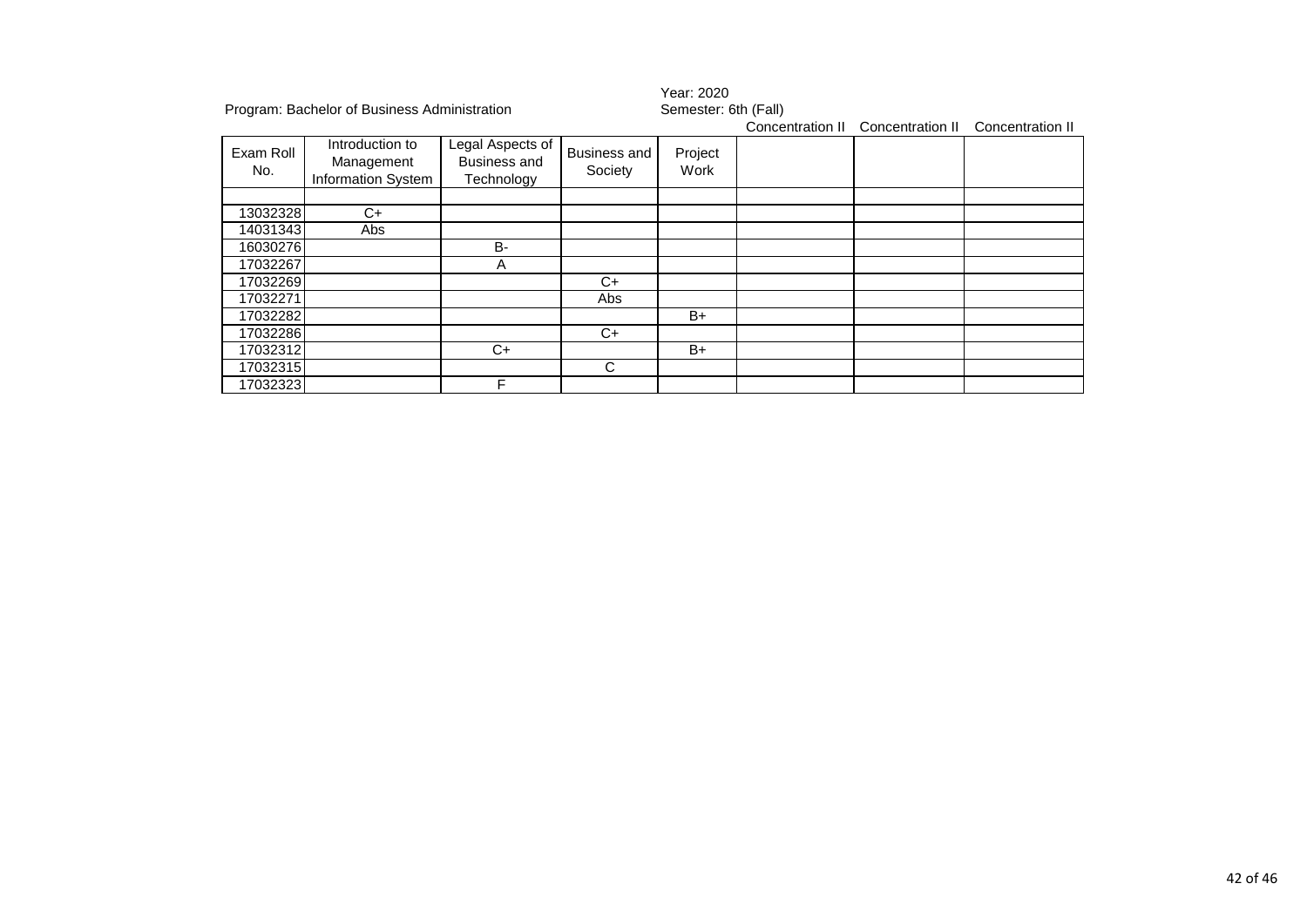| Program: Bachelor of Business Administration |                                                            |                                                       |                                | Year: 2020<br>Semester: 6th (Fall) |                  |                  |                  |
|----------------------------------------------|------------------------------------------------------------|-------------------------------------------------------|--------------------------------|------------------------------------|------------------|------------------|------------------|
| Exam Roll<br>No.                             | Introduction to<br>Management<br><b>Information System</b> | Legal Aspects of<br><b>Business and</b><br>Technology | <b>Business and</b><br>Society | Project<br>Work                    | Concentration II | Concentration II | Concentration II |
|                                              |                                                            |                                                       |                                |                                    |                  |                  |                  |
| 13032328                                     | C+                                                         |                                                       |                                |                                    |                  |                  |                  |
| 14031343                                     | Abs                                                        |                                                       |                                |                                    |                  |                  |                  |
| 16030276                                     |                                                            | B-                                                    |                                |                                    |                  |                  |                  |
| 17032267                                     |                                                            | A                                                     |                                |                                    |                  |                  |                  |
| 17032269                                     |                                                            |                                                       | C+                             |                                    |                  |                  |                  |
| 17032271                                     |                                                            |                                                       | Abs                            |                                    |                  |                  |                  |
| 17032282                                     |                                                            |                                                       |                                | B+                                 |                  |                  |                  |
| 17032286                                     |                                                            |                                                       | $C+$                           |                                    |                  |                  |                  |
| 17032312                                     |                                                            | C+                                                    |                                | $B+$                               |                  |                  |                  |
| 17032315                                     |                                                            |                                                       | C                              |                                    |                  |                  |                  |
| 17032323                                     |                                                            | F                                                     |                                |                                    |                  |                  |                  |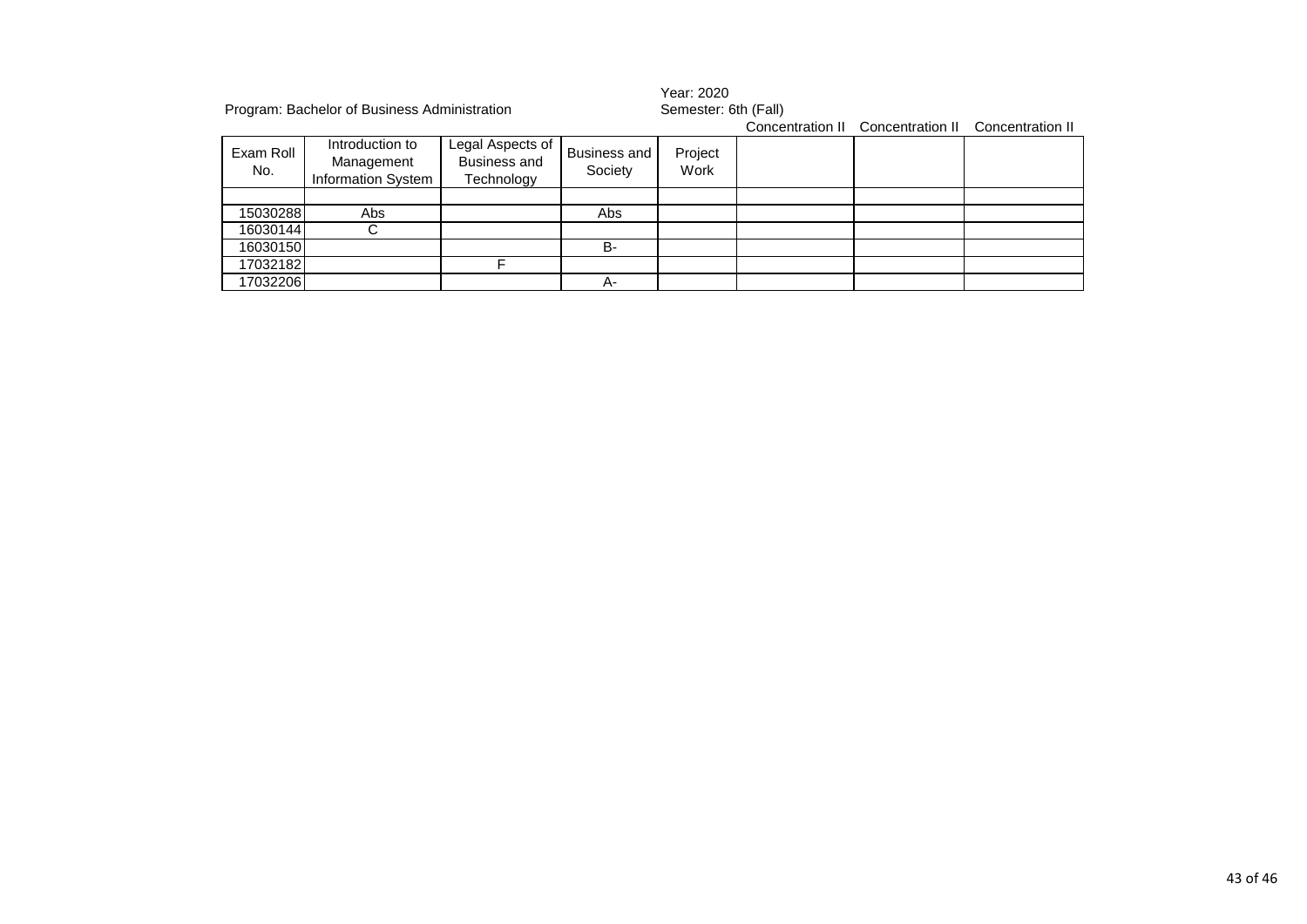|                  | Program: Bachelor of Business Administration               |                                                       |                         | Year: 2020<br>Semester: 6th (Fall) |  |                                                    |  |
|------------------|------------------------------------------------------------|-------------------------------------------------------|-------------------------|------------------------------------|--|----------------------------------------------------|--|
|                  |                                                            |                                                       |                         |                                    |  | Concentration II Concentration II Concentration II |  |
| Exam Roll<br>No. | Introduction to<br>Management<br><b>Information System</b> | Legal Aspects of<br><b>Business and</b><br>Technology | Business and<br>Society | Project<br>Work                    |  |                                                    |  |
|                  |                                                            |                                                       |                         |                                    |  |                                                    |  |
| 15030288         | Abs                                                        |                                                       | Abs                     |                                    |  |                                                    |  |
| 16030144         |                                                            |                                                       |                         |                                    |  |                                                    |  |
| 16030150         |                                                            |                                                       | B-                      |                                    |  |                                                    |  |
| 17032182         |                                                            |                                                       |                         |                                    |  |                                                    |  |
| 17032206         |                                                            |                                                       | А-                      |                                    |  |                                                    |  |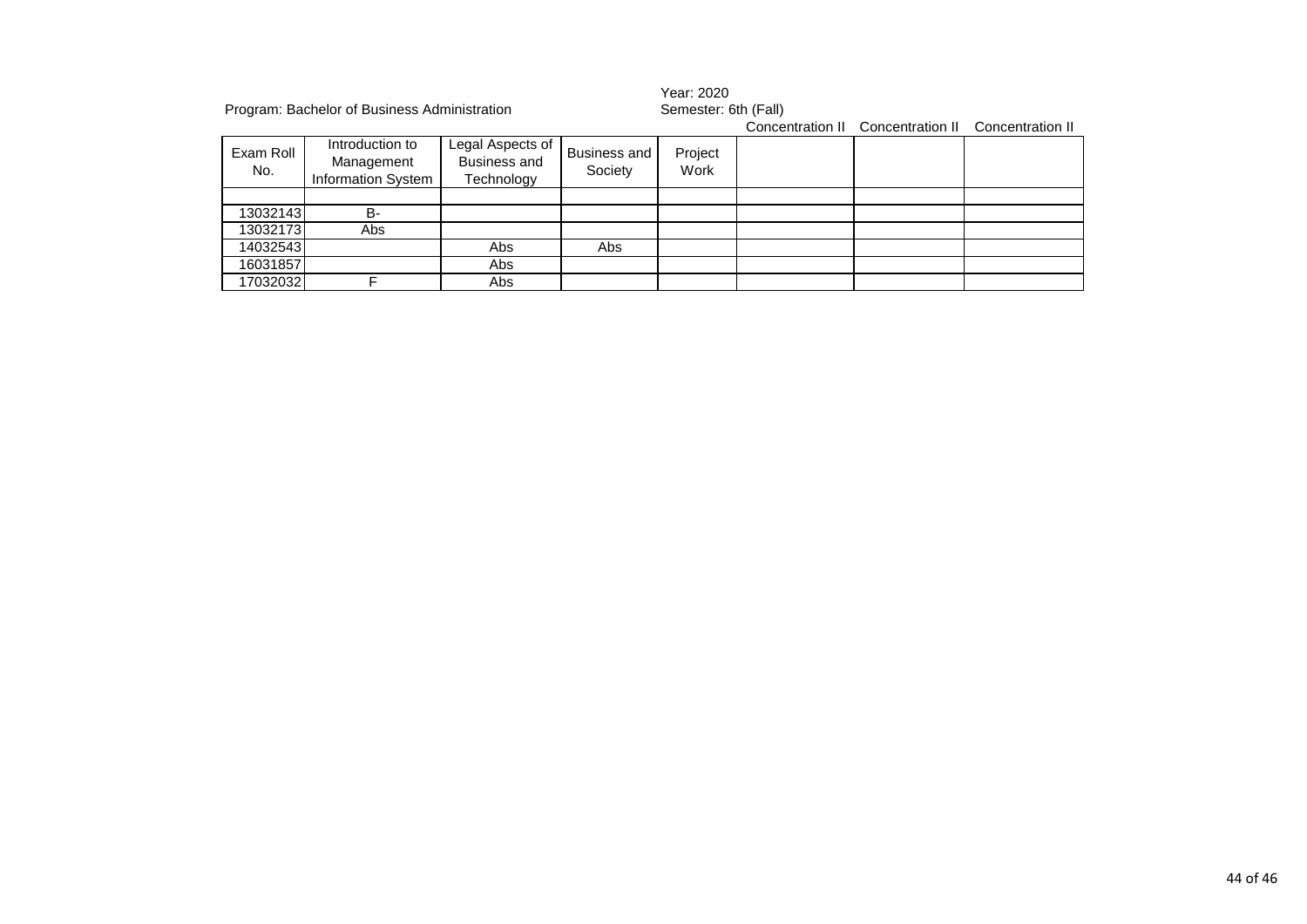|                  | Program: Bachelor of Business Administration               |                                                |                                | Year: 2020<br>Semester: 6th (Fall) |  |                                                    |  |  |
|------------------|------------------------------------------------------------|------------------------------------------------|--------------------------------|------------------------------------|--|----------------------------------------------------|--|--|
|                  |                                                            |                                                |                                |                                    |  | Concentration II Concentration II Concentration II |  |  |
| Exam Roll<br>No. | Introduction to<br>Management<br><b>Information System</b> | Legal Aspects of<br>Business and<br>Technology | <b>Business and</b><br>Society | Project<br>Work                    |  |                                                    |  |  |
|                  |                                                            |                                                |                                |                                    |  |                                                    |  |  |
| 13032143         | <b>B-</b>                                                  |                                                |                                |                                    |  |                                                    |  |  |
| 13032173         | Abs                                                        |                                                |                                |                                    |  |                                                    |  |  |
| 14032543         |                                                            | Abs                                            | Abs                            |                                    |  |                                                    |  |  |
| 16031857         |                                                            | Abs                                            |                                |                                    |  |                                                    |  |  |
| 17032032         |                                                            | Abs                                            |                                |                                    |  |                                                    |  |  |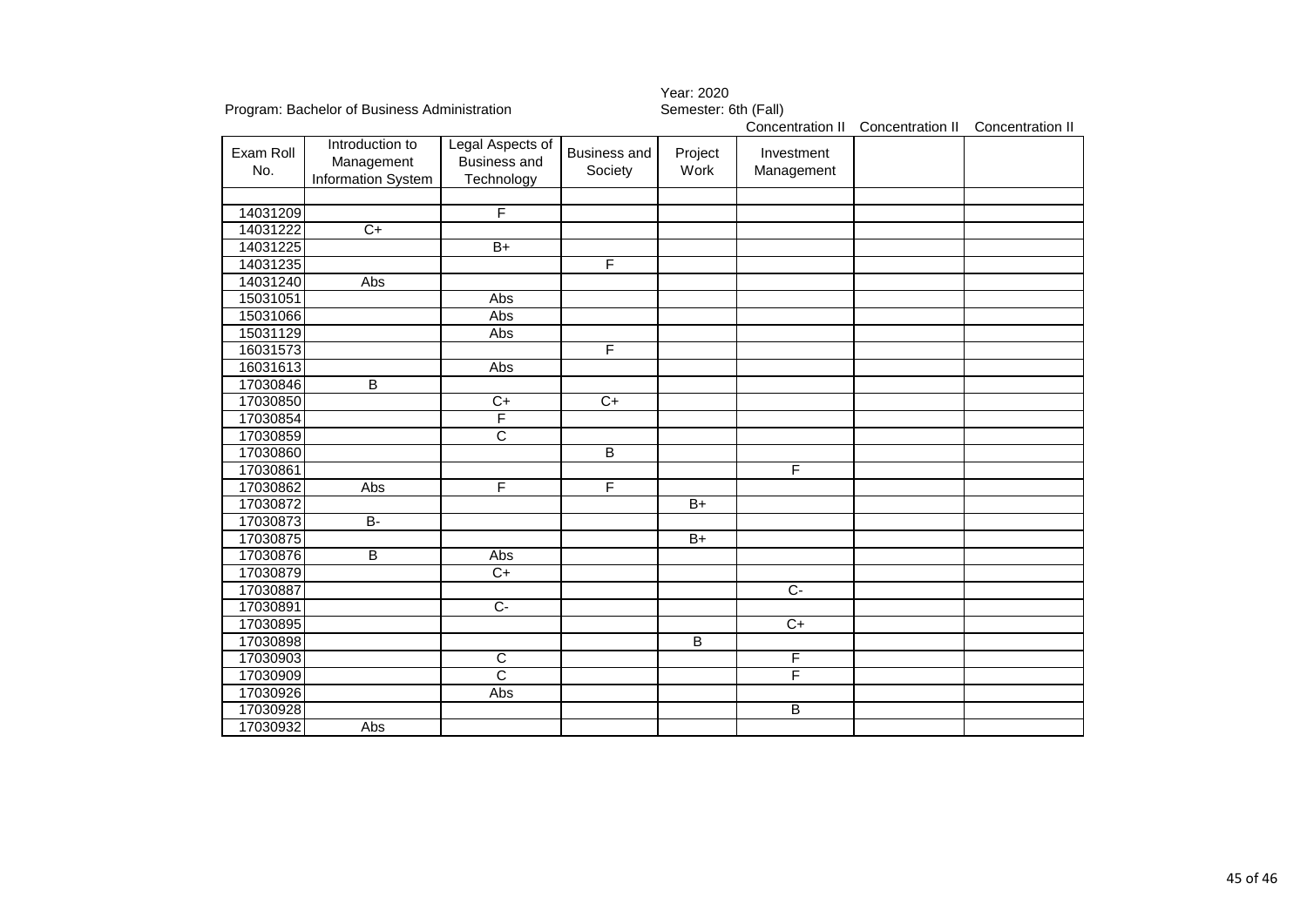|           |                                              |                       |                         | Year: 2020           |                  |                  |                  |
|-----------|----------------------------------------------|-----------------------|-------------------------|----------------------|------------------|------------------|------------------|
|           | Program: Bachelor of Business Administration |                       |                         | Semester: 6th (Fall) |                  |                  |                  |
|           |                                              |                       |                         |                      | Concentration II | Concentration II | Concentration II |
| Exam Roll | Introduction to                              | Legal Aspects of      | <b>Business and</b>     | Project              | Investment       |                  |                  |
| No.       | Management                                   | <b>Business and</b>   | Society                 | Work                 | Management       |                  |                  |
|           | Information System                           | Technology            |                         |                      |                  |                  |                  |
|           |                                              |                       |                         |                      |                  |                  |                  |
| 14031209  |                                              | F                     |                         |                      |                  |                  |                  |
| 14031222  | $C+$                                         |                       |                         |                      |                  |                  |                  |
| 14031225  |                                              | $\overline{B+}$       |                         |                      |                  |                  |                  |
| 14031235  |                                              |                       | $\overline{\mathsf{F}}$ |                      |                  |                  |                  |
| 14031240  | Abs                                          |                       |                         |                      |                  |                  |                  |
| 15031051  |                                              | Abs                   |                         |                      |                  |                  |                  |
| 15031066  |                                              | Abs                   |                         |                      |                  |                  |                  |
| 15031129  |                                              | Abs                   |                         |                      |                  |                  |                  |
| 16031573  |                                              |                       | $\overline{F}$          |                      |                  |                  |                  |
| 16031613  |                                              | Abs                   |                         |                      |                  |                  |                  |
| 17030846  | B                                            |                       |                         |                      |                  |                  |                  |
| 17030850  |                                              | $C+$                  | $C+$                    |                      |                  |                  |                  |
| 17030854  |                                              | F                     |                         |                      |                  |                  |                  |
| 17030859  |                                              | $\overline{\text{c}}$ |                         |                      |                  |                  |                  |
| 17030860  |                                              |                       | B                       |                      |                  |                  |                  |
| 17030861  |                                              |                       |                         |                      | F                |                  |                  |
| 17030862  | <b>Abs</b>                                   | F                     | $\overline{F}$          |                      |                  |                  |                  |
| 17030872  |                                              |                       |                         | $B+$                 |                  |                  |                  |
| 17030873  | $\overline{B}$                               |                       |                         |                      |                  |                  |                  |
| 17030875  |                                              |                       |                         | $B+$                 |                  |                  |                  |
| 17030876  | B                                            | Abs                   |                         |                      |                  |                  |                  |
| 17030879  |                                              | $C+$                  |                         |                      |                  |                  |                  |
| 17030887  |                                              |                       |                         |                      | $C -$            |                  |                  |
| 17030891  |                                              | $C -$                 |                         |                      |                  |                  |                  |
| 17030895  |                                              |                       |                         |                      | $\overline{C}$   |                  |                  |
| 17030898  |                                              |                       |                         | $\overline{B}$       |                  |                  |                  |
| 17030903  |                                              | C                     |                         |                      | F                |                  |                  |
| 17030909  |                                              | $\overline{\text{c}}$ |                         |                      | F                |                  |                  |
| 17030926  |                                              | Abs                   |                         |                      |                  |                  |                  |
| 17030928  |                                              |                       |                         |                      | B                |                  |                  |
| 17030932  | Abs                                          |                       |                         |                      |                  |                  |                  |